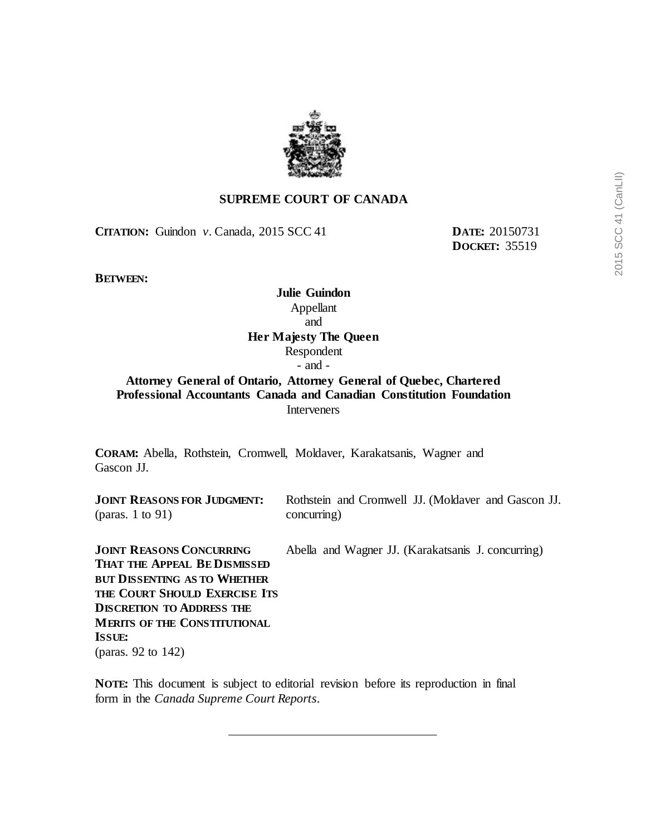

## **SUPREME COURT OF CANADA**

**CITATION:** Guindon *v.* Canada, 2015 SCC 41 **DATE:** 20150731

**DOCKET:** 35519

**BETWEEN:**

**Julie Guindon** Appellant and **Her Majesty The Queen** Respondent - and -

# **Attorney General of Ontario, Attorney General of Quebec, Chartered Professional Accountants Canada and Canadian Constitution Foundation Interveners**

**CORAM:** Abella, Rothstein, Cromwell, Moldaver, Karakatsanis, Wagner and Gascon JJ.

**JOINT REASONS FOR JUDGMENT:** (paras. 1 to 91)

Rothstein and Cromwell JJ. (Moldaver and Gascon JJ. concurring)

**JOINT REASONS CONCURRING THAT THE APPEAL BE DISMISSED BUT DISSENTING AS TO WHETHER THE COURT SHOULD EXERCISE ITS DISCRETION TO ADDRESS THE MERITS OF THE CONSTITUTIONAL ISSUE:** (paras. 92 to 142) Abella and Wagner JJ. (Karakatsanis J. concurring)

**NOTE:** This document is subject to editorial revision before its reproduction in final form in the *Canada Supreme Court Reports*.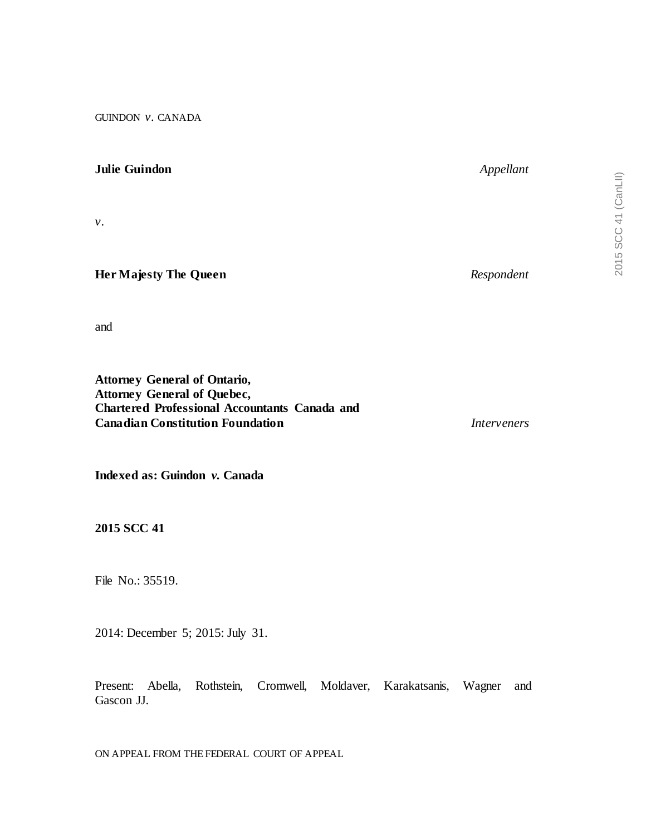GUINDON *v.* CANADA

## **Julie Guindon** *Appellant*

*v.*

## **Her Majesty The Queen** *Respondent*

and

**Attorney General of Ontario, Attorney General of Quebec, Chartered Professional Accountants Canada and Canadian Constitution Foundation** *Interveners*

**Indexed as: Guindon** *v.* **Canada**

**2015 SCC 41**

File No.: 35519.

2014: December 5; 2015: July 31.

Present: Abella, Rothstein, Cromwell, Moldaver, Karakatsanis, Wagner and Gascon JJ.

ON APPEAL FROM THE FEDERAL COURT OF APPEAL

2015 SCC 41 (CanLII)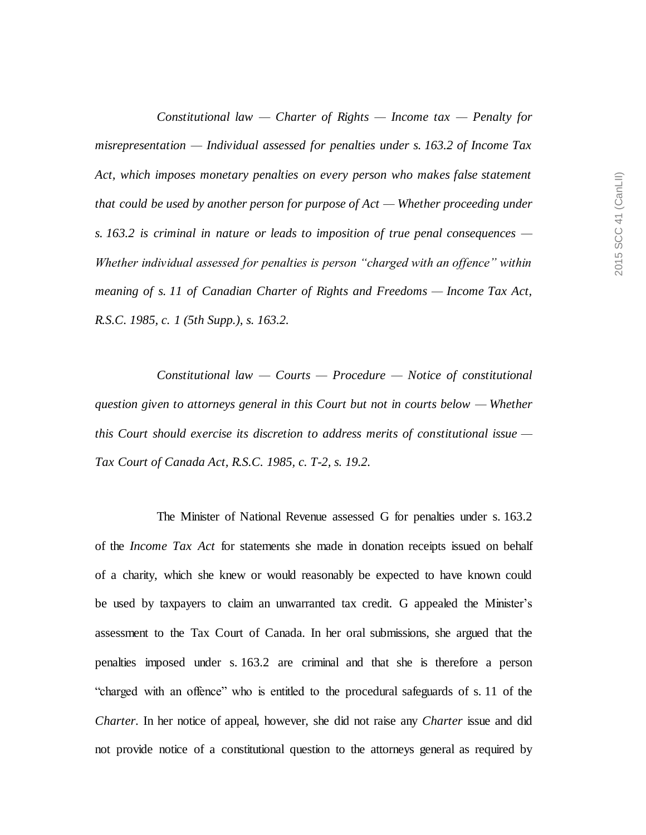*Constitutional law — Charter of Rights — Income tax — Penalty for misrepresentation — Individual assessed for penalties under s. 163.2 of Income Tax Act, which imposes monetary penalties on every person who makes false statement that could be used by another person for purpose of Act — Whether proceeding under s. 163.2 is criminal in nature or leads to imposition of true penal consequences — Whether individual assessed for penalties is person "charged with an offence" within meaning of s. 11 of Canadian Charter of Rights and Freedoms — Income Tax Act, R.S.C. 1985, c. 1 (5th Supp.), s. 163.2.*

*Constitutional law — Courts — Procedure — Notice of constitutional question given to attorneys general in this Court but not in courts below — Whether this Court should exercise its discretion to address merits of constitutional issue — Tax Court of Canada Act, R.S.C. 1985, c. T-2, s. 19.2.*

The Minister of National Revenue assessed G for penalties under s. 163.2 of the *Income Tax Act* for statements she made in donation receipts issued on behalf of a charity, which she knew or would reasonably be expected to have known could be used by taxpayers to claim an unwarranted tax credit. G appealed the Minister's assessment to the Tax Court of Canada. In her oral submissions, she argued that the penalties imposed under s. 163.2 are criminal and that she is therefore a person "charged with an offence" who is entitled to the procedural safeguards of s. 11 of the *Charter*. In her notice of appeal, however, she did not raise any *Charter* issue and did not provide notice of a constitutional question to the attorneys general as required by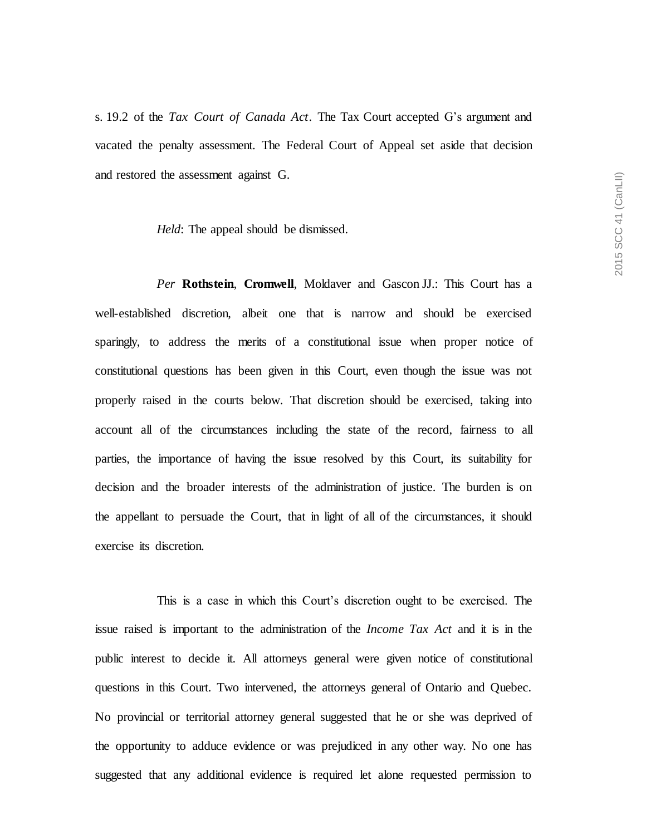s. 19.2 of the *Tax Court of Canada Act*. The Tax Court accepted G's argument and vacated the penalty assessment. The Federal Court of Appeal set aside that decision and restored the assessment against G.

*Held*: The appeal should be dismissed.

*Per* **Rothstein**, **Cromwell**, Moldaver and Gascon JJ.: This Court has a well-established discretion, albeit one that is narrow and should be exercised sparingly, to address the merits of a constitutional issue when proper notice of constitutional questions has been given in this Court, even though the issue was not properly raised in the courts below. That discretion should be exercised, taking into account all of the circumstances including the state of the record, fairness to all parties, the importance of having the issue resolved by this Court, its suitability for decision and the broader interests of the administration of justice. The burden is on the appellant to persuade the Court, that in light of all of the circumstances, it should exercise its discretion.

This is a case in which this Court's discretion ought to be exercised. The issue raised is important to the administration of the *Income Tax Act* and it is in the public interest to decide it. All attorneys general were given notice of constitutional questions in this Court. Two intervened, the attorneys general of Ontario and Quebec. No provincial or territorial attorney general suggested that he or she was deprived of the opportunity to adduce evidence or was prejudiced in any other way. No one has suggested that any additional evidence is required let alone requested permission to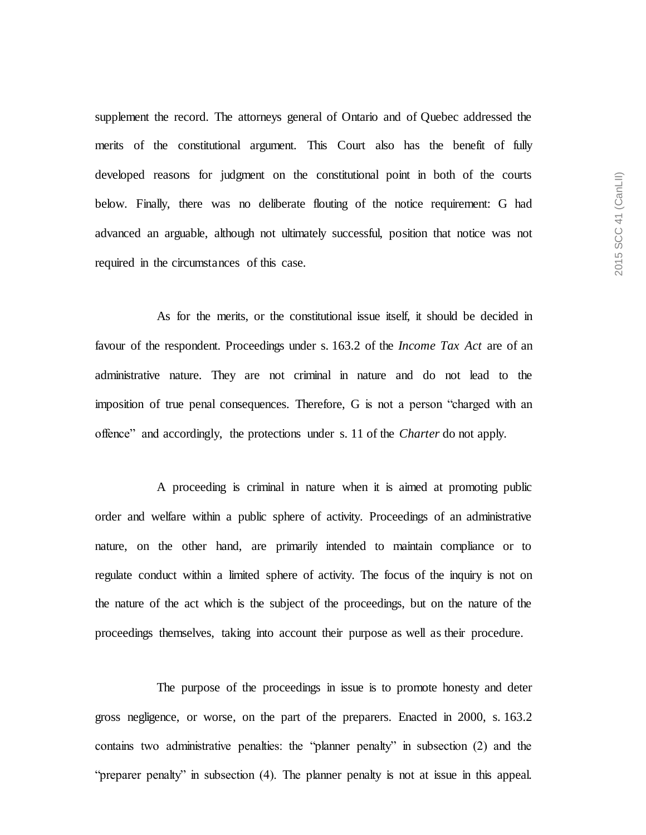supplement the record. The attorneys general of Ontario and of Quebec addressed the merits of the constitutional argument. This Court also has the benefit of fully developed reasons for judgment on the constitutional point in both of the courts below. Finally, there was no deliberate flouting of the notice requirement: G had advanced an arguable, although not ultimately successful, position that notice was not required in the circumstances of this case.

As for the merits, or the constitutional issue itself, it should be decided in favour of the respondent. Proceedings under s. 163.2 of the *Income Tax Act* are of an administrative nature. They are not criminal in nature and do not lead to the imposition of true penal consequences. Therefore, G is not a person "charged with an offence" and accordingly, the protections under s. 11 of the *Charter* do not apply.

A proceeding is criminal in nature when it is aimed at promoting public order and welfare within a public sphere of activity. Proceedings of an administrative nature, on the other hand, are primarily intended to maintain compliance or to regulate conduct within a limited sphere of activity. The focus of the inquiry is not on the nature of the act which is the subject of the proceedings, but on the nature of the proceedings themselves, taking into account their purpose as well as their procedure.

The purpose of the proceedings in issue is to promote honesty and deter gross negligence, or worse, on the part of the preparers. Enacted in 2000, s. 163.2 contains two administrative penalties: the "planner penalty" in subsection (2) and the "preparer penalty" in subsection (4). The planner penalty is not at issue in this appeal.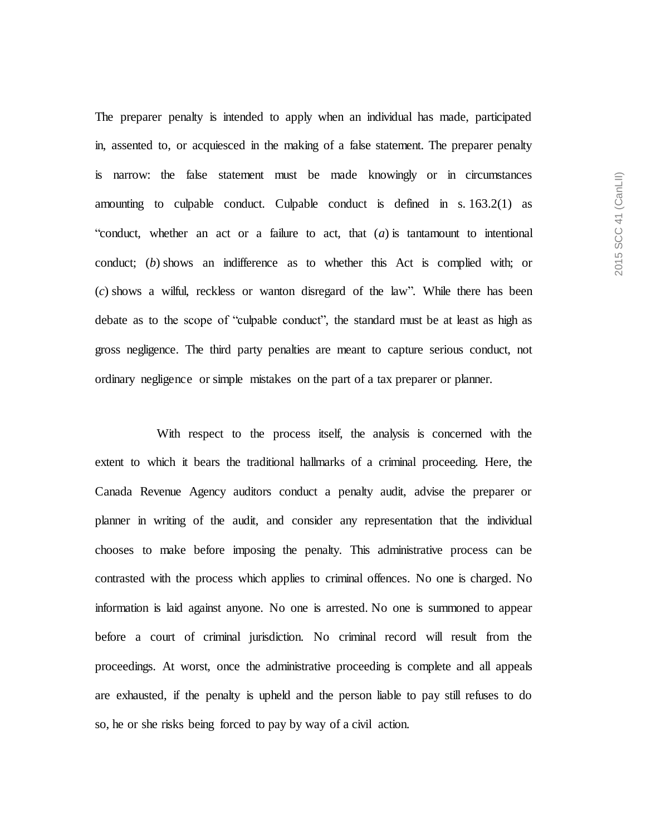The preparer penalty is intended to apply when an individual has made, participated in, assented to, or acquiesced in the making of a false statement. The preparer penalty is narrow: the false statement must be made knowingly or in circumstances amounting to culpable conduct. Culpable conduct is defined in s. 163.2(1) as "conduct, whether an act or a failure to act, that (*a*) is tantamount to intentional conduct; (*b*) shows an indifference as to whether this Act is complied with; or (*c*) shows a wilful, reckless or wanton disregard of the law". While there has been debate as to the scope of "culpable conduct", the standard must be at least as high as gross negligence. The third party penalties are meant to capture serious conduct, not ordinary negligence or simple mistakes on the part of a tax preparer or planner.

With respect to the process itself, the analysis is concerned with the extent to which it bears the traditional hallmarks of a criminal proceeding. Here, the Canada Revenue Agency auditors conduct a penalty audit, advise the preparer or planner in writing of the audit, and consider any representation that the individual chooses to make before imposing the penalty. This administrative process can be contrasted with the process which applies to criminal offences. No one is charged. No information is laid against anyone. No one is arrested. No one is summoned to appear before a court of criminal jurisdiction. No criminal record will result from the proceedings. At worst, once the administrative proceeding is complete and all appeals are exhausted, if the penalty is upheld and the person liable to pay still refuses to do so, he or she risks being forced to pay by way of a civil action.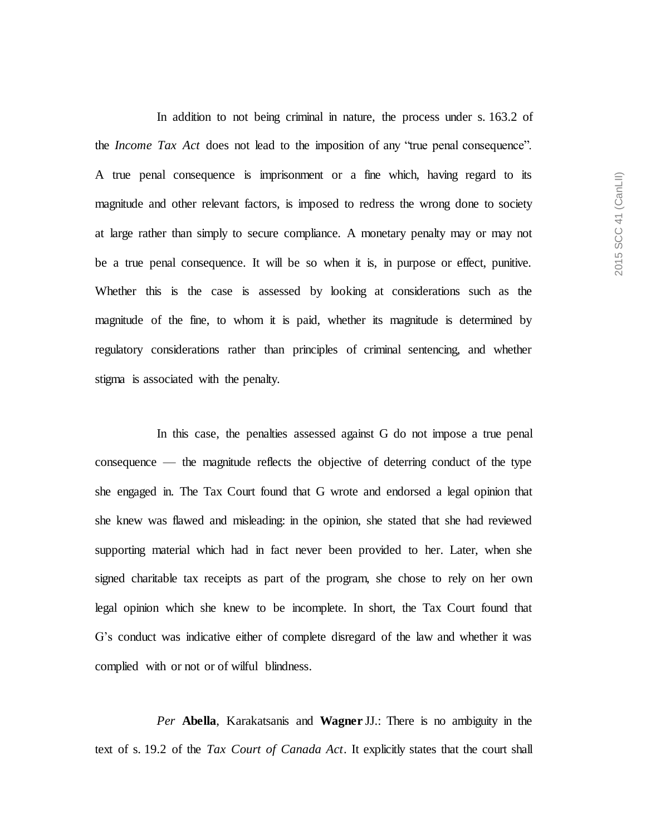In addition to not being criminal in nature, the process under s. 163.2 of the *Income Tax Act* does not lead to the imposition of any "true penal consequence". A true penal consequence is imprisonment or a fine which, having regard to its magnitude and other relevant factors, is imposed to redress the wrong done to society at large rather than simply to secure compliance. A monetary penalty may or may not be a true penal consequence. It will be so when it is, in purpose or effect, punitive. Whether this is the case is assessed by looking at considerations such as the magnitude of the fine, to whom it is paid, whether its magnitude is determined by regulatory considerations rather than principles of criminal sentencing, and whether stigma is associated with the penalty.

In this case, the penalties assessed against G do not impose a true penal consequence — the magnitude reflects the objective of deterring conduct of the type she engaged in. The Tax Court found that G wrote and endorsed a legal opinion that she knew was flawed and misleading: in the opinion, she stated that she had reviewed supporting material which had in fact never been provided to her. Later, when she signed charitable tax receipts as part of the program, she chose to rely on her own legal opinion which she knew to be incomplete. In short, the Tax Court found that G's conduct was indicative either of complete disregard of the law and whether it was complied with or not or of wilful blindness.

*Per* **Abella**, Karakatsanis and **Wagner** JJ.: There is no ambiguity in the text of s. 19.2 of the *Tax Court of Canada Act*. It explicitly states that the court shall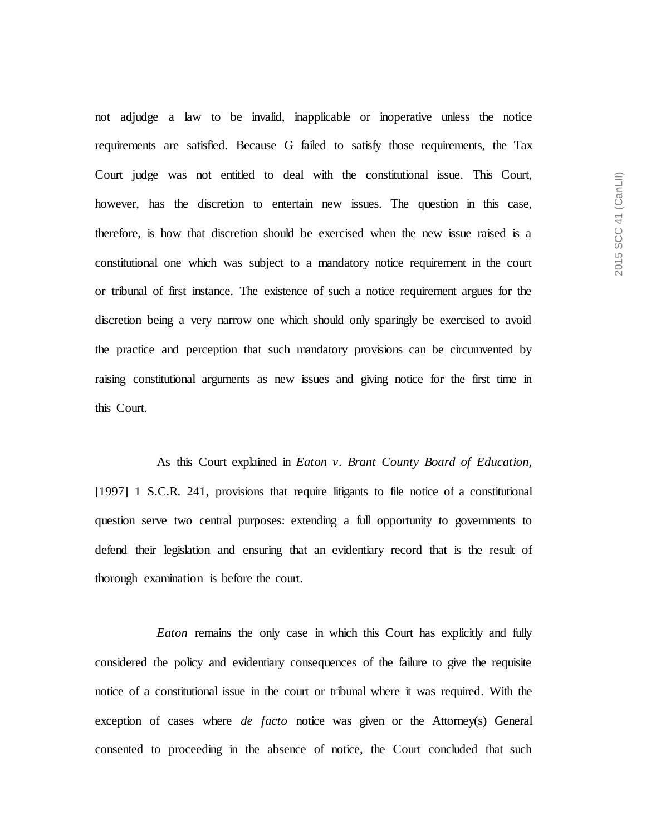2015 SCC 41 (CanLII) 2015 SCC 41 (CanLII)

not adjudge a law to be invalid, inapplicable or inoperative unless the notice requirements are satisfied. Because G failed to satisfy those requirements, the Tax Court judge was not entitled to deal with the constitutional issue. This Court, however, has the discretion to entertain new issues. The question in this case, therefore, is how that discretion should be exercised when the new issue raised is a constitutional one which was subject to a mandatory notice requirement in the court or tribunal of first instance. The existence of such a notice requirement argues for the discretion being a very narrow one which should only sparingly be exercised to avoid the practice and perception that such mandatory provisions can be circumvented by raising constitutional arguments as new issues and giving notice for the first time in this Court.

As this Court explained in *Eaton v. Brant County Board of Education,*  [1997] 1 S.C.R. 241, provisions that require litigants to file notice of a constitutional question serve two central purposes: extending a full opportunity to governments to defend their legislation and ensuring that an evidentiary record that is the result of thorough examination is before the court.

*Eaton* remains the only case in which this Court has explicitly and fully considered the policy and evidentiary consequences of the failure to give the requisite notice of a constitutional issue in the court or tribunal where it was required. With the exception of cases where *de facto* notice was given or the Attorney(s) General consented to proceeding in the absence of notice, the Court concluded that such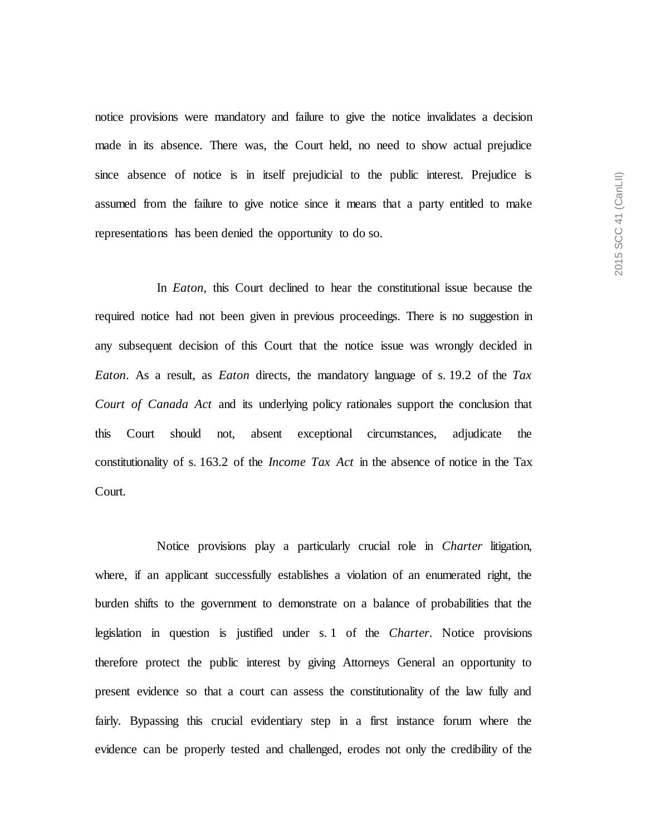notice provisions were mandatory and failure to give the notice invalidates a decision made in its absence. There was, the Court held, no need to show actual prejudice since absence of notice is in itself prejudicial to the public interest. Prejudice is assumed from the failure to give notice since it means that a party entitled to make representations has been denied the opportunity to do so.

In *Eaton,* this Court declined to hear the constitutional issue because the required notice had not been given in previous proceedings. There is no suggestion in any subsequent decision of this Court that the notice issue was wrongly decided in *Eaton*. As a result, as *Eaton* directs, the mandatory language of s. 19.2 of the *Tax Court of Canada Act* and its underlying policy rationales support the conclusion that this Court should not, absent exceptional circumstances, adjudicate the constitutionality of s. 163.2 of the *Income Tax Act* in the absence of notice in the Tax Court.

Notice provisions play a particularly crucial role in *Charter* litigation, where, if an applicant successfully establishes a violation of an enumerated right, the burden shifts to the government to demonstrate on a balance of probabilities that the legislation in question is justified under s. 1 of the *Charter*. Notice provisions therefore protect the public interest by giving Attorneys General an opportunity to present evidence so that a court can assess the constitutionality of the law fully and fairly. Bypassing this crucial evidentiary step in a first instance forum where the evidence can be properly tested and challenged, erodes not only the credibility of the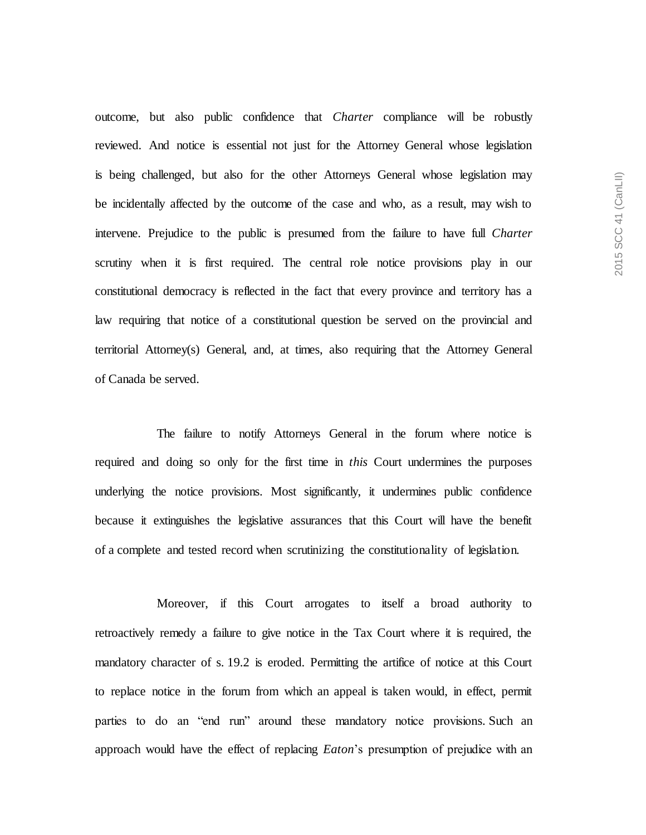outcome, but also public confidence that *Charter* compliance will be robustly reviewed. And notice is essential not just for the Attorney General whose legislation is being challenged, but also for the other Attorneys General whose legislation may be incidentally affected by the outcome of the case and who, as a result, may wish to intervene. Prejudice to the public is presumed from the failure to have full *Charter* scrutiny when it is first required. The central role notice provisions play in our constitutional democracy is reflected in the fact that every province and territory has a law requiring that notice of a constitutional question be served on the provincial and territorial Attorney(s) General, and, at times, also requiring that the Attorney General of Canada be served.

The failure to notify Attorneys General in the forum where notice is required and doing so only for the first time in *this* Court undermines the purposes underlying the notice provisions. Most significantly, it undermines public confidence because it extinguishes the legislative assurances that this Court will have the benefit of a complete and tested record when scrutinizing the constitutionality of legislation.

Moreover, if this Court arrogates to itself a broad authority to retroactively remedy a failure to give notice in the Tax Court where it is required, the mandatory character of s. 19.2 is eroded. Permitting the artifice of notice at this Court to replace notice in the forum from which an appeal is taken would, in effect, permit parties to do an "end run" around these mandatory notice provisions. Such an approach would have the effect of replacing *Eaton*'s presumption of prejudice with an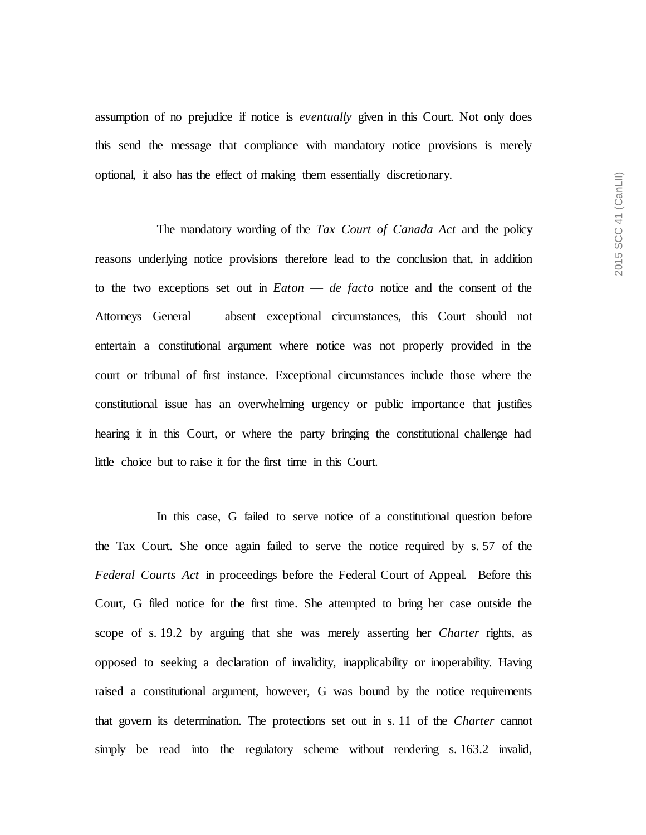assumption of no prejudice if notice is *eventually* given in this Court. Not only does this send the message that compliance with mandatory notice provisions is merely optional, it also has the effect of making them essentially discretionary.

The mandatory wording of the *Tax Court of Canada Act* and the policy reasons underlying notice provisions therefore lead to the conclusion that, in addition to the two exceptions set out in *Eaton* — *de facto* notice and the consent of the Attorneys General — absent exceptional circumstances, this Court should not entertain a constitutional argument where notice was not properly provided in the court or tribunal of first instance. Exceptional circumstances include those where the constitutional issue has an overwhelming urgency or public importance that justifies hearing it in this Court, or where the party bringing the constitutional challenge had little choice but to raise it for the first time in this Court.

In this case, G failed to serve notice of a constitutional question before the Tax Court. She once again failed to serve the notice required by s. 57 of the *Federal Courts Act* in proceedings before the Federal Court of Appeal. Before this Court, G filed notice for the first time. She attempted to bring her case outside the scope of s. 19.2 by arguing that she was merely asserting her *Charter* rights, as opposed to seeking a declaration of invalidity, inapplicability or inoperability. Having raised a constitutional argument, however, G was bound by the notice requirements that govern its determination. The protections set out in s. 11 of the *Charter* cannot simply be read into the regulatory scheme without rendering s. 163.2 invalid,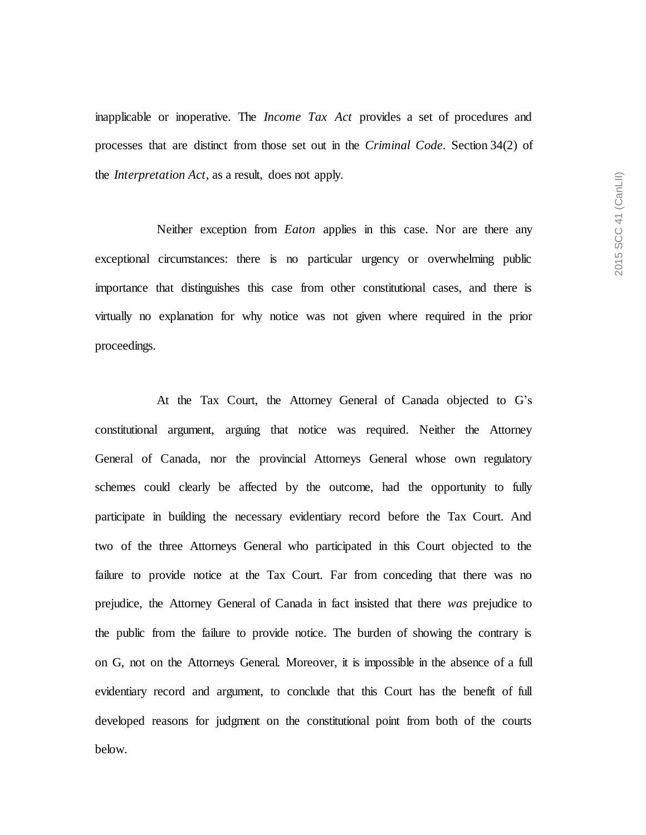inapplicable or inoperative. The *Income Tax Act* provides a set of procedures and processes that are distinct from those set out in the *Criminal Code*. Section 34(2) of the *Interpretation Act*, as a result, does not apply.

Neither exception from *Eaton* applies in this case. Nor are there any exceptional circumstances: there is no particular urgency or overwhelming public importance that distinguishes this case from other constitutional cases, and there is virtually no explanation for why notice was not given where required in the prior proceedings.

At the Tax Court, the Attorney General of Canada objected to G's constitutional argument, arguing that notice was required. Neither the Attorney General of Canada, nor the provincial Attorneys General whose own regulatory schemes could clearly be affected by the outcome, had the opportunity to fully participate in building the necessary evidentiary record before the Tax Court. And two of the three Attorneys General who participated in this Court objected to the failure to provide notice at the Tax Court. Far from conceding that there was no prejudice, the Attorney General of Canada in fact insisted that there *was* prejudice to the public from the failure to provide notice. The burden of showing the contrary is on G, not on the Attorneys General. Moreover, it is impossible in the absence of a full evidentiary record and argument, to conclude that this Court has the benefit of full developed reasons for judgment on the constitutional point from both of the courts below.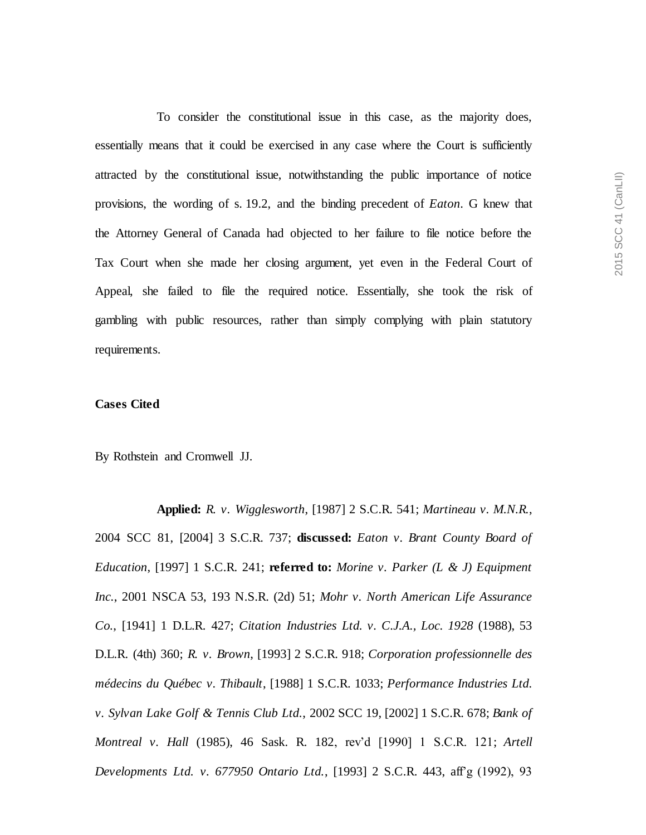To consider the constitutional issue in this case, as the majority does, essentially means that it could be exercised in any case where the Court is sufficiently attracted by the constitutional issue, notwithstanding the public importance of notice provisions, the wording of s. 19.2, and the binding precedent of *Eaton*. G knew that the Attorney General of Canada had objected to her failure to file notice before the Tax Court when she made her closing argument, yet even in the Federal Court of Appeal, she failed to file the required notice. Essentially, she took the risk of gambling with public resources, rather than simply complying with plain statutory requirements.

### **Cases Cited**

By Rothstein and Cromwell JJ.

**Applied:** *R. v. Wigglesworth*, [1987] 2 S.C.R. 541; *Martineau v. M.N.R.*, 2004 SCC 81, [2004] 3 S.C.R. 737; **discussed:** *Eaton v. Brant County Board of Education*, [1997] 1 S.C.R. 241; **referred to:** *Morine v. Parker (L & J) Equipment Inc.*, 2001 NSCA 53, 193 N.S.R. (2d) 51; *Mohr v. North American Life Assurance Co.*, [1941] 1 D.L.R. 427; *Citation Industries Ltd. v. C.J.A., Loc. 1928* (1988), 53 D.L.R. (4th) 360; *R. v. Brown*, [1993] 2 S.C.R. 918; *Corporation professionnelle des médecins du Québec v. Thibault*, [1988] 1 S.C.R. 1033; *Performance Industries Ltd. v. Sylvan Lake Golf & Tennis Club Ltd.*, 2002 SCC 19, [2002] 1 S.C.R. 678; *Bank of Montreal v. Hall* (1985), 46 Sask. R. 182, rev'd [1990] 1 S.C.R. 121; *Artell Developments Ltd. v. 677950 Ontario Ltd.*, [1993] 2 S.C.R. 443, aff'g (1992), 93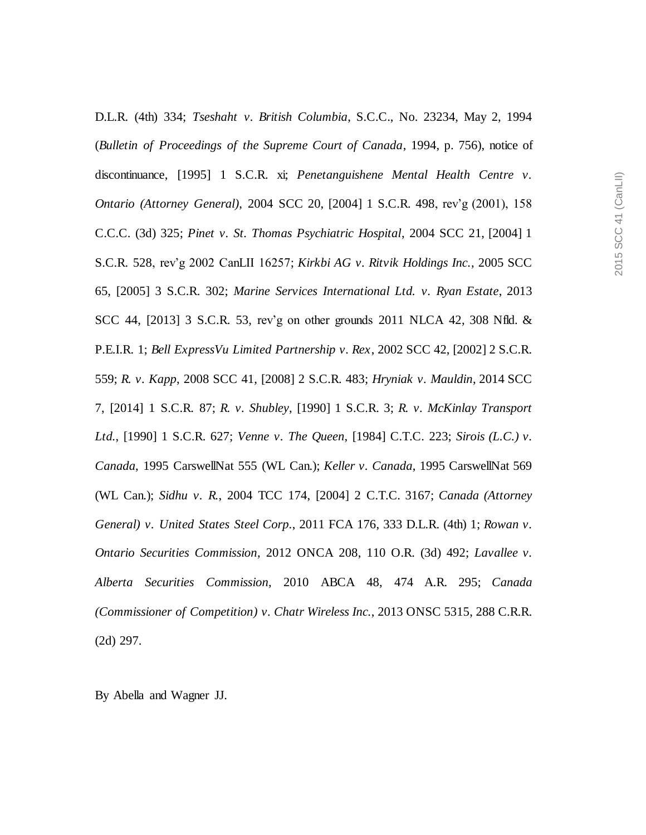D.L.R. (4th) 334; *Tseshaht v. British Columbia*, S.C.C., No. 23234, May 2, 1994 (*Bulletin of Proceedings of the Supreme Court of Canada*, 1994, p. 756), notice of discontinuance, [1995] 1 S.C.R. xi; *Penetanguishene Mental Health Centre v. Ontario (Attorney General)*, 2004 SCC 20, [2004] 1 S.C.R. 498, rev'g (2001), 158 C.C.C. (3d) 325; *Pinet v. St. Thomas Psychiatric Hospital*, 2004 SCC 21, [2004] 1 S.C.R. 528, rev'g 2002 CanLII 16257; *Kirkbi AG v. Ritvik Holdings Inc.*, 2005 SCC 65, [2005] 3 S.C.R. 302; *Marine Services International Ltd. v. Ryan Estate*, 2013 SCC 44, [2013] 3 S.C.R. 53, rev'g on other grounds 2011 NLCA 42, 308 Nfld. & P.E.I.R. 1; *Bell ExpressVu Limited Partnership v. Rex*, 2002 SCC 42, [2002] 2 S.C.R. 559; *R. v. Kapp*, 2008 SCC 41, [2008] 2 S.C.R. 483; *Hryniak v. Mauldin*, 2014 SCC 7, [2014] 1 S.C.R. 87; *R. v. Shubley*, [1990] 1 S.C.R. 3; *R. v. McKinlay Transport Ltd.*, [1990] 1 S.C.R. 627; *Venne v. The Queen*, [1984] C.T.C. 223; *Sirois (L.C.) v. Canada*, 1995 CarswellNat 555 (WL Can.); *Keller v. Canada*, 1995 CarswellNat 569 (WL Can.); *Sidhu v. R.*, 2004 TCC 174, [2004] 2 C.T.C. 3167; *Canada (Attorney General) v. United States Steel Corp.*, 2011 FCA 176, 333 D.L.R. (4th) 1; *Rowan v. Ontario Securities Commission*, 2012 ONCA 208, 110 O.R. (3d) 492; *Lavallee v. Alberta Securities Commission*, 2010 ABCA 48, 474 A.R. 295; *Canada (Commissioner of Competition) v. Chatr Wireless Inc.*, 2013 ONSC 5315, 288 C.R.R. (2d) 297.

By Abella and Wagner JJ.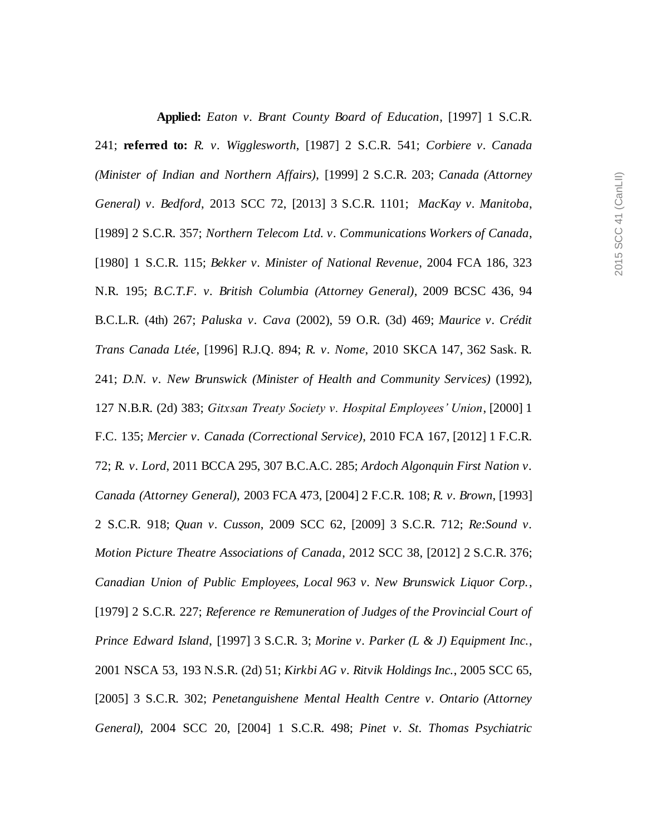**Applied:** *Eaton v. Brant County Board of Education*, [1997] 1 S.C.R. 241; **referred to:** *R. v. Wigglesworth*, [1987] 2 S.C.R. 541; *Corbiere v. Canada (Minister of Indian and Northern Affairs)*, [1999] 2 S.C.R. 203; *Canada (Attorney General) v. Bedford*, 2013 SCC 72, [2013] 3 S.C.R. 1101; *MacKay v. Manitoba*, [1989] 2 S.C.R. 357; *Northern Telecom Ltd. v. Communications Workers of Canada*, [1980] 1 S.C.R. 115; *Bekker v. Minister of National Revenue*, 2004 FCA 186, 323 N.R. 195; *B.C.T.F. v. British Columbia (Attorney General)*, 2009 BCSC 436, 94 B.C.L.R. (4th) 267; *Paluska v. Cava* (2002), 59 O.R. (3d) 469; *Maurice v. Crédit Trans Canada Ltée*, [1996] R.J.Q. 894; *R. v. Nome*, 2010 SKCA 147, 362 Sask. R. 241; *D.N. v. New Brunswick (Minister of Health and Community Services)* (1992), 127 N.B.R. (2d) 383; *Gitxsan Treaty Society v. Hospital Employees' Union*, [2000] 1 F.C. 135; *Mercier v. Canada (Correctional Service)*, 2010 FCA 167, [2012] 1 F.C.R. 72; *R. v. Lord*, 2011 BCCA 295, 307 B.C.A.C. 285; *Ardoch Algonquin First Nation v. Canada (Attorney General)*, 2003 FCA 473, [2004] 2 F.C.R. 108; *R. v. Brown*, [1993] 2 S.C.R. 918; *Quan v. Cusson*, 2009 SCC 62, [2009] 3 S.C.R. 712; *Re:Sound v. Motion Picture Theatre Associations of Canada*, 2012 SCC 38, [2012] 2 S.C.R. 376; *Canadian Union of Public Employees, Local 963 v. New Brunswick Liquor Corp.*, [1979] 2 S.C.R. 227; *Reference re Remuneration of Judges of the Provincial Court of Prince Edward Island*, [1997] 3 S.C.R. 3; *Morine v. Parker (L & J) Equipment Inc.*, 2001 NSCA 53, 193 N.S.R. (2d) 51; *Kirkbi AG v. Ritvik Holdings Inc.*, 2005 SCC 65, [2005] 3 S.C.R. 302; *Penetanguishene Mental Health Centre v. Ontario (Attorney General)*, 2004 SCC 20, [2004] 1 S.C.R. 498; *Pinet v. St. Thomas Psychiatric*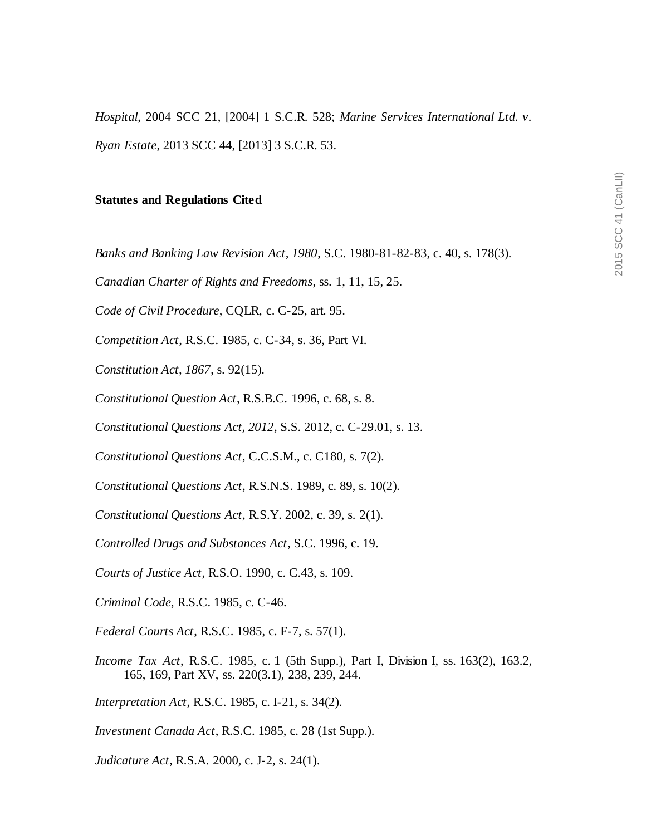*Hospital*, 2004 SCC 21, [2004] 1 S.C.R. 528; *Marine Services International Ltd. v. Ryan Estate*, 2013 SCC 44, [2013] 3 S.C.R. 53.

#### **Statutes and Regulations Cited**

*Banks and Banking Law Revision Act, 1980*, S.C. 1980-81-82-83, c. 40, s. 178(3).

*Canadian Charter of Rights and Freedoms*, ss. 1, 11, 15, 25.

*Code of Civil Procedure*, CQLR, c. C-25, art. 95.

*Competition Act*, R.S.C. 1985, c. C-34, s. 36, Part VI.

*Constitution Act, 1867*, s. 92(15).

*Constitutional Question Act*, R.S.B.C. 1996, c. 68, s. 8.

*Constitutional Questions Act, 2012*, S.S. 2012, c. C-29.01, s. 13.

*Constitutional Questions Act*, C.C.S.M., c. C180, s. 7(2).

*Constitutional Questions Act*, R.S.N.S. 1989, c. 89, s. 10(2).

*Constitutional Questions Act*, R.S.Y. 2002, c. 39, s. 2(1).

*Controlled Drugs and Substances Act*, S.C. 1996, c. 19.

*Courts of Justice Act*, R.S.O. 1990, c. C.43, s. 109.

*Criminal Code*, R.S.C. 1985, c. C-46.

*Federal Courts Act*, R.S.C. 1985, c. F-7, s. 57(1).

*Income Tax Act*, R.S.C. 1985, c. 1 (5th Supp.), Part I, Division I, ss. 163(2), 163.2, 165, 169, Part XV, ss. 220(3.1), 238, 239, 244.

*Interpretation Act*, R.S.C. 1985, c. I-21, s. 34(2).

*Investment Canada Act*, R.S.C. 1985, c. 28 (1st Supp.).

*Judicature Act*, R.S.A. 2000, c. J-2, s. 24(1).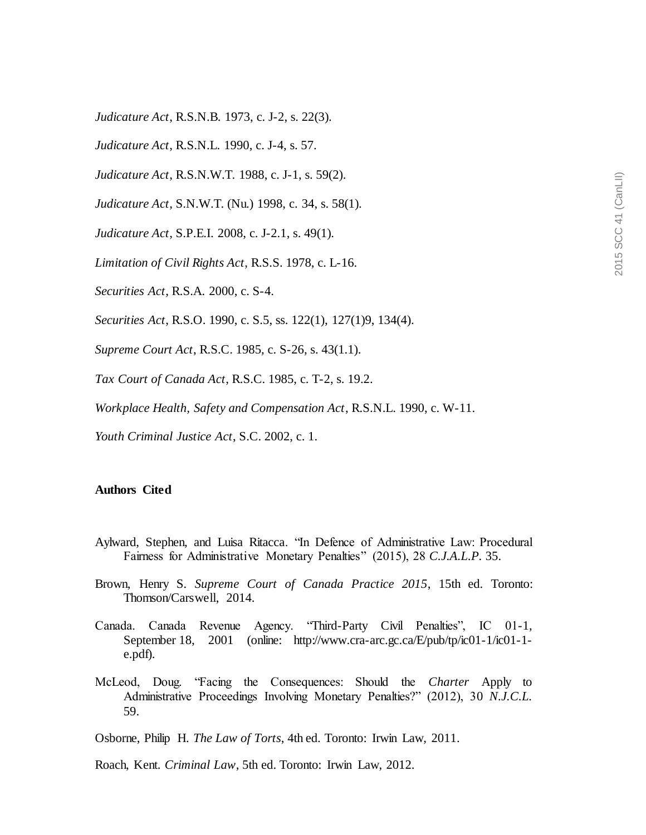*Judicature Act*, R.S.N.B. 1973, c. J-2, s. 22(3).

*Judicature Act*, R.S.N.L. 1990, c. J-4, s. 57.

*Judicature Act*, R.S.N.W.T. 1988, c. J-1, s. 59(2).

*Judicature Act*, S.N.W.T. (Nu.) 1998, c. 34, s. 58(1).

*Judicature Act*, S.P.E.I. 2008, c. J-2.1, s. 49(1).

*Limitation of Civil Rights Act*, R.S.S. 1978, c. L-16.

*Securities Act*, R.S.A. 2000, c. S-4.

*Securities Act*, R.S.O. 1990, c. S.5, ss. 122(1), 127(1)9, 134(4).

*Supreme Court Act*, R.S.C. 1985, c. S-26, s. 43(1.1).

*Tax Court of Canada Act*, R.S.C. 1985, c. T-2, s. 19.2.

*Workplace Health, Safety and Compensation Act*, R.S.N.L. 1990, c. W-11.

*Youth Criminal Justice Act*, S.C. 2002, c. 1.

#### **Authors Cited**

- Aylward, Stephen, and Luisa Ritacca. "In Defence of Administrative Law: Procedural Fairness for Administrative Monetary Penalties" (2015), 28 *C.J.A.L.P.* 35.
- Brown, Henry S. *Supreme Court of Canada Practice 2015*, 15th ed. Toronto: Thomson/Carswell, 2014.
- Canada. Canada Revenue Agency. "Third-Party Civil Penalties", IC 01-1, September 18, 2001 (online: http://www.cra-arc.gc.ca/E/pub/tp/ic01-1/ic01-1 e.pdf).
- McLeod, Doug. "Facing the Consequences: Should the *Charter* Apply to Administrative Proceedings Involving Monetary Penalties?" (2012), 30 *N.J.C.L.* 59.

Osborne, Philip H. *The Law of Torts*, 4th ed. Toronto: Irwin Law, 2011.

Roach, Kent. *Criminal Law*, 5th ed. Toronto: Irwin Law, 2012.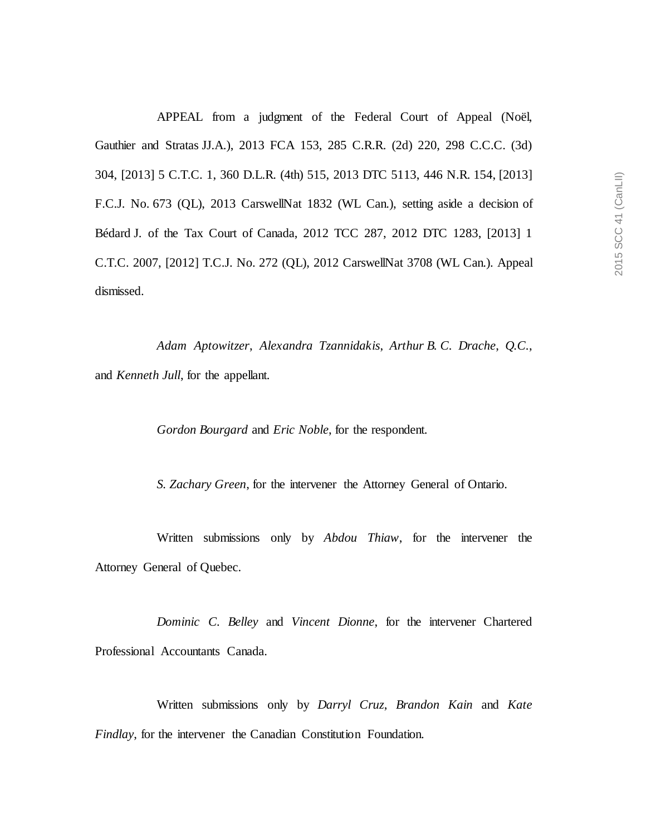APPEAL from a judgment of the Federal Court of Appeal (Noël, Gauthier and Stratas JJ.A.), 2013 FCA 153, 285 C.R.R. (2d) 220, 298 C.C.C. (3d) 304, [2013] 5 C.T.C. 1, 360 D.L.R. (4th) 515, 2013 DTC 5113, 446 N.R. 154, [2013] F.C.J. No. 673 (QL), 2013 CarswellNat 1832 (WL Can.), setting aside a decision of Bédard J. of the Tax Court of Canada, 2012 TCC 287, 2012 DTC 1283, [2013] 1 C.T.C. 2007, [2012] T.C.J. No. 272 (QL), 2012 CarswellNat 3708 (WL Can.). Appeal dismissed.

*Adam Aptowitzer*, *Alexandra Tzannidakis*, *Arthur B. C. Drache*, *Q.C.*, and *Kenneth Jull*, for the appellant.

*Gordon Bourgard* and *Eric Noble*, for the respondent.

*S. Zachary Green*, for the intervener the Attorney General of Ontario.

Written submissions only by *Abdou Thiaw*, for the intervener the Attorney General of Quebec.

*Dominic C. Belley* and *Vincent Dionne*, for the intervener Chartered Professional Accountants Canada.

Written submissions only by *Darryl Cruz*, *Brandon Kain* and *Kate Findlay*, for the intervener the Canadian Constitution Foundation.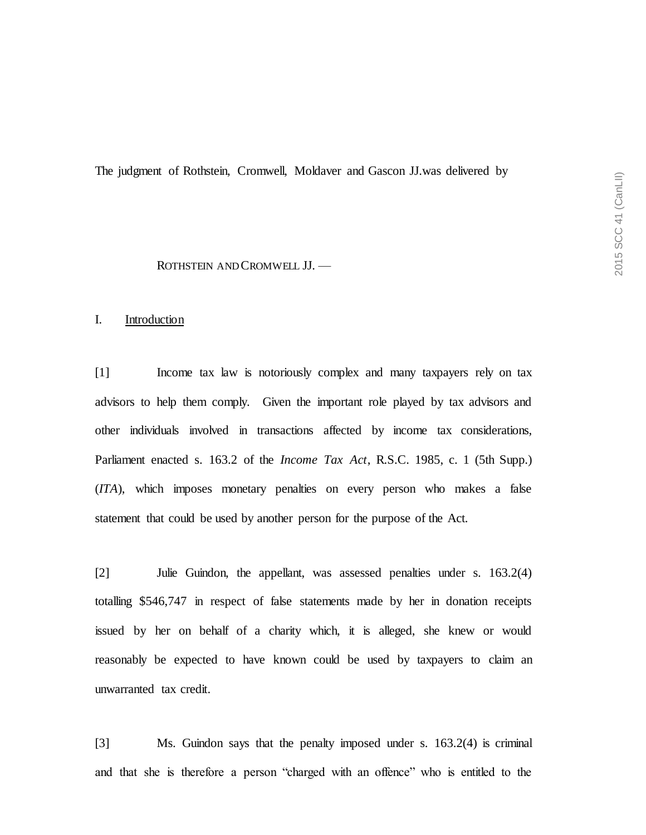The judgment of Rothstein, Cromwell, Moldaver and Gascon JJ.was delivered by

#### ROTHSTEIN AND CROMWELL JJ. —

### I. Introduction

[1] Income tax law is notoriously complex and many taxpayers rely on tax advisors to help them comply. Given the important role played by tax advisors and other individuals involved in transactions affected by income tax considerations, Parliament enacted s. 163.2 of the *Income Tax Act*, R.S.C. 1985, c. 1 (5th Supp.) (*ITA*), which imposes monetary penalties on every person who makes a false statement that could be used by another person for the purpose of the Act.

[2] Julie Guindon, the appellant, was assessed penalties under s. 163.2(4) totalling \$546,747 in respect of false statements made by her in donation receipts issued by her on behalf of a charity which, it is alleged, she knew or would reasonably be expected to have known could be used by taxpayers to claim an unwarranted tax credit.

[3] Ms. Guindon says that the penalty imposed under s. 163.2(4) is criminal and that she is therefore a person "charged with an offence" who is entitled to the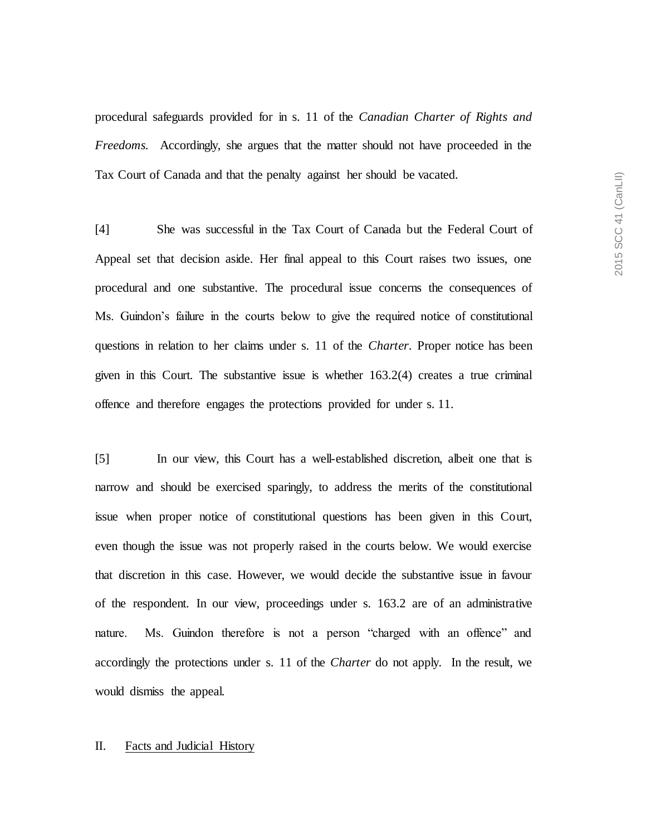procedural safeguards provided for in s. 11 of the *Canadian Charter of Rights and Freedoms.* Accordingly, she argues that the matter should not have proceeded in the Tax Court of Canada and that the penalty against her should be vacated.

[4] She was successful in the Tax Court of Canada but the Federal Court of Appeal set that decision aside. Her final appeal to this Court raises two issues, one procedural and one substantive. The procedural issue concerns the consequences of Ms. Guindon's failure in the courts below to give the required notice of constitutional questions in relation to her claims under s. 11 of the *Charter*. Proper notice has been given in this Court. The substantive issue is whether 163.2(4) creates a true criminal offence and therefore engages the protections provided for under s. 11.

[5] In our view, this Court has a well-established discretion, albeit one that is narrow and should be exercised sparingly, to address the merits of the constitutional issue when proper notice of constitutional questions has been given in this Court, even though the issue was not properly raised in the courts below. We would exercise that discretion in this case. However, we would decide the substantive issue in favour of the respondent. In our view, proceedings under s. 163.2 are of an administrative nature. Ms. Guindon therefore is not a person "charged with an offence" and accordingly the protections under s. 11 of the *Charter* do not apply. In the result, we would dismiss the appeal.

#### II. Facts and Judicial History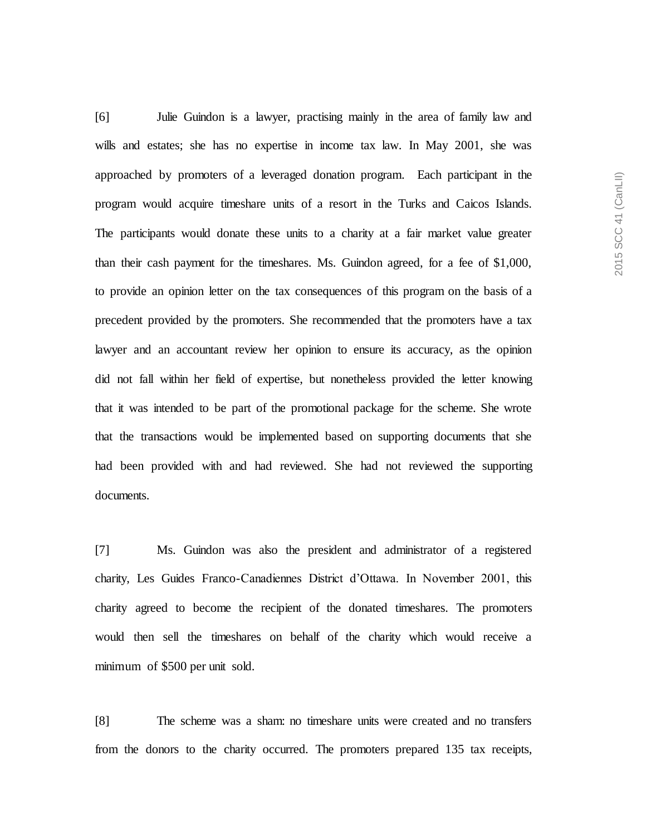[6] Julie Guindon is a lawyer, practising mainly in the area of family law and wills and estates; she has no expertise in income tax law. In May 2001, she was approached by promoters of a leveraged donation program. Each participant in the program would acquire timeshare units of a resort in the Turks and Caicos Islands. The participants would donate these units to a charity at a fair market value greater than their cash payment for the timeshares. Ms. Guindon agreed, for a fee of \$1,000, to provide an opinion letter on the tax consequences of this program on the basis of a precedent provided by the promoters. She recommended that the promoters have a tax lawyer and an accountant review her opinion to ensure its accuracy, as the opinion did not fall within her field of expertise, but nonetheless provided the letter knowing that it was intended to be part of the promotional package for the scheme. She wrote that the transactions would be implemented based on supporting documents that she had been provided with and had reviewed. She had not reviewed the supporting documents.

[7] Ms. Guindon was also the president and administrator of a registered charity, Les Guides Franco-Canadiennes District d'Ottawa. In November 2001, this charity agreed to become the recipient of the donated timeshares. The promoters would then sell the timeshares on behalf of the charity which would receive a minimum of \$500 per unit sold.

[8] The scheme was a sham: no timeshare units were created and no transfers from the donors to the charity occurred. The promoters prepared 135 tax receipts,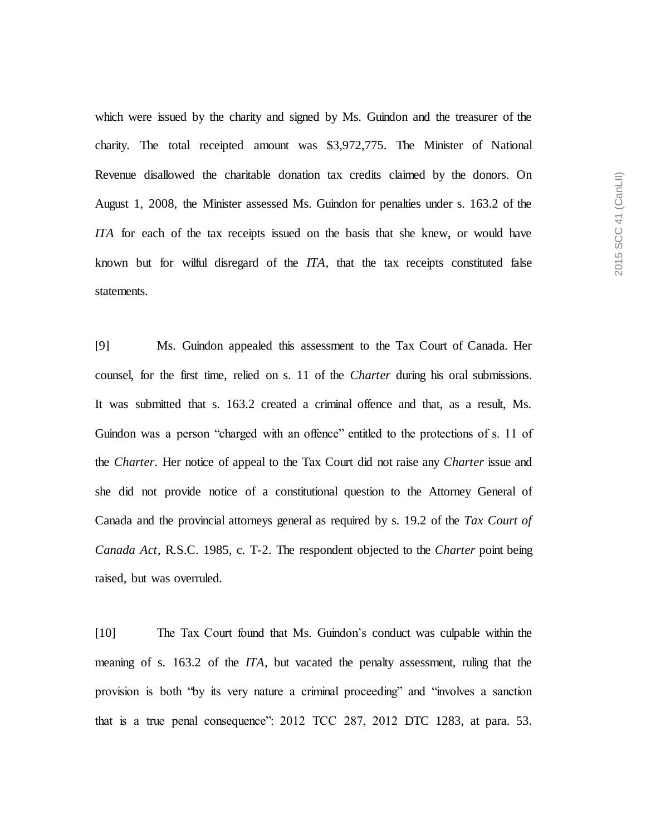which were issued by the charity and signed by Ms. Guindon and the treasurer of the charity. The total receipted amount was \$3,972,775. The Minister of National Revenue disallowed the charitable donation tax credits claimed by the donors. On August 1, 2008, the Minister assessed Ms. Guindon for penalties under s. 163.2 of the *ITA* for each of the tax receipts issued on the basis that she knew, or would have known but for wilful disregard of the *ITA*, that the tax receipts constituted false statements.

[9] Ms. Guindon appealed this assessment to the Tax Court of Canada. Her counsel, for the first time, relied on s. 11 of the *Charter* during his oral submissions. It was submitted that s. 163.2 created a criminal offence and that, as a result, Ms. Guindon was a person "charged with an offence" entitled to the protections of s. 11 of the *Charter*. Her notice of appeal to the Tax Court did not raise any *Charter* issue and she did not provide notice of a constitutional question to the Attorney General of Canada and the provincial attorneys general as required by s. 19.2 of the *Tax Court of Canada Act*, R.S.C. 1985, c. T-2. The respondent objected to the *Charter* point being raised, but was overruled.

[10] The Tax Court found that Ms. Guindon's conduct was culpable within the meaning of s. 163.2 of the *ITA*, but vacated the penalty assessment, ruling that the provision is both "by its very nature a criminal proceeding" and "involves a sanction that is a true penal consequence": 2012 TCC 287, 2012 DTC 1283, at para. 53.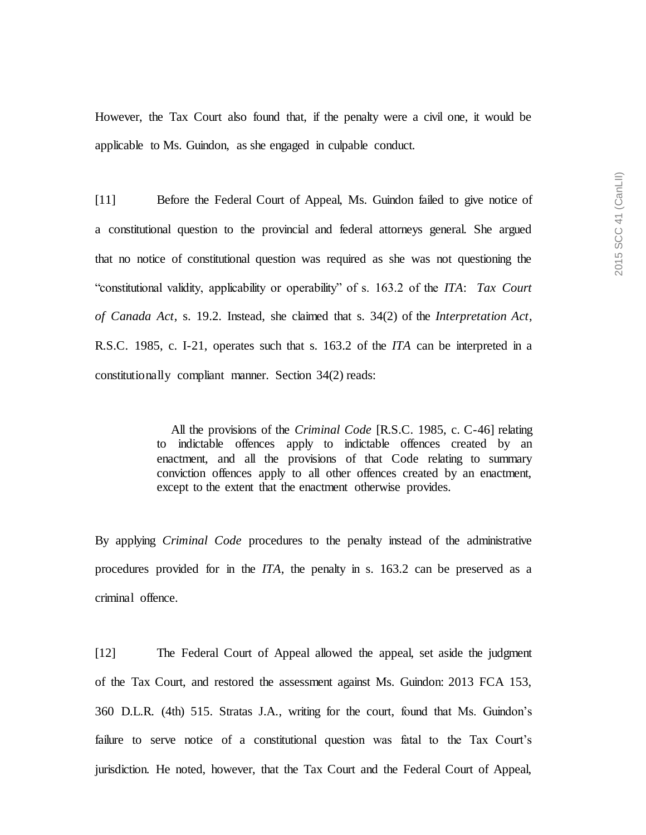However, the Tax Court also found that, if the penalty were a civil one, it would be applicable to Ms. Guindon, as she engaged in culpable conduct.

[11] Before the Federal Court of Appeal, Ms. Guindon failed to give notice of a constitutional question to the provincial and federal attorneys general. She argued that no notice of constitutional question was required as she was not questioning the "constitutional validity, applicability or operability" of s. 163.2 of the *ITA*: *Tax Court of Canada Act*, s. 19.2. Instead, she claimed that s. 34(2) of the *Interpretation Act*, R.S.C. 1985, c. I-21, operates such that s. 163.2 of the *ITA* can be interpreted in a constitutionally compliant manner. Section 34(2) reads:

> All the provisions of the *Criminal Code* [R.S.C. 1985, c. C-46] relating to indictable offences apply to indictable offences created by an enactment, and all the provisions of that Code relating to summary conviction offences apply to all other offences created by an enactment, except to the extent that the enactment otherwise provides.

By applying *Criminal Code* procedures to the penalty instead of the administrative procedures provided for in the *ITA*, the penalty in s. 163.2 can be preserved as a criminal offence.

[12] The Federal Court of Appeal allowed the appeal, set aside the judgment of the Tax Court, and restored the assessment against Ms. Guindon: 2013 FCA 153, 360 D.L.R. (4th) 515. Stratas J.A., writing for the court, found that Ms. Guindon's failure to serve notice of a constitutional question was fatal to the Tax Court's jurisdiction. He noted, however, that the Tax Court and the Federal Court of Appeal,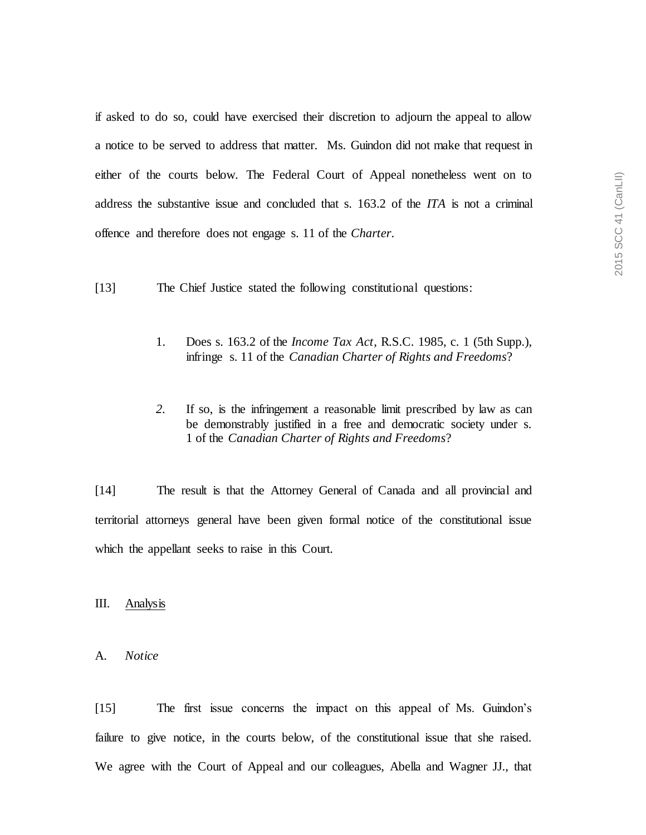if asked to do so, could have exercised their discretion to adjourn the appeal to allow a notice to be served to address that matter. Ms. Guindon did not make that request in either of the courts below. The Federal Court of Appeal nonetheless went on to address the substantive issue and concluded that s. 163.2 of the *ITA* is not a criminal offence and therefore does not engage s. 11 of the *Charter*.

- [13] The Chief Justice stated the following constitutional questions:
	- 1. Does s. 163.2 of the *Income Tax Act*, R.S.C. 1985, c. 1 (5th Supp.), infringe s. 11 of the *Canadian Charter of Rights and Freedoms*?
	- *2.* If so, is the infringement a reasonable limit prescribed by law as can be demonstrably justified in a free and democratic society under s. 1 of the *Canadian Charter of Rights and Freedoms*?

[14] The result is that the Attorney General of Canada and all provincial and territorial attorneys general have been given formal notice of the constitutional issue which the appellant seeks to raise in this Court.

III. Analysis

#### A. *Notice*

[15] The first issue concerns the impact on this appeal of Ms. Guindon's failure to give notice, in the courts below, of the constitutional issue that she raised. We agree with the Court of Appeal and our colleagues, Abella and Wagner JJ., that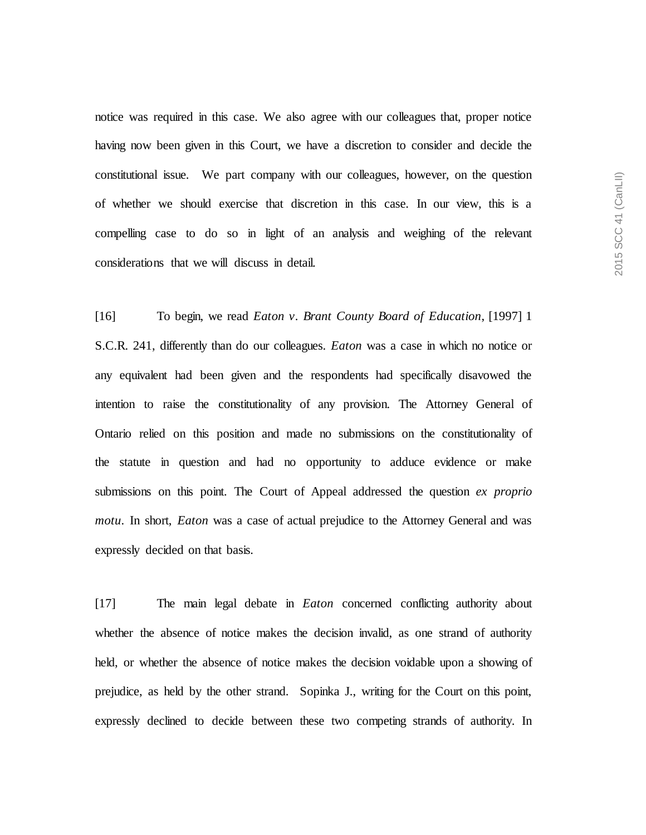notice was required in this case. We also agree with our colleagues that, proper notice having now been given in this Court, we have a discretion to consider and decide the constitutional issue. We part company with our colleagues, however, on the question of whether we should exercise that discretion in this case. In our view, this is a compelling case to do so in light of an analysis and weighing of the relevant considerations that we will discuss in detail.

[16] To begin, we read *Eaton v. Brant County Board of Education*, [1997] 1 S.C.R. 241, differently than do our colleagues. *Eaton* was a case in which no notice or any equivalent had been given and the respondents had specifically disavowed the intention to raise the constitutionality of any provision. The Attorney General of Ontario relied on this position and made no submissions on the constitutionality of the statute in question and had no opportunity to adduce evidence or make submissions on this point. The Court of Appeal addressed the question *ex proprio motu*. In short, *Eaton* was a case of actual prejudice to the Attorney General and was expressly decided on that basis.

[17] The main legal debate in *Eaton* concerned conflicting authority about whether the absence of notice makes the decision invalid, as one strand of authority held, or whether the absence of notice makes the decision voidable upon a showing of prejudice, as held by the other strand. Sopinka J., writing for the Court on this point, expressly declined to decide between these two competing strands of authority. In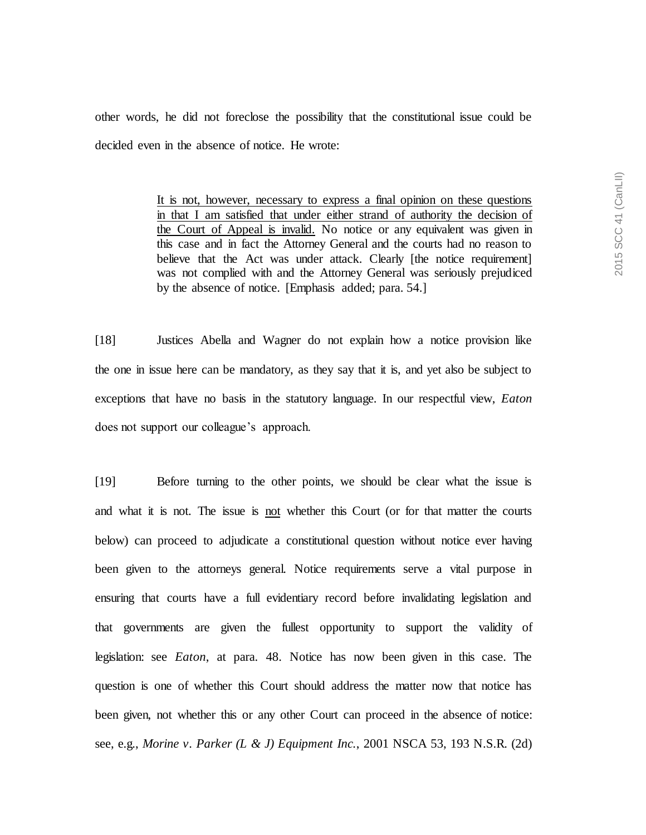other words, he did not foreclose the possibility that the constitutional issue could be decided even in the absence of notice. He wrote:

> It is not, however, necessary to express a final opinion on these questions in that I am satisfied that under either strand of authority the decision of the Court of Appeal is invalid. No notice or any equivalent was given in this case and in fact the Attorney General and the courts had no reason to believe that the Act was under attack. Clearly [the notice requirement] was not complied with and the Attorney General was seriously prejudiced by the absence of notice. [Emphasis added; para. 54.]

[18] Justices Abella and Wagner do not explain how a notice provision like the one in issue here can be mandatory, as they say that it is, and yet also be subject to exceptions that have no basis in the statutory language. In our respectful view, *Eaton*  does not support our colleague's approach.

[19] Before turning to the other points, we should be clear what the issue is and what it is not. The issue is not whether this Court (or for that matter the courts below) can proceed to adjudicate a constitutional question without notice ever having been given to the attorneys general. Notice requirements serve a vital purpose in ensuring that courts have a full evidentiary record before invalidating legislation and that governments are given the fullest opportunity to support the validity of legislation: see *Eaton*, at para. 48. Notice has now been given in this case. The question is one of whether this Court should address the matter now that notice has been given, not whether this or any other Court can proceed in the absence of notice: see, e.g., *Morine v. Parker (L & J) Equipment Inc.*, 2001 NSCA 53, 193 N.S.R. (2d)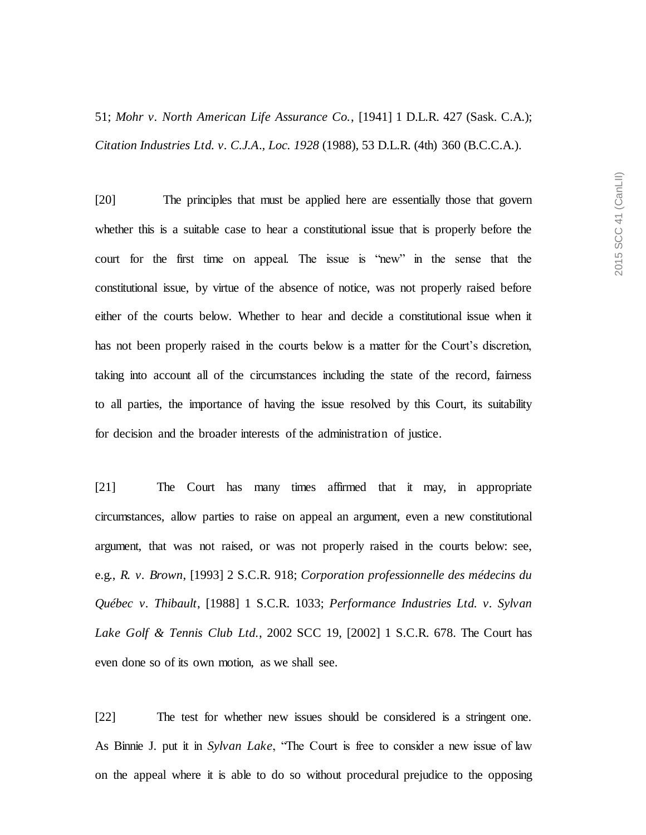[20] The principles that must be applied here are essentially those that govern whether this is a suitable case to hear a constitutional issue that is properly before the court for the first time on appeal. The issue is "new" in the sense that the constitutional issue, by virtue of the absence of notice, was not properly raised before either of the courts below. Whether to hear and decide a constitutional issue when it has not been properly raised in the courts below is a matter for the Court's discretion, taking into account all of the circumstances including the state of the record, fairness to all parties, the importance of having the issue resolved by this Court, its suitability for decision and the broader interests of the administration of justice.

[21] The Court has many times affirmed that it may, in appropriate circumstances, allow parties to raise on appeal an argument, even a new constitutional argument, that was not raised, or was not properly raised in the courts below: see, e.g., *R. v. Brown*, [1993] 2 S.C.R. 918; *Corporation professionnelle des médecins du Québec v. Thibault*, [1988] 1 S.C.R. 1033; *Performance Industries Ltd. v. Sylvan Lake Golf & Tennis Club Ltd.*, 2002 SCC 19, [2002] 1 S.C.R. 678. The Court has even done so of its own motion, as we shall see.

[22] The test for whether new issues should be considered is a stringent one. As Binnie J. put it in *Sylvan Lake*, "The Court is free to consider a new issue of law on the appeal where it is able to do so without procedural prejudice to the opposing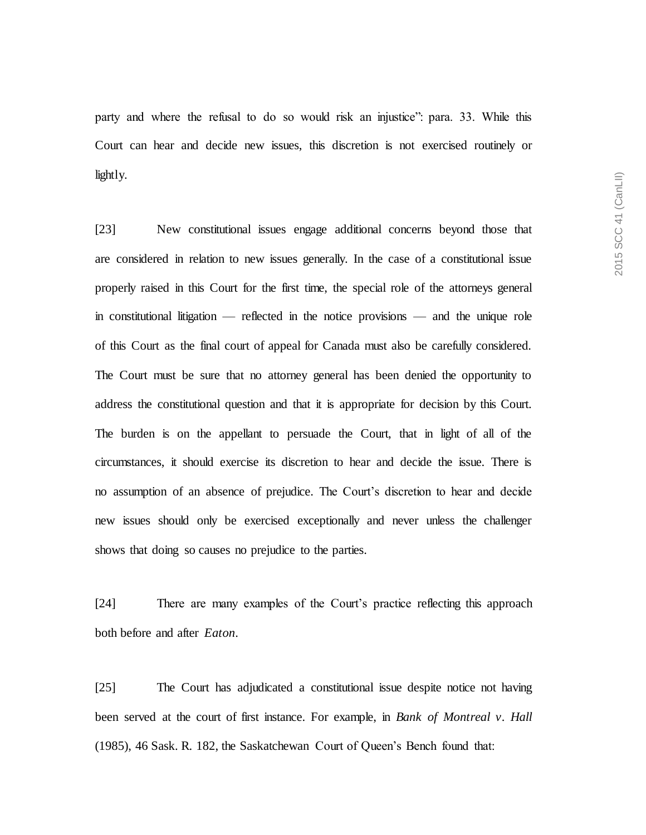party and where the refusal to do so would risk an injustice": para. 33. While this Court can hear and decide new issues, this discretion is not exercised routinely or lightly.

[23] New constitutional issues engage additional concerns beyond those that are considered in relation to new issues generally. In the case of a constitutional issue properly raised in this Court for the first time, the special role of the attorneys general in constitutional litigation — reflected in the notice provisions — and the unique role of this Court as the final court of appeal for Canada must also be carefully considered. The Court must be sure that no attorney general has been denied the opportunity to address the constitutional question and that it is appropriate for decision by this Court. The burden is on the appellant to persuade the Court, that in light of all of the circumstances, it should exercise its discretion to hear and decide the issue. There is no assumption of an absence of prejudice. The Court's discretion to hear and decide new issues should only be exercised exceptionally and never unless the challenger shows that doing so causes no prejudice to the parties.

[24] There are many examples of the Court's practice reflecting this approach both before and after *Eaton*.

[25] The Court has adjudicated a constitutional issue despite notice not having been served at the court of first instance. For example, in *Bank of Montreal v. Hall* (1985), 46 Sask. R. 182, the Saskatchewan Court of Queen's Bench found that: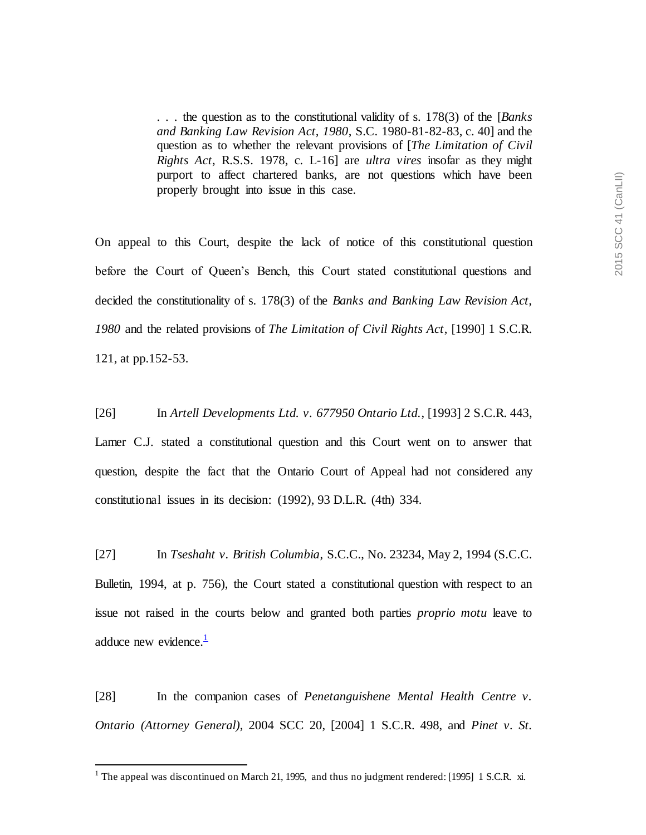. . . the question as to the constitutional validity of s. 178(3) of the [*Banks and Banking Law Revision Act, 1980*, S.C. 1980-81-82-83, c. 40] and the question as to whether the relevant provisions of [*The Limitation of Civil Rights Act*, R.S.S. 1978, c. L-16] are *ultra vires* insofar as they might purport to affect chartered banks, are not questions which have been properly brought into issue in this case.

On appeal to this Court, despite the lack of notice of this constitutional question before the Court of Queen's Bench, this Court stated constitutional questions and decided the constitutionality of s. 178(3) of the *Banks and Banking Law Revision Act, 1980* and the related provisions of *The Limitation of Civil Rights Act*, [1990] 1 S.C.R. 121, at pp.152-53.

[26] In *Artell Developments Ltd. v. 677950 Ontario Ltd.*, [1993] 2 S.C.R. 443,

Lamer C.J. stated a constitutional question and this Court went on to answer that question, despite the fact that the Ontario Court of Appeal had not considered any constitutional issues in its decision: (1992), 93 D.L.R. (4th) 334.

[27] In *Tseshaht v. British Columbia*, S.C.C., No. 23234, May 2, 1994 (S.C.C. Bulletin, 1994, at p. 756), the Court stated a constitutional question with respect to an issue not raised in the courts below and granted both parties *proprio motu* leave to adduce new evidence. $\frac{1}{1}$ 

[28] In the companion cases of *Penetanguishene Mental Health Centre v. Ontario (Attorney General)*, 2004 SCC 20, [2004] 1 S.C.R. 498, and *Pinet v. St.* 

 $\overline{a}$ 

<sup>&</sup>lt;sup>1</sup> The appeal was discontinued on March 21, 1995, and thus no judgment rendered: [1995] 1 S.C.R. xi.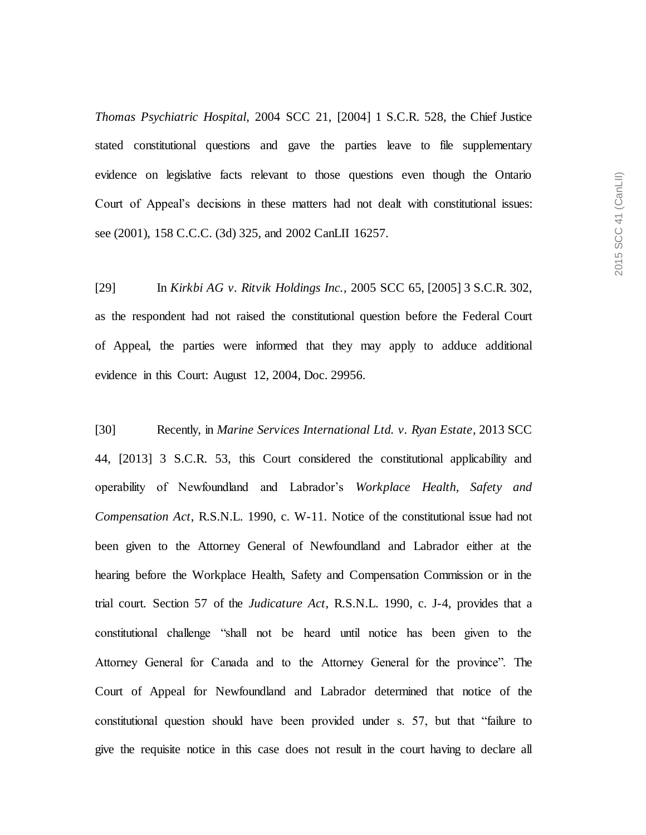*Thomas Psychiatric Hospital*, 2004 SCC 21, [2004] 1 S.C.R. 528, the Chief Justice stated constitutional questions and gave the parties leave to file supplementary evidence on legislative facts relevant to those questions even though the Ontario Court of Appeal's decisions in these matters had not dealt with constitutional issues: see (2001), 158 C.C.C. (3d) 325, and 2002 CanLII 16257.

[29] In *Kirkbi AG v. Ritvik Holdings Inc.*, 2005 SCC 65, [2005] 3 S.C.R. 302, as the respondent had not raised the constitutional question before the Federal Court of Appeal, the parties were informed that they may apply to adduce additional evidence in this Court: August 12, 2004, Doc. 29956.

[30] Recently, in *Marine Services International Ltd. v. Ryan Estate*, 2013 SCC 44, [2013] 3 S.C.R. 53, this Court considered the constitutional applicability and operability of Newfoundland and Labrador's *Workplace Health, Safety and Compensation Act*, R.S.N.L. 1990, c. W-11. Notice of the constitutional issue had not been given to the Attorney General of Newfoundland and Labrador either at the hearing before the Workplace Health, Safety and Compensation Commission or in the trial court. Section 57 of the *Judicature Act*, R.S.N.L. 1990, c. J-4, provides that a constitutional challenge "shall not be heard until notice has been given to the Attorney General for Canada and to the Attorney General for the province". The Court of Appeal for Newfoundland and Labrador determined that notice of the constitutional question should have been provided under s. 57, but that "failure to give the requisite notice in this case does not result in the court having to declare all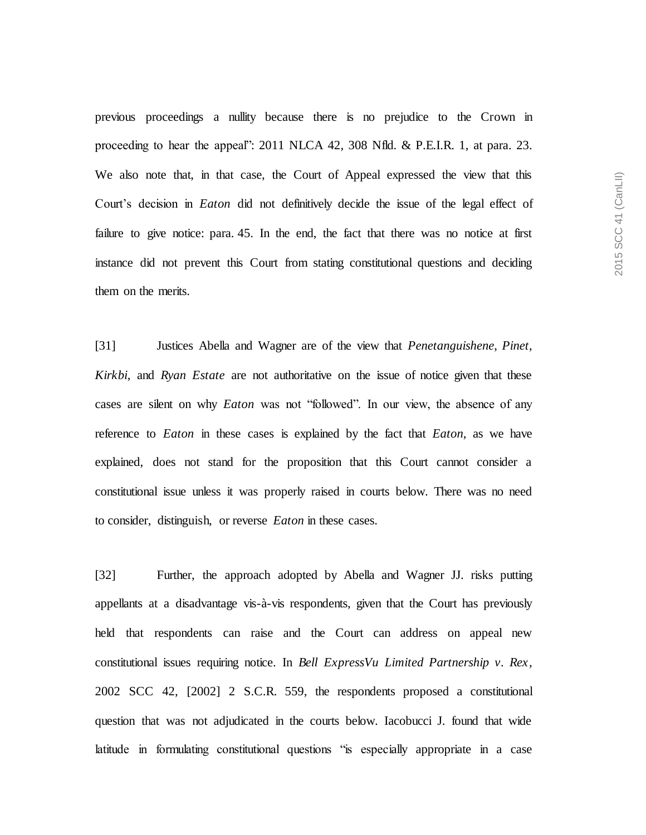previous proceedings a nullity because there is no prejudice to the Crown in proceeding to hear the appeal": 2011 NLCA 42, 308 Nfld. & P.E.I.R. 1, at para. 23. We also note that, in that case, the Court of Appeal expressed the view that this Court's decision in *Eaton* did not definitively decide the issue of the legal effect of failure to give notice: para. 45. In the end, the fact that there was no notice at first instance did not prevent this Court from stating constitutional questions and deciding them on the merits.

[31] Justices Abella and Wagner are of the view that *Penetanguishene*, *Pinet*, *Kirkbi*, and *Ryan Estate* are not authoritative on the issue of notice given that these cases are silent on why *Eaton* was not "followed". In our view, the absence of any reference to *Eaton* in these cases is explained by the fact that *Eaton*, as we have explained, does not stand for the proposition that this Court cannot consider a constitutional issue unless it was properly raised in courts below. There was no need to consider, distinguish, or reverse *Eaton* in these cases.

[32] Further, the approach adopted by Abella and Wagner JJ. risks putting appellants at a disadvantage vis-à-vis respondents, given that the Court has previously held that respondents can raise and the Court can address on appeal new constitutional issues requiring notice. In *Bell ExpressVu Limited Partnership v. Rex*, 2002 SCC 42, [2002] 2 S.C.R. 559, the respondents proposed a constitutional question that was not adjudicated in the courts below. Iacobucci J. found that wide latitude in formulating constitutional questions "is especially appropriate in a case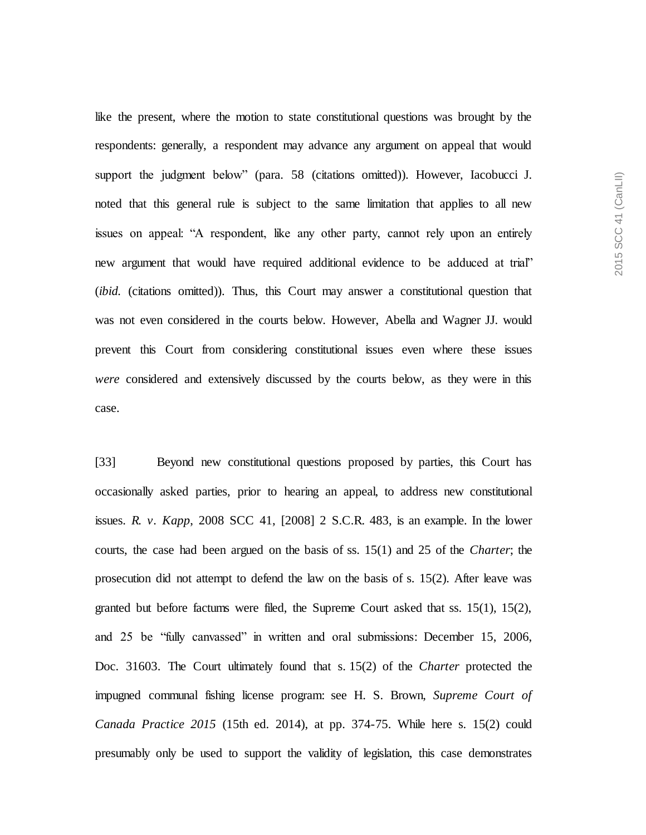like the present, where the motion to state constitutional questions was brought by the respondents: generally, a respondent may advance any argument on appeal that would support the judgment below" (para. 58 (citations omitted)). However, Iacobucci J. noted that this general rule is subject to the same limitation that applies to all new issues on appeal: "A respondent, like any other party, cannot rely upon an entirely new argument that would have required additional evidence to be adduced at trial" (*ibid.* (citations omitted)). Thus, this Court may answer a constitutional question that was not even considered in the courts below. However, Abella and Wagner JJ. would prevent this Court from considering constitutional issues even where these issues *were* considered and extensively discussed by the courts below, as they were in this case.

[33] Beyond new constitutional questions proposed by parties, this Court has occasionally asked parties, prior to hearing an appeal, to address new constitutional issues. *R. v. Kapp*, 2008 SCC 41, [2008] 2 S.C.R. 483, is an example. In the lower courts, the case had been argued on the basis of ss. 15(1) and 25 of the *Charter*; the prosecution did not attempt to defend the law on the basis of s. 15(2). After leave was granted but before factums were filed, the Supreme Court asked that ss. 15(1), 15(2), and 25 be "fully canvassed" in written and oral submissions: December 15, 2006, Doc. 31603. The Court ultimately found that s. 15(2) of the *Charter* protected the impugned communal fishing license program: see H. S. Brown, *Supreme Court of Canada Practice 2015* (15th ed. 2014), at pp. 374-75. While here s. 15(2) could presumably only be used to support the validity of legislation, this case demonstrates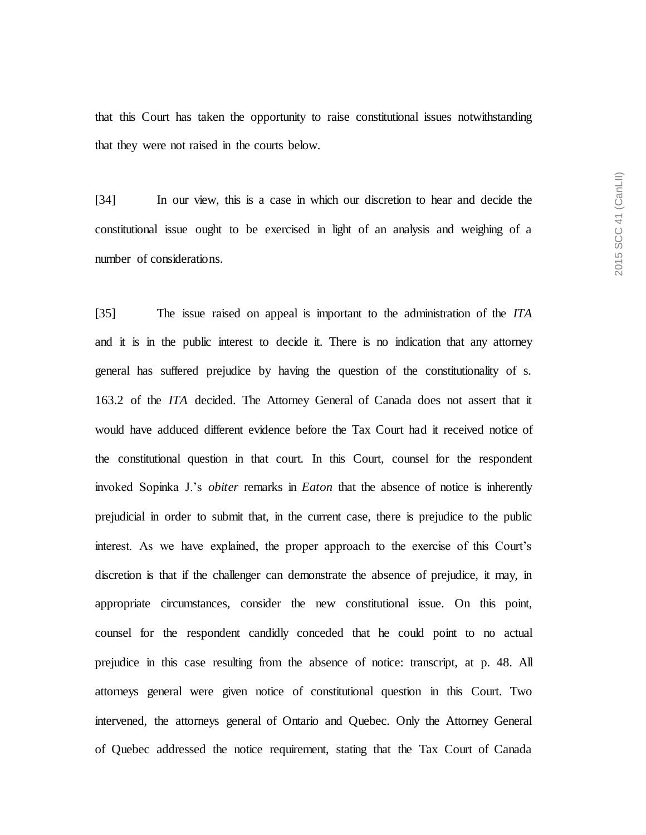that this Court has taken the opportunity to raise constitutional issues notwithstanding that they were not raised in the courts below.

[34] In our view, this is a case in which our discretion to hear and decide the constitutional issue ought to be exercised in light of an analysis and weighing of a number of considerations.

[35] The issue raised on appeal is important to the administration of the *ITA* and it is in the public interest to decide it. There is no indication that any attorney general has suffered prejudice by having the question of the constitutionality of s. 163.2 of the *ITA* decided. The Attorney General of Canada does not assert that it would have adduced different evidence before the Tax Court had it received notice of the constitutional question in that court. In this Court, counsel for the respondent invoked Sopinka J.'s *obiter* remarks in *Eaton* that the absence of notice is inherently prejudicial in order to submit that, in the current case, there is prejudice to the public interest. As we have explained, the proper approach to the exercise of this Court's discretion is that if the challenger can demonstrate the absence of prejudice, it may, in appropriate circumstances, consider the new constitutional issue. On this point, counsel for the respondent candidly conceded that he could point to no actual prejudice in this case resulting from the absence of notice: transcript, at p. 48. All attorneys general were given notice of constitutional question in this Court. Two intervened, the attorneys general of Ontario and Quebec. Only the Attorney General of Quebec addressed the notice requirement, stating that the Tax Court of Canada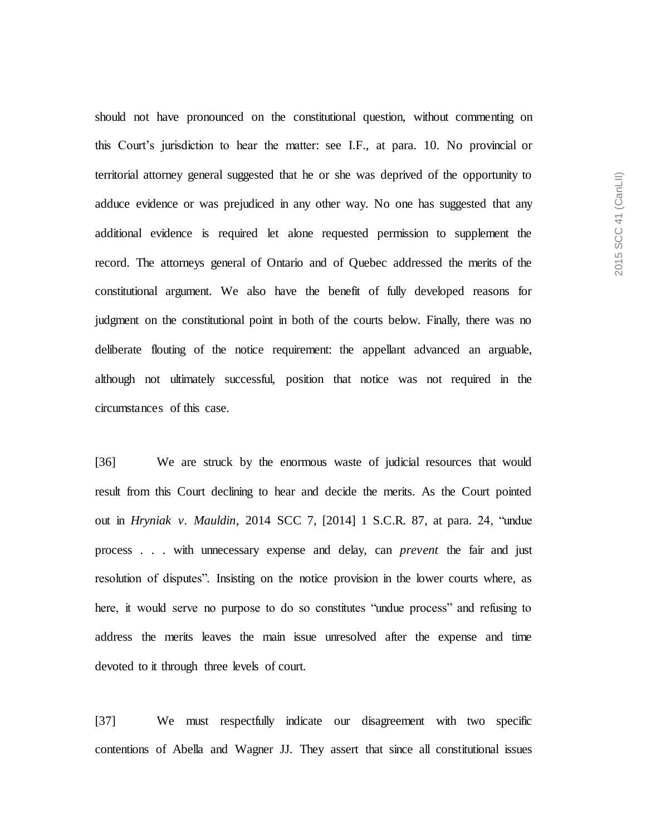should not have pronounced on the constitutional question, without commenting on this Court's jurisdiction to hear the matter: see I.F., at para. 10. No provincial or territorial attorney general suggested that he or she was deprived of the opportunity to adduce evidence or was prejudiced in any other way. No one has suggested that any additional evidence is required let alone requested permission to supplement the record. The attorneys general of Ontario and of Quebec addressed the merits of the constitutional argument. We also have the benefit of fully developed reasons for judgment on the constitutional point in both of the courts below. Finally, there was no deliberate flouting of the notice requirement: the appellant advanced an arguable, although not ultimately successful, position that notice was not required in the circumstances of this case.

[36] We are struck by the enormous waste of judicial resources that would result from this Court declining to hear and decide the merits. As the Court pointed out in *Hryniak v. Mauldin*, 2014 SCC 7, [2014] 1 S.C.R. 87, at para. 24, "undue process . . . with unnecessary expense and delay, can *prevent* the fair and just resolution of disputes". Insisting on the notice provision in the lower courts where, as here, it would serve no purpose to do so constitutes "undue process" and refusing to address the merits leaves the main issue unresolved after the expense and time devoted to it through three levels of court.

[37] We must respectfully indicate our disagreement with two specific contentions of Abella and Wagner JJ. They assert that since all constitutional issues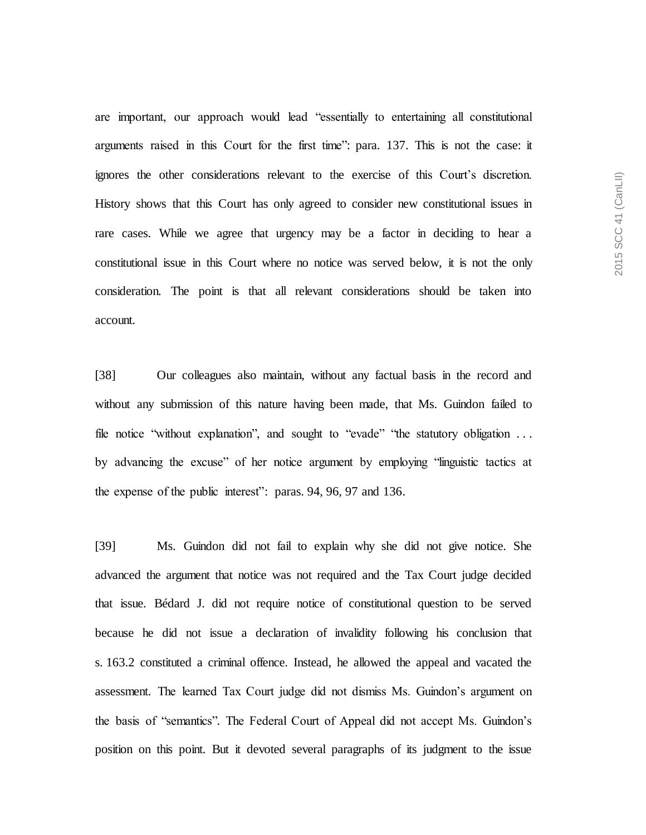are important, our approach would lead "essentially to entertaining all constitutional arguments raised in this Court for the first time": para. 137. This is not the case: it ignores the other considerations relevant to the exercise of this Court's discretion. History shows that this Court has only agreed to consider new constitutional issues in rare cases. While we agree that urgency may be a factor in deciding to hear a constitutional issue in this Court where no notice was served below, it is not the only consideration. The point is that all relevant considerations should be taken into account.

[38] Our colleagues also maintain, without any factual basis in the record and without any submission of this nature having been made, that Ms. Guindon failed to file notice "without explanation", and sought to "evade" "the statutory obligation ... by advancing the excuse" of her notice argument by employing "linguistic tactics at the expense of the public interest": paras. 94, 96, 97 and 136.

[39] Ms. Guindon did not fail to explain why she did not give notice. She advanced the argument that notice was not required and the Tax Court judge decided that issue. Bédard J. did not require notice of constitutional question to be served because he did not issue a declaration of invalidity following his conclusion that s. 163.2 constituted a criminal offence. Instead, he allowed the appeal and vacated the assessment. The learned Tax Court judge did not dismiss Ms. Guindon's argument on the basis of "semantics". The Federal Court of Appeal did not accept Ms. Guindon's position on this point. But it devoted several paragraphs of its judgment to the issue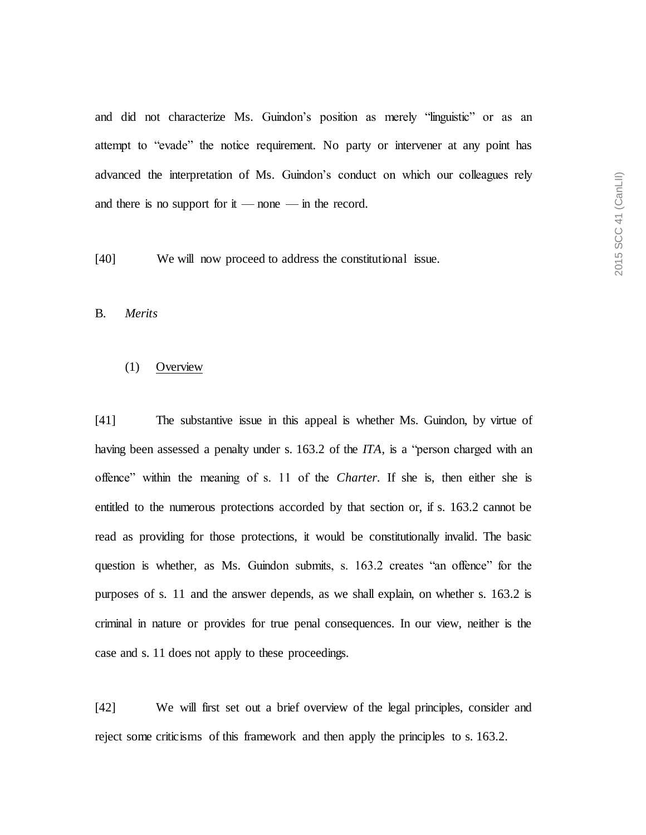and did not characterize Ms. Guindon's position as merely "linguistic" or as an attempt to "evade" the notice requirement. No party or intervener at any point has advanced the interpretation of Ms. Guindon's conduct on which our colleagues rely and there is no support for it — none — in the record.

[40] We will now proceed to address the constitutional issue.

B. *Merits*

#### (1) Overview

[41] The substantive issue in this appeal is whether Ms. Guindon, by virtue of having been assessed a penalty under s. 163.2 of the *ITA*, is a "person charged with an offence" within the meaning of s. 11 of the *Charter*. If she is, then either she is entitled to the numerous protections accorded by that section or, if s. 163.2 cannot be read as providing for those protections, it would be constitutionally invalid. The basic question is whether, as Ms. Guindon submits, s. 163.2 creates "an offence" for the purposes of s. 11 and the answer depends, as we shall explain, on whether s. 163.2 is criminal in nature or provides for true penal consequences. In our view, neither is the case and s. 11 does not apply to these proceedings.

[42] We will first set out a brief overview of the legal principles, consider and reject some criticisms of this framework and then apply the principles to s. 163.2.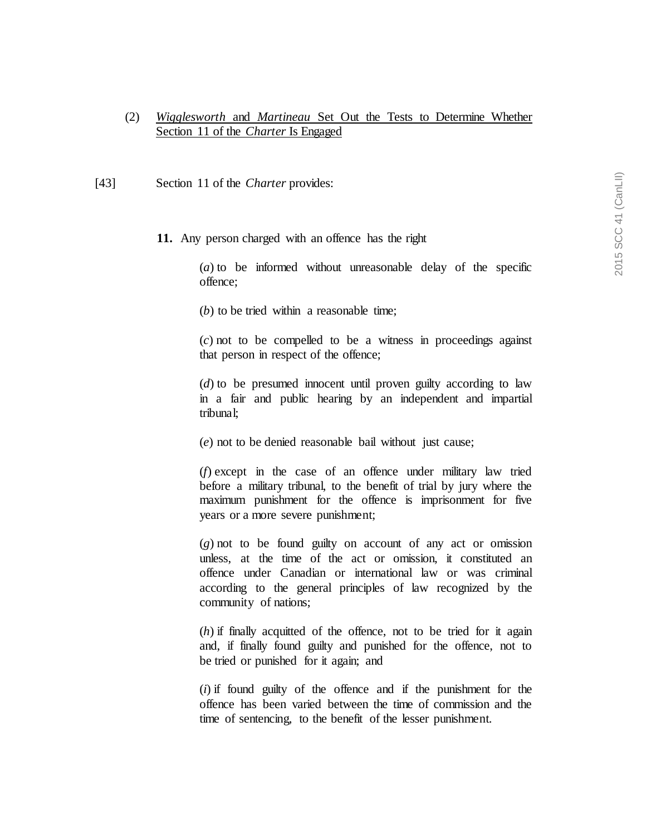# (2) *Wigglesworth* and *Martineau* Set Out the Tests to Determine Whether Section 11 of the *Charter* Is Engaged

- [43] Section 11 of the *Charter* provides:
	- **11.** Any person charged with an offence has the right

(*a*) to be informed without unreasonable delay of the specific offence;

(*b*) to be tried within a reasonable time;

(*c*) not to be compelled to be a witness in proceedings against that person in respect of the offence;

(*d*) to be presumed innocent until proven guilty according to law in a fair and public hearing by an independent and impartial tribunal;

(*e*) not to be denied reasonable bail without just cause;

(*f*) except in the case of an offence under military law tried before a military tribunal, to the benefit of trial by jury where the maximum punishment for the offence is imprisonment for five years or a more severe punishment;

(*g*) not to be found guilty on account of any act or omission unless, at the time of the act or omission, it constituted an offence under Canadian or international law or was criminal according to the general principles of law recognized by the community of nations;

(*h*) if finally acquitted of the offence, not to be tried for it again and, if finally found guilty and punished for the offence, not to be tried or punished for it again; and

(*i*) if found guilty of the offence and if the punishment for the offence has been varied between the time of commission and the time of sentencing, to the benefit of the lesser punishment.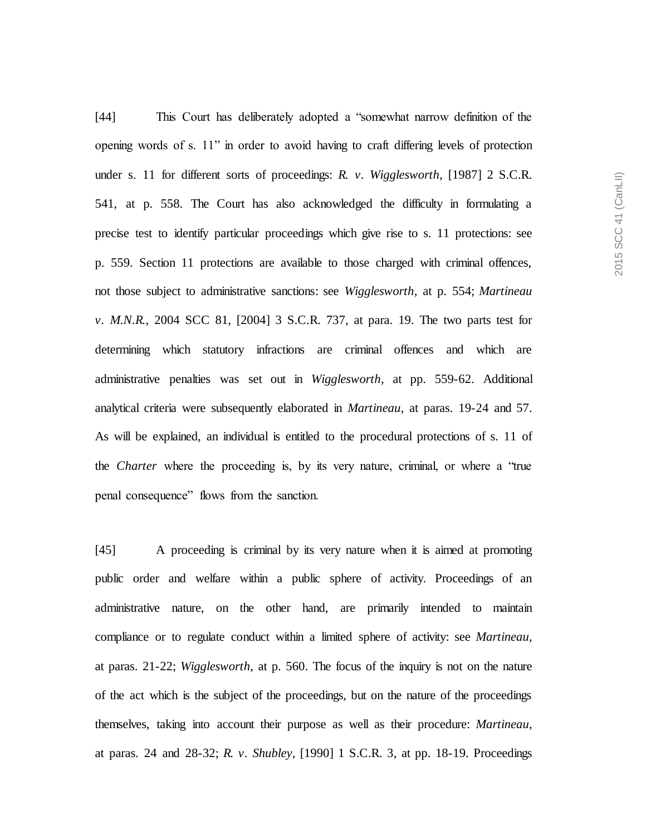[44] This Court has deliberately adopted a "somewhat narrow definition of the opening words of s. 11" in order to avoid having to craft differing levels of protection under s. 11 for different sorts of proceedings: *R. v. Wigglesworth*, [1987] 2 S.C.R. 541, at p. 558. The Court has also acknowledged the difficulty in formulating a precise test to identify particular proceedings which give rise to s. 11 protections: see p. 559. Section 11 protections are available to those charged with criminal offences, not those subject to administrative sanctions: see *Wigglesworth*, at p. 554; *Martineau v. M.N.R.*, 2004 SCC 81, [2004] 3 S.C.R. 737, at para. 19. The two parts test for determining which statutory infractions are criminal offences and which are administrative penalties was set out in *Wigglesworth*, at pp. 559-62. Additional analytical criteria were subsequently elaborated in *Martineau*, at paras. 19-24 and 57. As will be explained, an individual is entitled to the procedural protections of s. 11 of the *Charter* where the proceeding is, by its very nature, criminal, or where a "true penal consequence" flows from the sanction.

[45] A proceeding is criminal by its very nature when it is aimed at promoting public order and welfare within a public sphere of activity. Proceedings of an administrative nature, on the other hand, are primarily intended to maintain compliance or to regulate conduct within a limited sphere of activity: see *Martineau*, at paras. 21-22; *Wigglesworth*, at p. 560. The focus of the inquiry is not on the nature of the act which is the subject of the proceedings, but on the nature of the proceedings themselves, taking into account their purpose as well as their procedure: *Martineau*, at paras. 24 and 28-32; *R. v. Shubley*, [1990] 1 S.C.R. 3, at pp. 18-19. Proceedings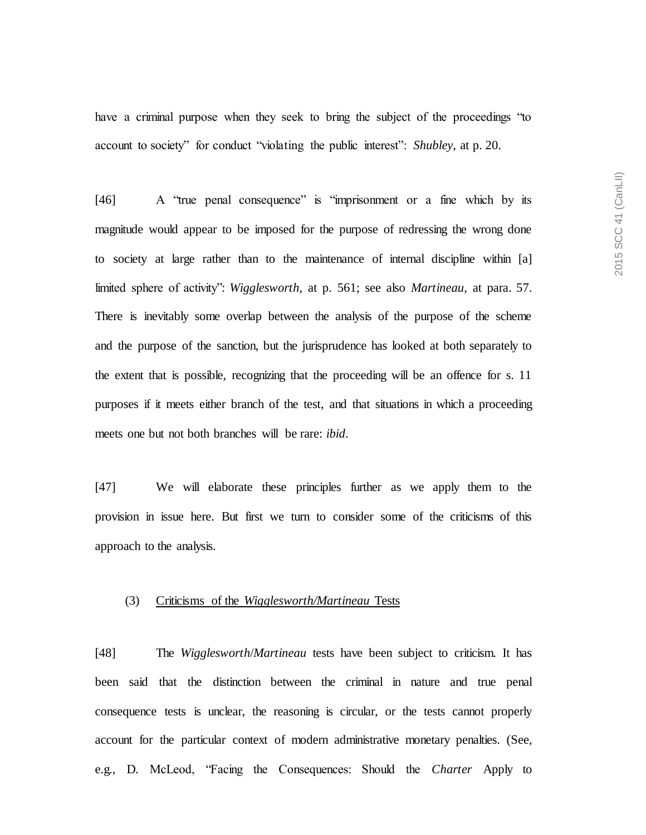have a criminal purpose when they seek to bring the subject of the proceedings "to account to society" for conduct "violating the public interest": *Shubley*, at p. 20.

[46] A "true penal consequence" is "imprisonment or a fine which by its magnitude would appear to be imposed for the purpose of redressing the wrong done to society at large rather than to the maintenance of internal discipline within [a] limited sphere of activity": *Wigglesworth*, at p. 561; see also *Martineau*, at para. 57. There is inevitably some overlap between the analysis of the purpose of the scheme and the purpose of the sanction, but the jurisprudence has looked at both separately to the extent that is possible, recognizing that the proceeding will be an offence for s. 11 purposes if it meets either branch of the test, and that situations in which a proceeding meets one but not both branches will be rare: *ibid*.

[47] We will elaborate these principles further as we apply them to the provision in issue here. But first we turn to consider some of the criticisms of this approach to the analysis.

## (3) Criticisms of the *Wigglesworth/Martineau* Tests

[48] The *Wigglesworth*/*Martineau* tests have been subject to criticism. It has been said that the distinction between the criminal in nature and true penal consequence tests is unclear, the reasoning is circular, or the tests cannot properly account for the particular context of modern administrative monetary penalties. (See, e.g., D. McLeod, "Facing the Consequences: Should the *Charter* Apply to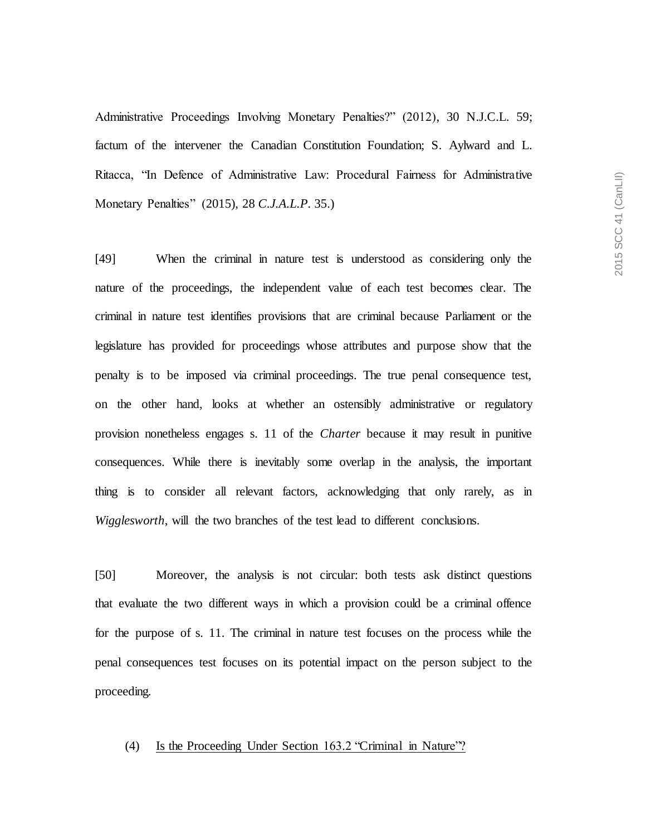Administrative Proceedings Involving Monetary Penalties?" (2012), 30 N.J.C.L. 59; factum of the intervener the Canadian Constitution Foundation; S. Aylward and L. Ritacca, "In Defence of Administrative Law: Procedural Fairness for Administrative Monetary Penalties" (2015), 28 *C.J.A.L.P.* 35.)

[49] When the criminal in nature test is understood as considering only the nature of the proceedings, the independent value of each test becomes clear. The criminal in nature test identifies provisions that are criminal because Parliament or the legislature has provided for proceedings whose attributes and purpose show that the penalty is to be imposed via criminal proceedings. The true penal consequence test, on the other hand, looks at whether an ostensibly administrative or regulatory provision nonetheless engages s. 11 of the *Charter* because it may result in punitive consequences. While there is inevitably some overlap in the analysis, the important thing is to consider all relevant factors, acknowledging that only rarely, as in *Wigglesworth*, will the two branches of the test lead to different conclusions.

[50] Moreover, the analysis is not circular: both tests ask distinct questions that evaluate the two different ways in which a provision could be a criminal offence for the purpose of s. 11. The criminal in nature test focuses on the process while the penal consequences test focuses on its potential impact on the person subject to the proceeding.

### (4) Is the Proceeding Under Section 163.2 "Criminal in Nature"?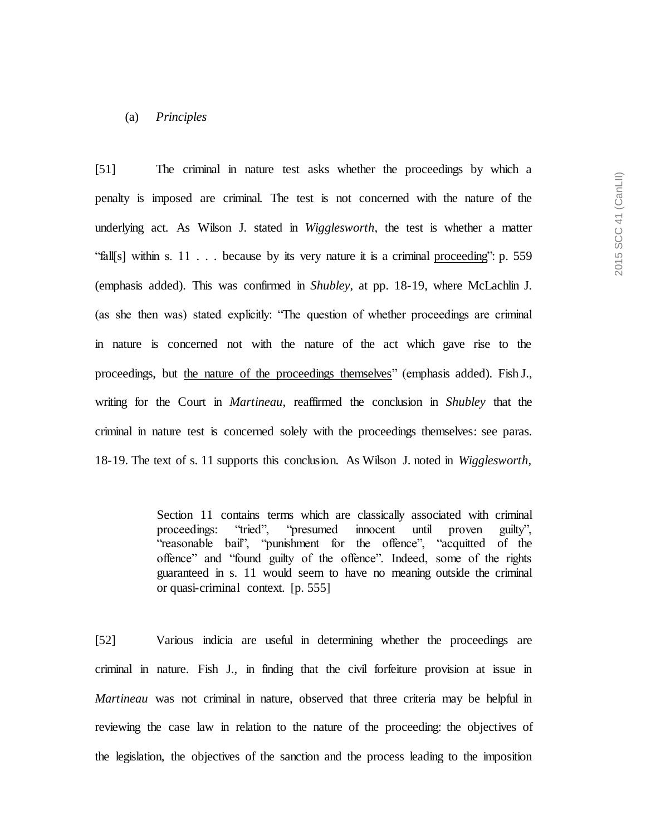### (a) *Principles*

[51] The criminal in nature test asks whether the proceedings by which a penalty is imposed are criminal. The test is not concerned with the nature of the underlying act. As Wilson J. stated in *Wigglesworth*, the test is whether a matter "fall[s] within s. 11  $\ldots$  because by its very nature it is a criminal proceeding": p. 559 (emphasis added). This was confirmed in *Shubley*, at pp. 18-19, where McLachlin J. (as she then was) stated explicitly: "The question of whether proceedings are criminal in nature is concerned not with the nature of the act which gave rise to the proceedings, but the nature of the proceedings themselves" (emphasis added). Fish J., writing for the Court in *Martineau*, reaffirmed the conclusion in *Shubley* that the criminal in nature test is concerned solely with the proceedings themselves: see paras. 18-19. The text of s. 11 supports this conclusion. As Wilson J. noted in *Wigglesworth*,

> Section 11 contains terms which are classically associated with criminal proceedings: "tried", "presumed innocent until proven guilty", "reasonable bail", "punishment for the offence", "acquitted of the offence" and "found guilty of the offence". Indeed, some of the rights guaranteed in s. 11 would seem to have no meaning outside the criminal or quasi-criminal context. [p. 555]

[52] Various indicia are useful in determining whether the proceedings are criminal in nature. Fish J., in finding that the civil forfeiture provision at issue in *Martineau* was not criminal in nature, observed that three criteria may be helpful in reviewing the case law in relation to the nature of the proceeding: the objectives of the legislation, the objectives of the sanction and the process leading to the imposition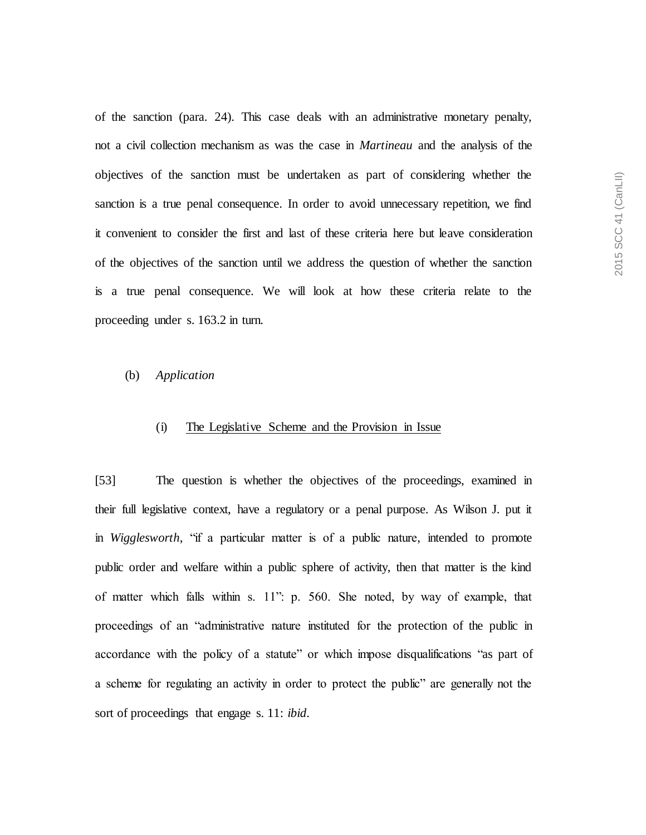of the sanction (para. 24). This case deals with an administrative monetary penalty, not a civil collection mechanism as was the case in *Martineau* and the analysis of the objectives of the sanction must be undertaken as part of considering whether the sanction is a true penal consequence. In order to avoid unnecessary repetition, we find it convenient to consider the first and last of these criteria here but leave consideration of the objectives of the sanction until we address the question of whether the sanction is a true penal consequence. We will look at how these criteria relate to the proceeding under s. 163.2 in turn.

### (b) *Application*

### (i) The Legislative Scheme and the Provision in Issue

[53] The question is whether the objectives of the proceedings, examined in their full legislative context, have a regulatory or a penal purpose. As Wilson J. put it in *Wigglesworth*, "if a particular matter is of a public nature, intended to promote public order and welfare within a public sphere of activity, then that matter is the kind of matter which falls within s. 11": p. 560. She noted, by way of example, that proceedings of an "administrative nature instituted for the protection of the public in accordance with the policy of a statute" or which impose disqualifications "as part of a scheme for regulating an activity in order to protect the public" are generally not the sort of proceedings that engage s. 11: *ibid*.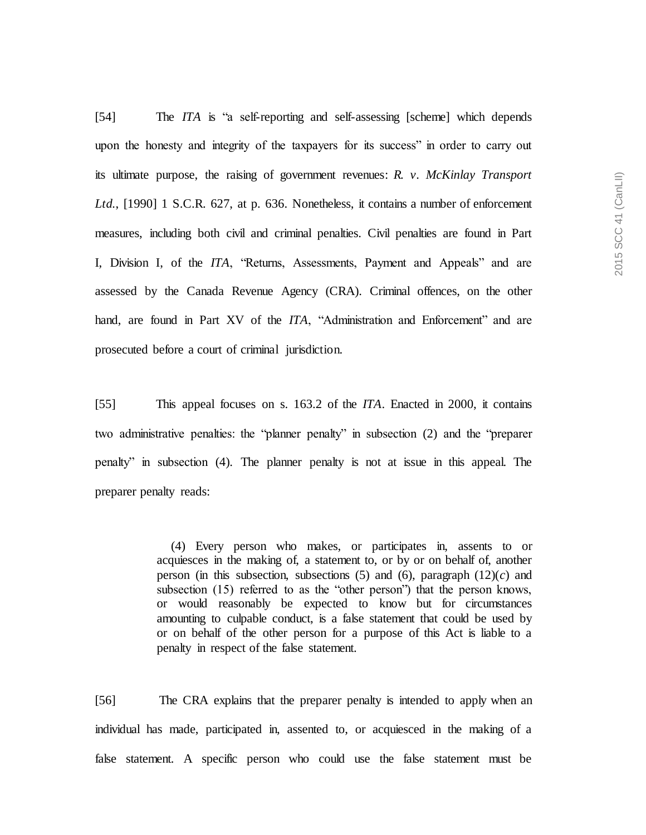[54] The *ITA* is "a self-reporting and self-assessing [scheme] which depends upon the honesty and integrity of the taxpayers for its success" in order to carry out its ultimate purpose, the raising of government revenues: *R. v. McKinlay Transport*  Ltd., [1990] 1 S.C.R. 627, at p. 636. Nonetheless, it contains a number of enforcement measures, including both civil and criminal penalties. Civil penalties are found in Part I, Division I, of the *ITA*, "Returns, Assessments, Payment and Appeals" and are assessed by the Canada Revenue Agency (CRA). Criminal offences, on the other hand, are found in Part XV of the *ITA*, "Administration and Enforcement" and are prosecuted before a court of criminal jurisdiction.

[55] This appeal focuses on s. 163.2 of the *ITA*. Enacted in 2000, it contains two administrative penalties: the "planner penalty" in subsection (2) and the "preparer penalty" in subsection (4). The planner penalty is not at issue in this appeal. The preparer penalty reads:

> (4) Every person who makes, or participates in, assents to or acquiesces in the making of, a statement to, or by or on behalf of, another person (in this subsection, subsections  $(5)$  and  $(6)$ , paragraph  $(12)(c)$  and subsection (15) referred to as the "other person") that the person knows, or would reasonably be expected to know but for circumstances amounting to culpable conduct, is a false statement that could be used by or on behalf of the other person for a purpose of this Act is liable to a penalty in respect of the false statement.

[56] The CRA explains that the preparer penalty is intended to apply when an individual has made, participated in, assented to, or acquiesced in the making of a false statement. A specific person who could use the false statement must be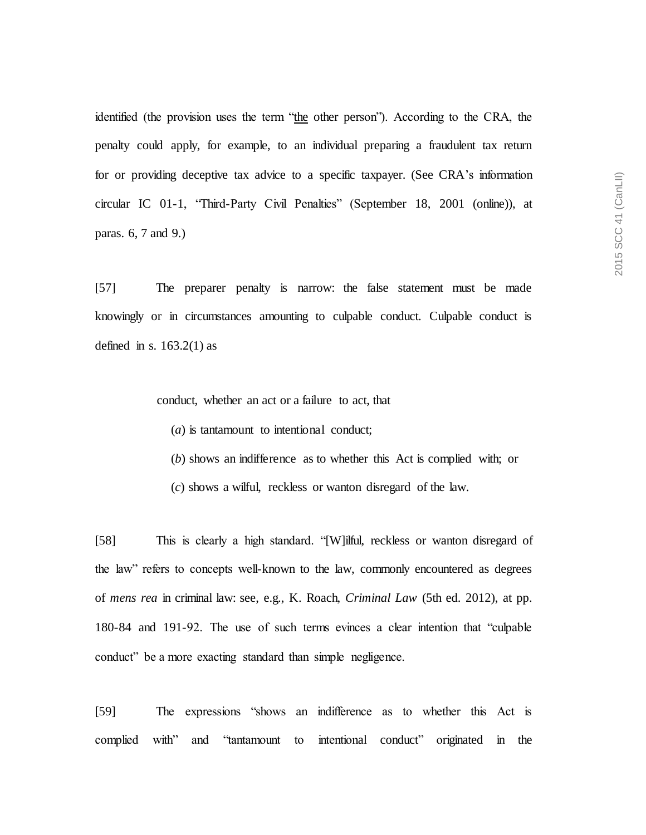identified (the provision uses the term "the other person"). According to the CRA, the penalty could apply, for example, to an individual preparing a fraudulent tax return for or providing deceptive tax advice to a specific taxpayer. (See CRA's information circular IC 01-1, "Third-Party Civil Penalties" (September 18, 2001 (online)), at paras. 6, 7 and 9.)

[57] The preparer penalty is narrow: the false statement must be made knowingly or in circumstances amounting to culpable conduct. Culpable conduct is defined in s.  $163.2(1)$  as

conduct, whether an act or a failure to act, that

(*a*) is tantamount to intentional conduct;

(*b*) shows an indifference as to whether this Act is complied with; or

(*c*) shows a wilful, reckless or wanton disregard of the law.

[58] This is clearly a high standard. "[W]ilful, reckless or wanton disregard of the law" refers to concepts well-known to the law, commonly encountered as degrees of *mens rea* in criminal law: see, e.g., K. Roach, *Criminal Law* (5th ed. 2012), at pp. 180-84 and 191-92. The use of such terms evinces a clear intention that "culpable conduct" be a more exacting standard than simple negligence.

[59] The expressions "shows an indifference as to whether this Act is complied with" and "tantamount to intentional conduct" originated in the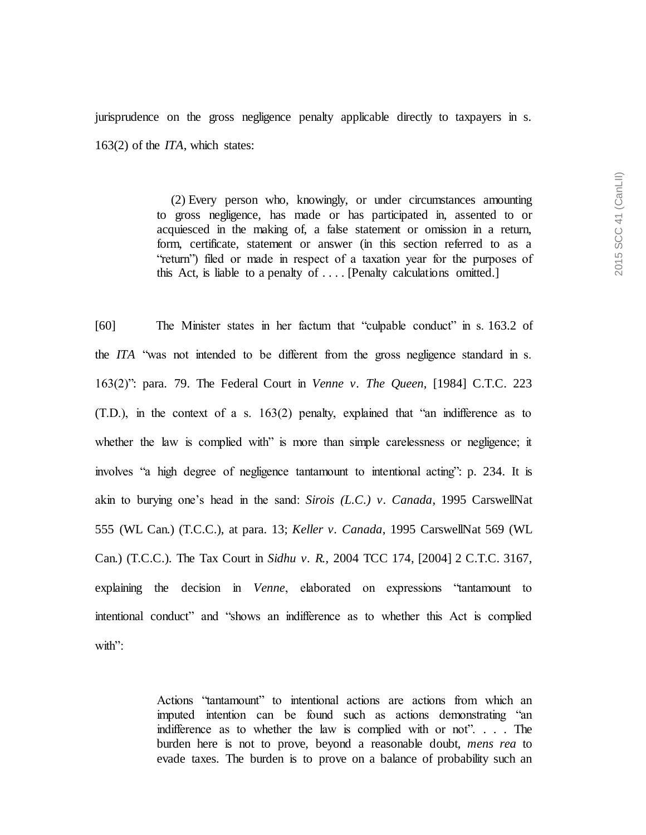jurisprudence on the gross negligence penalty applicable directly to taxpayers in s. 163(2) of the *ITA*, which states:

> (2) Every person who, knowingly, or under circumstances amounting to gross negligence, has made or has participated in, assented to or acquiesced in the making of, a false statement or omission in a return, form, certificate, statement or answer (in this section referred to as a "return") filed or made in respect of a taxation year for the purposes of this Act, is liable to a penalty of . . . . [Penalty calculations omitted.]

[60] The Minister states in her factum that "culpable conduct" in s. 163.2 of the *ITA* "was not intended to be different from the gross negligence standard in s. 163(2)": para. 79. The Federal Court in *Venne v. The Queen*, [1984] C.T.C. 223 (T.D.), in the context of a s. 163(2) penalty, explained that "an indifference as to whether the law is complied with" is more than simple carelessness or negligence; it involves "a high degree of negligence tantamount to intentional acting": p. 234. It is akin to burying one's head in the sand: *Sirois (L.C.) v. Canada*, 1995 CarswellNat 555 (WL Can.) (T.C.C.), at para. 13; *Keller v. Canada*, 1995 CarswellNat 569 (WL Can.) (T.C.C.). The Tax Court in *Sidhu v. R.*, 2004 TCC 174, [2004] 2 C.T.C. 3167, explaining the decision in *Venne*, elaborated on expressions "tantamount to intentional conduct" and "shows an indifference as to whether this Act is complied with"

> Actions "tantamount" to intentional actions are actions from which an imputed intention can be found such as actions demonstrating "an indifference as to whether the law is complied with or not". . . . The burden here is not to prove, beyond a reasonable doubt, *mens rea* to evade taxes. The burden is to prove on a balance of probability such an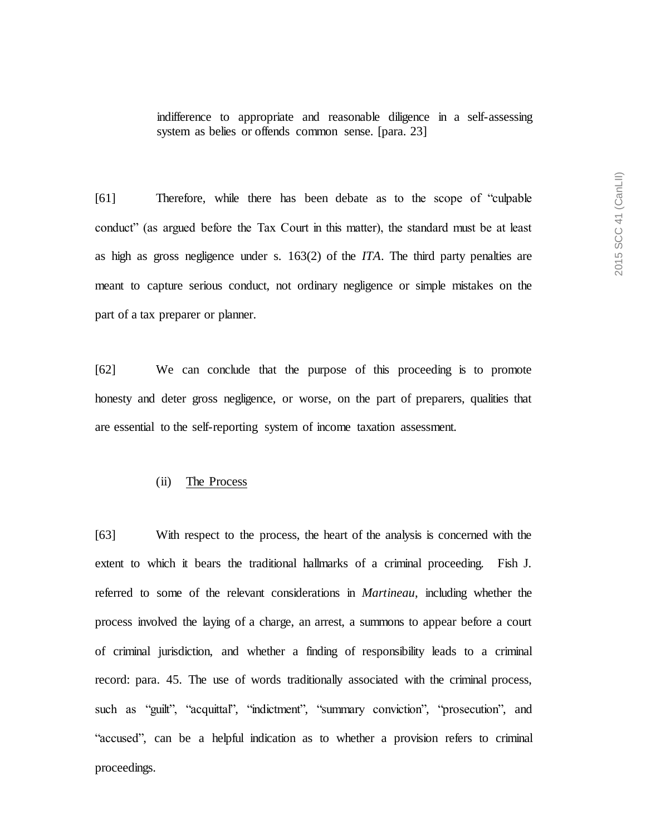indifference to appropriate and reasonable diligence in a self-assessing system as belies or offends common sense. [para. 23]

[61] Therefore, while there has been debate as to the scope of "culpable conduct" (as argued before the Tax Court in this matter), the standard must be at least as high as gross negligence under s. 163(2) of the *ITA*. The third party penalties are meant to capture serious conduct, not ordinary negligence or simple mistakes on the part of a tax preparer or planner.

[62] We can conclude that the purpose of this proceeding is to promote honesty and deter gross negligence, or worse, on the part of preparers, qualities that are essential to the self-reporting system of income taxation assessment.

## (ii) The Process

[63] With respect to the process, the heart of the analysis is concerned with the extent to which it bears the traditional hallmarks of a criminal proceeding. Fish J. referred to some of the relevant considerations in *Martineau*, including whether the process involved the laying of a charge, an arrest, a summons to appear before a court of criminal jurisdiction, and whether a finding of responsibility leads to a criminal record: para. 45. The use of words traditionally associated with the criminal process, such as "guilt", "acquittal", "indictment", "summary conviction", "prosecution", and "accused", can be a helpful indication as to whether a provision refers to criminal proceedings.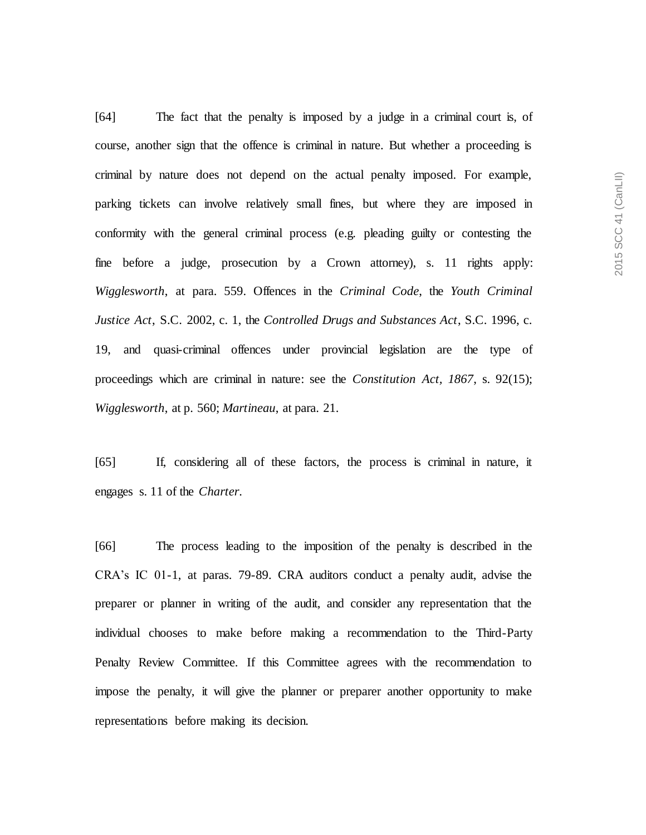[64] The fact that the penalty is imposed by a judge in a criminal court is, of course, another sign that the offence is criminal in nature. But whether a proceeding is criminal by nature does not depend on the actual penalty imposed. For example, parking tickets can involve relatively small fines, but where they are imposed in conformity with the general criminal process (e.g. pleading guilty or contesting the fine before a judge, prosecution by a Crown attorney), s. 11 rights apply: *Wigglesworth*, at para. 559. Offences in the *Criminal Code*, the *Youth Criminal Justice Act*, S.C. 2002, c. 1, the *Controlled Drugs and Substances Act*, S.C. 1996, c. 19, and quasi-criminal offences under provincial legislation are the type of proceedings which are criminal in nature: see the *Constitution Act, 1867*, s. 92(15); *Wigglesworth*, at p. 560; *Martineau*, at para. 21.

[65] If, considering all of these factors, the process is criminal in nature, it engages s. 11 of the *Charter*.

[66] The process leading to the imposition of the penalty is described in the CRA's IC 01-1, at paras. 79-89. CRA auditors conduct a penalty audit, advise the preparer or planner in writing of the audit, and consider any representation that the individual chooses to make before making a recommendation to the Third-Party Penalty Review Committee. If this Committee agrees with the recommendation to impose the penalty, it will give the planner or preparer another opportunity to make representations before making its decision.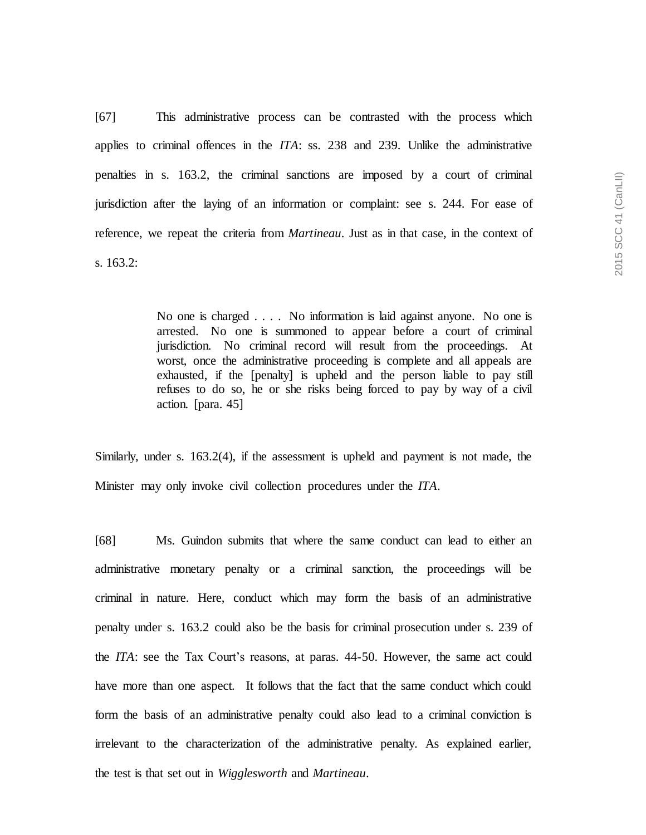2015 SCC 41 (CanLII) 2015 SCC 41 (CanLII)

[67] This administrative process can be contrasted with the process which applies to criminal offences in the *ITA*: ss. 238 and 239. Unlike the administrative penalties in s. 163.2, the criminal sanctions are imposed by a court of criminal jurisdiction after the laying of an information or complaint: see s. 244. For ease of reference, we repeat the criteria from *Martineau*. Just as in that case, in the context of s. 163.2:

> No one is charged . . . . No information is laid against anyone. No one is arrested. No one is summoned to appear before a court of criminal jurisdiction. No criminal record will result from the proceedings. At worst, once the administrative proceeding is complete and all appeals are exhausted, if the [penalty] is upheld and the person liable to pay still refuses to do so, he or she risks being forced to pay by way of a civil action. [para. 45]

Similarly, under s. 163.2(4), if the assessment is upheld and payment is not made, the Minister may only invoke civil collection procedures under the *ITA*.

[68] Ms. Guindon submits that where the same conduct can lead to either an administrative monetary penalty or a criminal sanction, the proceedings will be criminal in nature. Here, conduct which may form the basis of an administrative penalty under s. 163.2 could also be the basis for criminal prosecution under s. 239 of the *ITA*: see the Tax Court's reasons, at paras. 44-50. However, the same act could have more than one aspect. It follows that the fact that the same conduct which could form the basis of an administrative penalty could also lead to a criminal conviction is irrelevant to the characterization of the administrative penalty. As explained earlier, the test is that set out in *Wigglesworth* and *Martineau*.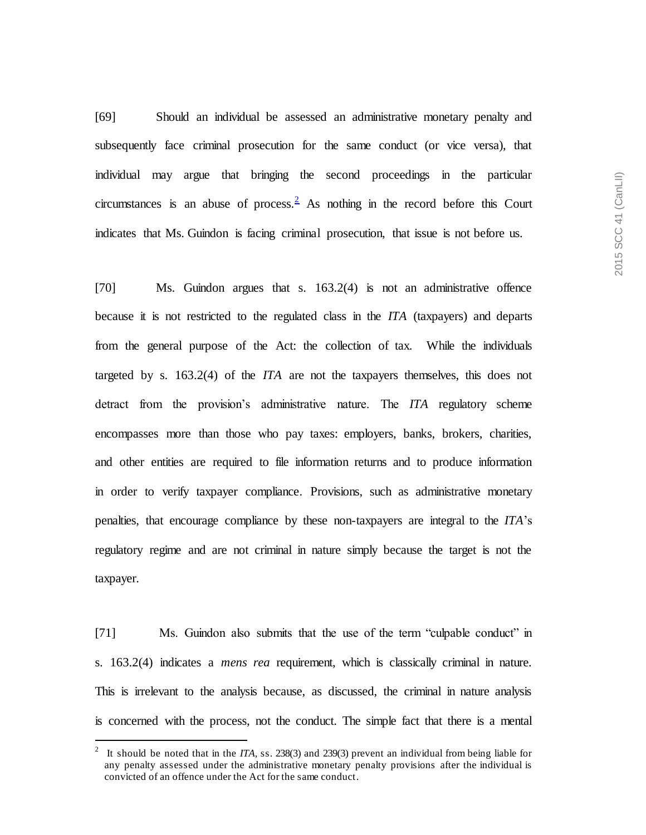[69] Should an individual be assessed an administrative monetary penalty and subsequently face criminal prosecution for the same conduct (or vice versa), that individual may argue that bringing the second proceedings in the particular circumstances is an abuse of process.  $\frac{2}{3}$  As nothing in the record before this Court indicates that Ms. Guindon is facing criminal prosecution, that issue is not before us.

[70] Ms. Guindon argues that s. 163.2(4) is not an administrative offence because it is not restricted to the regulated class in the *ITA* (taxpayers) and departs from the general purpose of the Act: the collection of tax. While the individuals targeted by s. 163.2(4) of the *ITA* are not the taxpayers themselves, this does not detract from the provision's administrative nature. The *ITA* regulatory scheme encompasses more than those who pay taxes: employers, banks, brokers, charities, and other entities are required to file information returns and to produce information in order to verify taxpayer compliance. Provisions, such as administrative monetary penalties, that encourage compliance by these non-taxpayers are integral to the *ITA*'s regulatory regime and are not criminal in nature simply because the target is not the taxpayer.

[71] Ms. Guindon also submits that the use of the term "culpable conduct" in s. 163.2(4) indicates a *mens rea* requirement, which is classically criminal in nature. This is irrelevant to the analysis because, as discussed, the criminal in nature analysis is concerned with the process, not the conduct. The simple fact that there is a mental

l

<sup>2</sup> It should be noted that in the *ITA*, ss. 238(3) and 239(3) prevent an individual from being liable for any penalty assessed under the administrative monetary penalty provisions after the individual is convicted of an offence under the Act for the same conduct.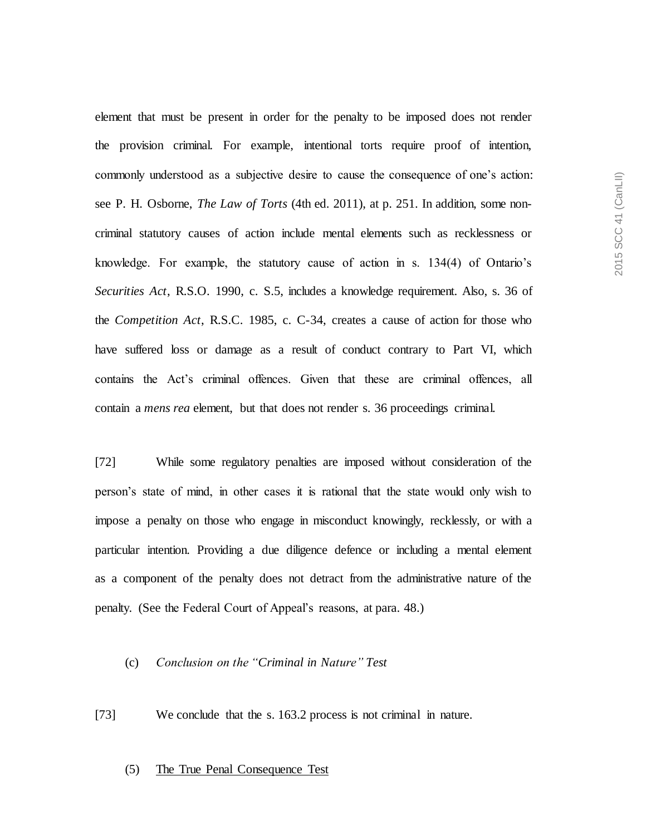element that must be present in order for the penalty to be imposed does not render the provision criminal. For example, intentional torts require proof of intention, commonly understood as a subjective desire to cause the consequence of one's action: see P. H. Osborne, *The Law of Torts* (4th ed. 2011), at p. 251. In addition, some noncriminal statutory causes of action include mental elements such as recklessness or knowledge. For example, the statutory cause of action in s. 134(4) of Ontario's *Securities Act*, R.S.O. 1990, c. S.5, includes a knowledge requirement. Also, s. 36 of the *Competition Act*, R.S.C. 1985, c. C-34, creates a cause of action for those who have suffered loss or damage as a result of conduct contrary to Part VI, which contains the Act's criminal offences. Given that these are criminal offences, all contain a *mens rea* element, but that does not render s. 36 proceedings criminal.

[72] While some regulatory penalties are imposed without consideration of the person's state of mind, in other cases it is rational that the state would only wish to impose a penalty on those who engage in misconduct knowingly, recklessly, or with a particular intention. Providing a due diligence defence or including a mental element as a component of the penalty does not detract from the administrative nature of the penalty. (See the Federal Court of Appeal's reasons, at para. 48.)

### (c) *Conclusion on the "Criminal in Nature" Test*

[73] We conclude that the s. 163.2 process is not criminal in nature.

#### (5) The True Penal Consequence Test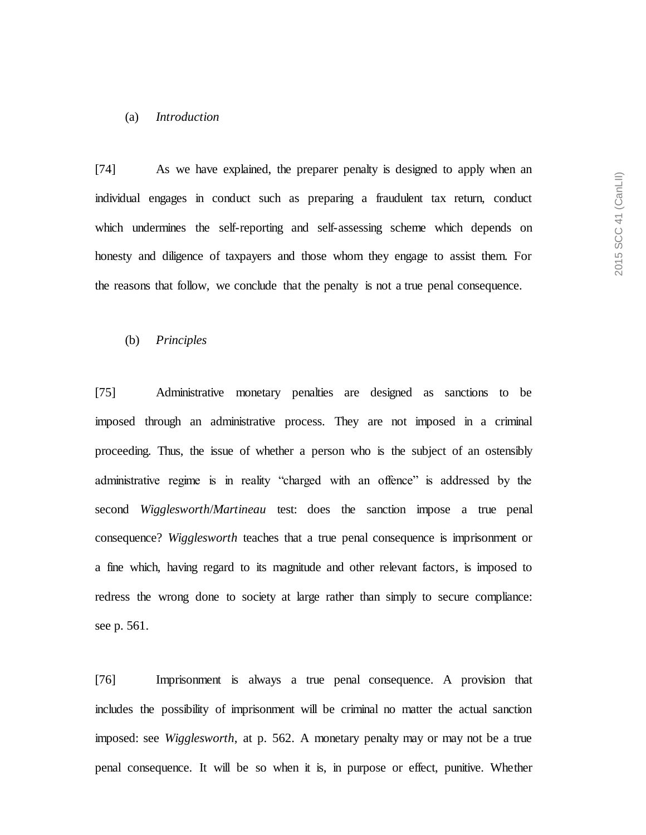#### (a) *Introduction*

[74] As we have explained, the preparer penalty is designed to apply when an individual engages in conduct such as preparing a fraudulent tax return, conduct which undermines the self-reporting and self-assessing scheme which depends on honesty and diligence of taxpayers and those whom they engage to assist them. For the reasons that follow, we conclude that the penalty is not a true penal consequence.

## (b) *Principles*

[75] Administrative monetary penalties are designed as sanctions to be imposed through an administrative process. They are not imposed in a criminal proceeding. Thus, the issue of whether a person who is the subject of an ostensibly administrative regime is in reality "charged with an offence" is addressed by the second *Wigglesworth*/*Martineau* test: does the sanction impose a true penal consequence? *Wigglesworth* teaches that a true penal consequence is imprisonment or a fine which, having regard to its magnitude and other relevant factors, is imposed to redress the wrong done to society at large rather than simply to secure compliance: see p. 561.

[76] Imprisonment is always a true penal consequence. A provision that includes the possibility of imprisonment will be criminal no matter the actual sanction imposed: see *Wigglesworth*, at p. 562. A monetary penalty may or may not be a true penal consequence. It will be so when it is, in purpose or effect, punitive. Whether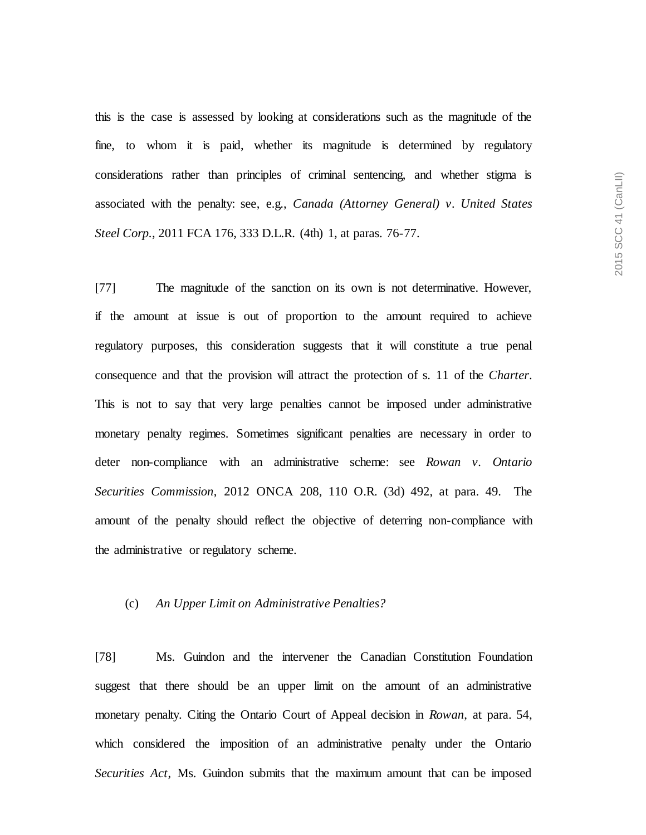this is the case is assessed by looking at considerations such as the magnitude of the fine, to whom it is paid, whether its magnitude is determined by regulatory considerations rather than principles of criminal sentencing, and whether stigma is associated with the penalty: see, e.g., *Canada (Attorney General) v. United States Steel Corp.*, 2011 FCA 176, 333 D.L.R. (4th) 1, at paras. 76-77.

[77] The magnitude of the sanction on its own is not determinative. However, if the amount at issue is out of proportion to the amount required to achieve regulatory purposes, this consideration suggests that it will constitute a true penal consequence and that the provision will attract the protection of s. 11 of the *Charter*. This is not to say that very large penalties cannot be imposed under administrative monetary penalty regimes. Sometimes significant penalties are necessary in order to deter non-compliance with an administrative scheme: see *Rowan v. Ontario Securities Commission*, 2012 ONCA 208, 110 O.R. (3d) 492, at para. 49. The amount of the penalty should reflect the objective of deterring non-compliance with the administrative or regulatory scheme.

### (c) *An Upper Limit on Administrative Penalties?*

[78] Ms. Guindon and the intervener the Canadian Constitution Foundation suggest that there should be an upper limit on the amount of an administrative monetary penalty. Citing the Ontario Court of Appeal decision in *Rowan*, at para. 54, which considered the imposition of an administrative penalty under the Ontario *Securities Act*, Ms. Guindon submits that the maximum amount that can be imposed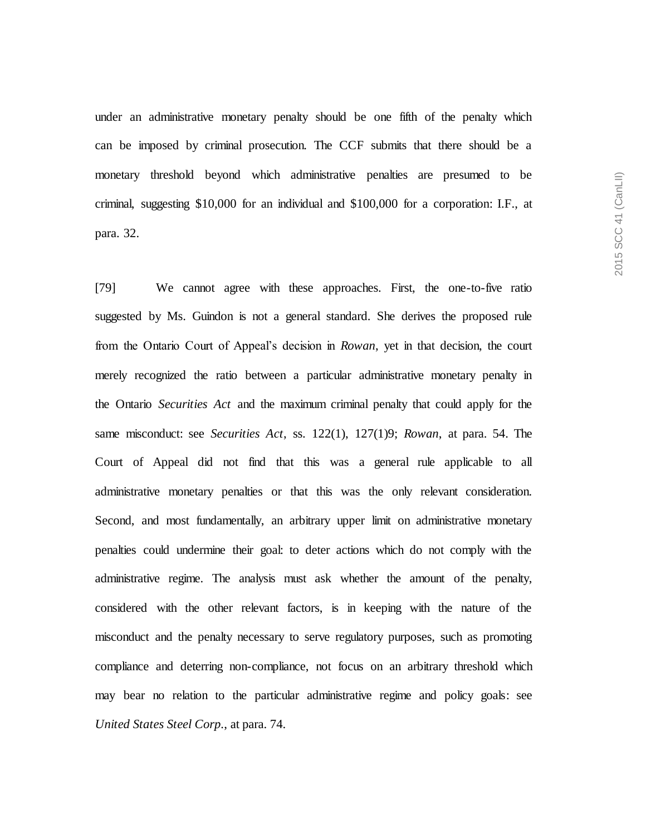under an administrative monetary penalty should be one fifth of the penalty which can be imposed by criminal prosecution. The CCF submits that there should be a monetary threshold beyond which administrative penalties are presumed to be criminal, suggesting \$10,000 for an individual and \$100,000 for a corporation: I.F., at para. 32.

[79] We cannot agree with these approaches. First, the one-to-five ratio suggested by Ms. Guindon is not a general standard. She derives the proposed rule from the Ontario Court of Appeal's decision in *Rowan*, yet in that decision, the court merely recognized the ratio between a particular administrative monetary penalty in the Ontario *Securities Act* and the maximum criminal penalty that could apply for the same misconduct: see *Securities Act*, ss. 122(1), 127(1)9; *Rowan*, at para. 54. The Court of Appeal did not find that this was a general rule applicable to all administrative monetary penalties or that this was the only relevant consideration. Second, and most fundamentally, an arbitrary upper limit on administrative monetary penalties could undermine their goal: to deter actions which do not comply with the administrative regime. The analysis must ask whether the amount of the penalty, considered with the other relevant factors, is in keeping with the nature of the misconduct and the penalty necessary to serve regulatory purposes, such as promoting compliance and deterring non-compliance, not focus on an arbitrary threshold which may bear no relation to the particular administrative regime and policy goals: see *United States Steel Corp.*, at para. 74.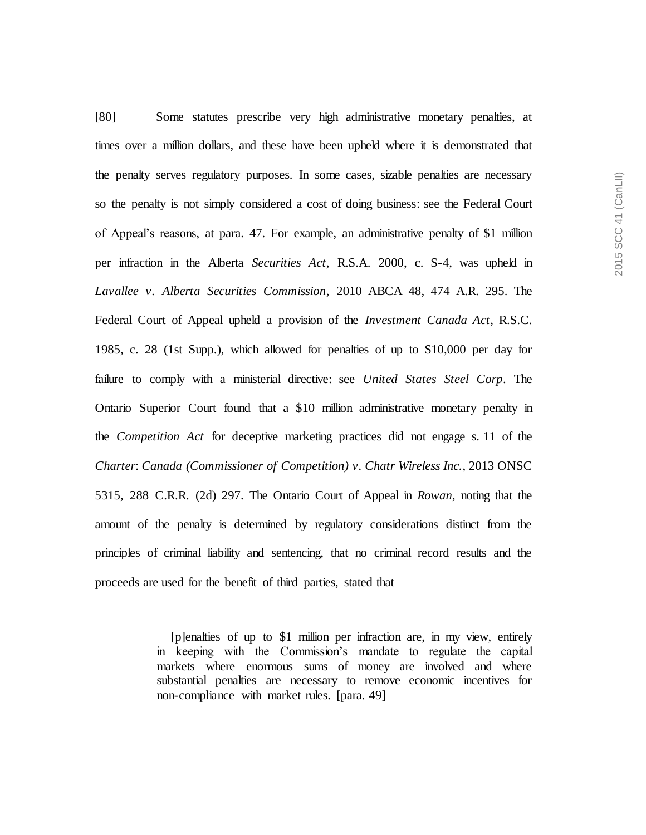[80] Some statutes prescribe very high administrative monetary penalties, at times over a million dollars, and these have been upheld where it is demonstrated that the penalty serves regulatory purposes. In some cases, sizable penalties are necessary so the penalty is not simply considered a cost of doing business: see the Federal Court of Appeal's reasons, at para. 47. For example, an administrative penalty of \$1 million per infraction in the Alberta *Securities Act*, R.S.A. 2000, c. S-4, was upheld in *Lavallee v. Alberta Securities Commission*, 2010 ABCA 48, 474 A.R. 295. The Federal Court of Appeal upheld a provision of the *Investment Canada Act*, R.S.C. 1985, c. 28 (1st Supp.), which allowed for penalties of up to \$10,000 per day for failure to comply with a ministerial directive: see *United States Steel Corp*. The Ontario Superior Court found that a \$10 million administrative monetary penalty in the *Competition Act* for deceptive marketing practices did not engage s. 11 of the *Charter*: *Canada (Commissioner of Competition) v. Chatr Wireless Inc.*, 2013 ONSC 5315, 288 C.R.R. (2d) 297. The Ontario Court of Appeal in *Rowan*, noting that the amount of the penalty is determined by regulatory considerations distinct from the principles of criminal liability and sentencing, that no criminal record results and the proceeds are used for the benefit of third parties, stated that

> [p]enalties of up to \$1 million per infraction are, in my view, entirely in keeping with the Commission's mandate to regulate the capital markets where enormous sums of money are involved and where substantial penalties are necessary to remove economic incentives for non-compliance with market rules. [para. 49]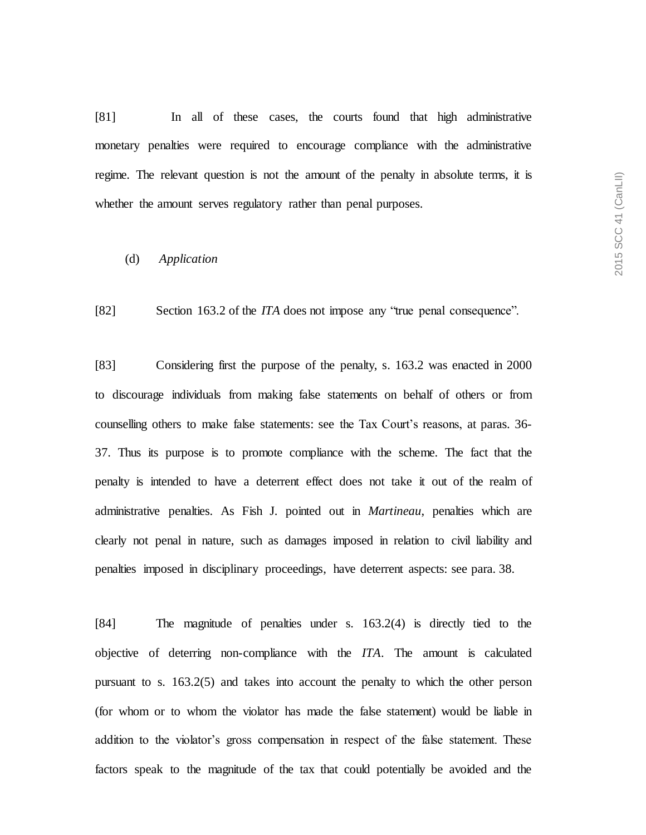[81] In all of these cases, the courts found that high administrative monetary penalties were required to encourage compliance with the administrative regime. The relevant question is not the amount of the penalty in absolute terms, it is whether the amount serves regulatory rather than penal purposes.

#### (d) *Application*

[82] Section 163.2 of the *ITA* does not impose any "true penal consequence".

[83] Considering first the purpose of the penalty, s. 163.2 was enacted in 2000 to discourage individuals from making false statements on behalf of others or from counselling others to make false statements: see the Tax Court's reasons, at paras. 36- 37. Thus its purpose is to promote compliance with the scheme. The fact that the penalty is intended to have a deterrent effect does not take it out of the realm of administrative penalties. As Fish J. pointed out in *Martineau*, penalties which are clearly not penal in nature, such as damages imposed in relation to civil liability and penalties imposed in disciplinary proceedings, have deterrent aspects: see para. 38.

[84] The magnitude of penalties under s. 163.2(4) is directly tied to the objective of deterring non-compliance with the *ITA*. The amount is calculated pursuant to s. 163.2(5) and takes into account the penalty to which the other person (for whom or to whom the violator has made the false statement) would be liable in addition to the violator's gross compensation in respect of the false statement. These factors speak to the magnitude of the tax that could potentially be avoided and the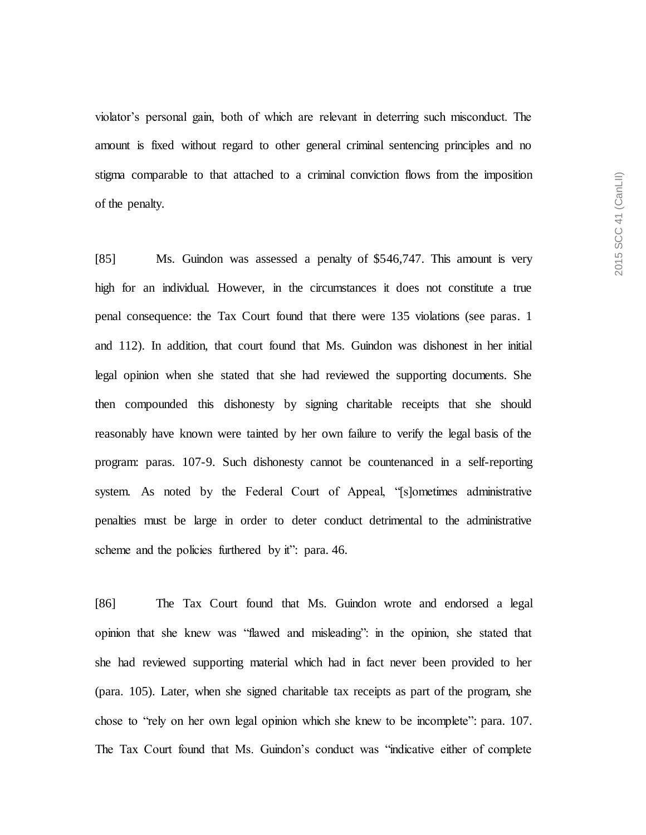violator's personal gain, both of which are relevant in deterring such misconduct. The amount is fixed without regard to other general criminal sentencing principles and no stigma comparable to that attached to a criminal conviction flows from the imposition of the penalty.

[85] Ms. Guindon was assessed a penalty of \$546,747. This amount is very high for an individual. However, in the circumstances it does not constitute a true penal consequence: the Tax Court found that there were 135 violations (see paras. 1 and 112). In addition, that court found that Ms. Guindon was dishonest in her initial legal opinion when she stated that she had reviewed the supporting documents. She then compounded this dishonesty by signing charitable receipts that she should reasonably have known were tainted by her own failure to verify the legal basis of the program: paras. 107-9. Such dishonesty cannot be countenanced in a self-reporting system. As noted by the Federal Court of Appeal, "[s]ometimes administrative penalties must be large in order to deter conduct detrimental to the administrative scheme and the policies furthered by it": para. 46.

[86] The Tax Court found that Ms. Guindon wrote and endorsed a legal opinion that she knew was "flawed and misleading": in the opinion, she stated that she had reviewed supporting material which had in fact never been provided to her (para. 105). Later, when she signed charitable tax receipts as part of the program, she chose to "rely on her own legal opinion which she knew to be incomplete": para. 107. The Tax Court found that Ms. Guindon's conduct was "indicative either of complete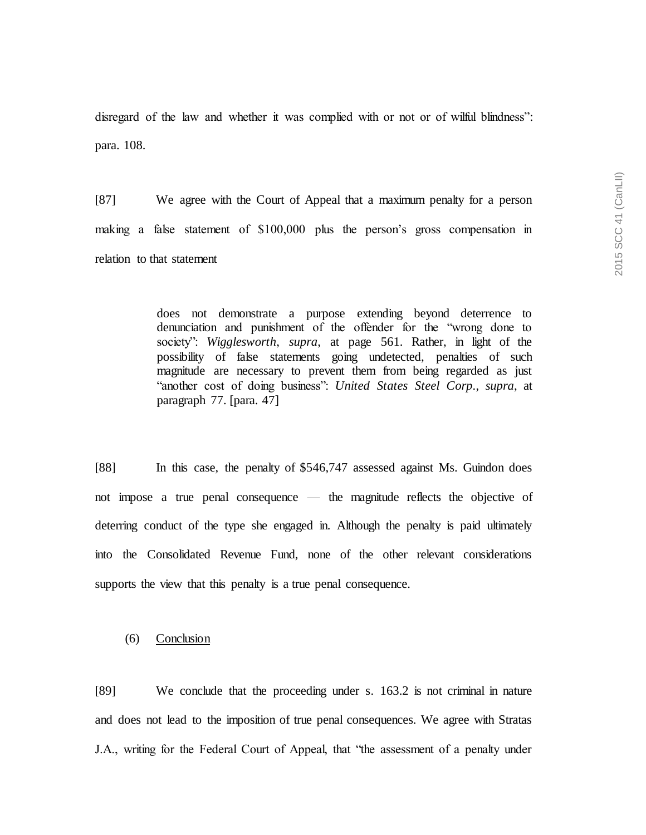disregard of the law and whether it was complied with or not or of wilful blindness": para. 108.

[87] We agree with the Court of Appeal that a maximum penalty for a person making a false statement of \$100,000 plus the person's gross compensation in relation to that statement

> does not demonstrate a purpose extending beyond deterrence to denunciation and punishment of the offender for the "wrong done to society": *Wigglesworth*, *supra*, at page 561. Rather, in light of the possibility of false statements going undetected, penalties of such magnitude are necessary to prevent them from being regarded as just "another cost of doing business": *United States Steel Corp.*, *supra*, at paragraph 77. [para. 47]

[88] In this case, the penalty of \$546,747 assessed against Ms. Guindon does not impose a true penal consequence — the magnitude reflects the objective of deterring conduct of the type she engaged in. Although the penalty is paid ultimately into the Consolidated Revenue Fund, none of the other relevant considerations supports the view that this penalty is a true penal consequence.

(6) Conclusion

[89] We conclude that the proceeding under s. 163.2 is not criminal in nature and does not lead to the imposition of true penal consequences. We agree with Stratas J.A., writing for the Federal Court of Appeal, that "the assessment of a penalty under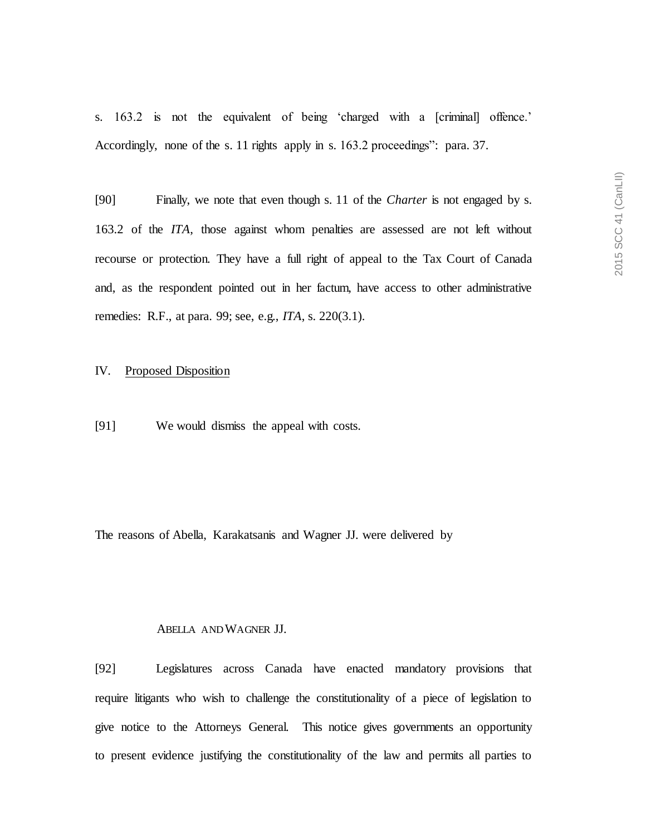s. 163.2 is not the equivalent of being 'charged with a [criminal] offence.' Accordingly, none of the s. 11 rights apply in s. 163.2 proceedings": para. 37.

[90] Finally, we note that even though s. 11 of the *Charter* is not engaged by s. 163.2 of the *ITA*, those against whom penalties are assessed are not left without recourse or protection. They have a full right of appeal to the Tax Court of Canada and, as the respondent pointed out in her factum, have access to other administrative remedies: R.F., at para. 99; see, e.g., *ITA*, s. 220(3.1).

## IV. Proposed Disposition

[91] We would dismiss the appeal with costs.

The reasons of Abella, Karakatsanis and Wagner JJ. were delivered by

## ABELLA AND WAGNER JJ.

[92] Legislatures across Canada have enacted mandatory provisions that require litigants who wish to challenge the constitutionality of a piece of legislation to give notice to the Attorneys General. This notice gives governments an opportunity to present evidence justifying the constitutionality of the law and permits all parties to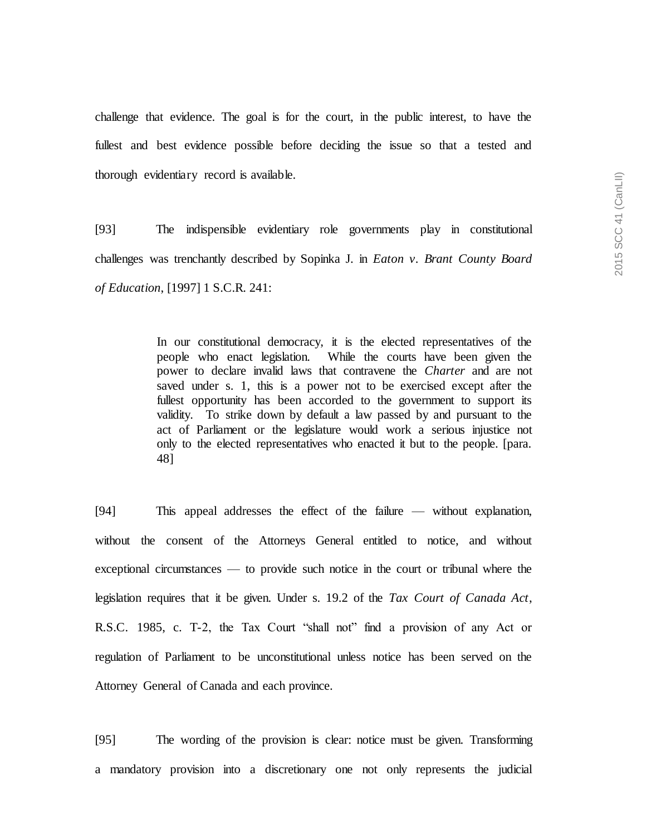challenge that evidence. The goal is for the court, in the public interest, to have the fullest and best evidence possible before deciding the issue so that a tested and thorough evidentiary record is available.

[93] The indispensible evidentiary role governments play in constitutional challenges was trenchantly described by Sopinka J. in *Eaton v. Brant County Board of Education*, [1997] 1 S.C.R. 241:

> In our constitutional democracy, it is the elected representatives of the people who enact legislation. While the courts have been given the power to declare invalid laws that contravene the *Charter* and are not saved under s. 1, this is a power not to be exercised except after the fullest opportunity has been accorded to the government to support its validity. To strike down by default a law passed by and pursuant to the act of Parliament or the legislature would work a serious injustice not only to the elected representatives who enacted it but to the people. [para. 48]

[94] This appeal addresses the effect of the failure — without explanation, without the consent of the Attorneys General entitled to notice, and without exceptional circumstances — to provide such notice in the court or tribunal where the legislation requires that it be given. Under s. 19.2 of the *Tax Court of Canada Act*, R.S.C. 1985, c. T-2, the Tax Court "shall not" find a provision of any Act or regulation of Parliament to be unconstitutional unless notice has been served on the Attorney General of Canada and each province.

[95] The wording of the provision is clear: notice must be given. Transforming a mandatory provision into a discretionary one not only represents the judicial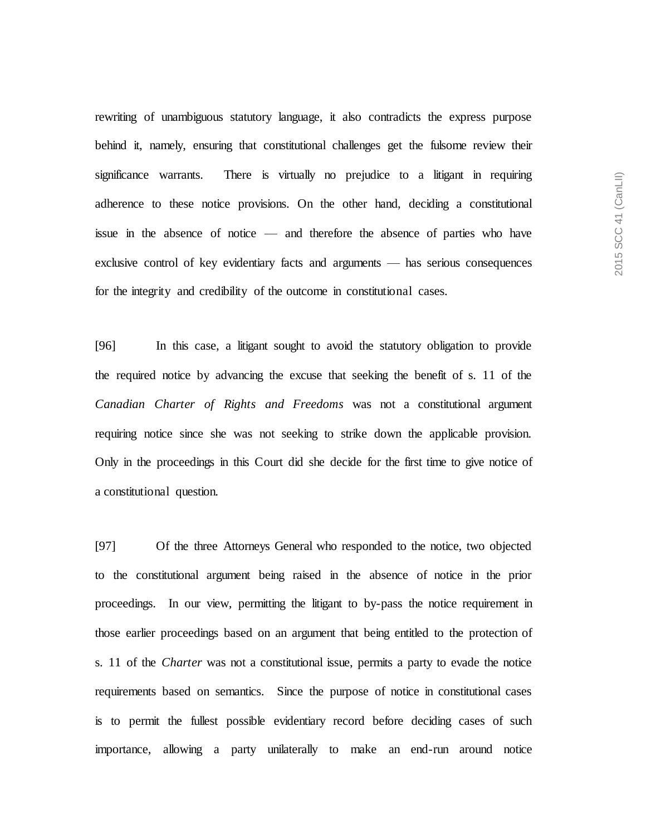rewriting of unambiguous statutory language, it also contradicts the express purpose behind it, namely, ensuring that constitutional challenges get the fulsome review their significance warrants. There is virtually no prejudice to a litigant in requiring adherence to these notice provisions. On the other hand, deciding a constitutional issue in the absence of notice — and therefore the absence of parties who have exclusive control of key evidentiary facts and arguments — has serious consequences for the integrity and credibility of the outcome in constitutional cases.

[96] In this case, a litigant sought to avoid the statutory obligation to provide the required notice by advancing the excuse that seeking the benefit of s. 11 of the *Canadian Charter of Rights and Freedoms* was not a constitutional argument requiring notice since she was not seeking to strike down the applicable provision. Only in the proceedings in this Court did she decide for the first time to give notice of a constitutional question.

[97] Of the three Attorneys General who responded to the notice, two objected to the constitutional argument being raised in the absence of notice in the prior proceedings. In our view, permitting the litigant to by-pass the notice requirement in those earlier proceedings based on an argument that being entitled to the protection of s. 11 of the *Charter* was not a constitutional issue, permits a party to evade the notice requirements based on semantics. Since the purpose of notice in constitutional cases is to permit the fullest possible evidentiary record before deciding cases of such importance, allowing a party unilaterally to make an end-run around notice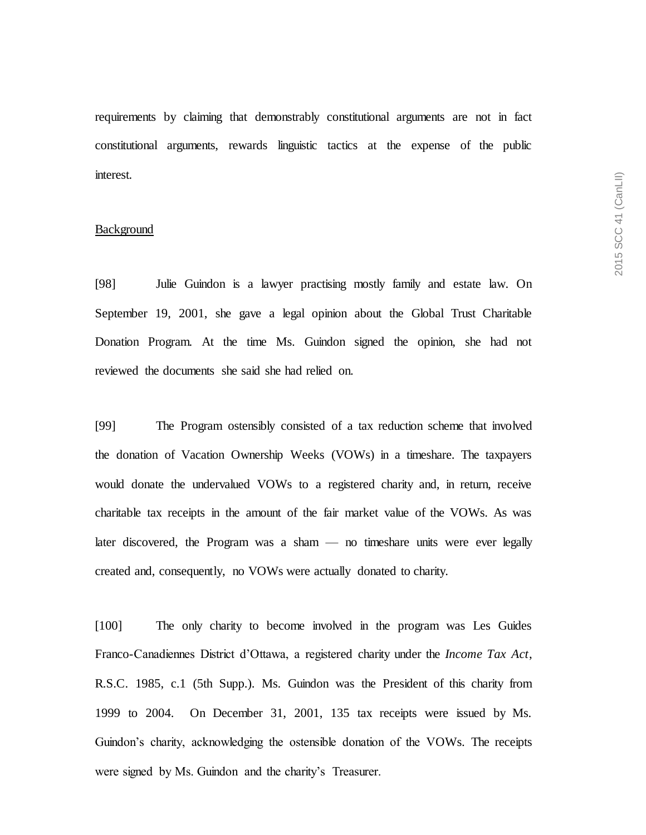requirements by claiming that demonstrably constitutional arguments are not in fact constitutional arguments, rewards linguistic tactics at the expense of the public interest.

# Background

[98] Julie Guindon is a lawyer practising mostly family and estate law. On September 19, 2001, she gave a legal opinion about the Global Trust Charitable Donation Program. At the time Ms. Guindon signed the opinion, she had not reviewed the documents she said she had relied on.

[99] The Program ostensibly consisted of a tax reduction scheme that involved the donation of Vacation Ownership Weeks (VOWs) in a timeshare. The taxpayers would donate the undervalued VOWs to a registered charity and, in return, receive charitable tax receipts in the amount of the fair market value of the VOWs. As was later discovered, the Program was a sham — no timeshare units were ever legally created and, consequently, no VOWs were actually donated to charity.

[100] The only charity to become involved in the program was Les Guides Franco-Canadiennes District d'Ottawa, a registered charity under the *Income Tax Act*, R.S.C. 1985, c.1 (5th Supp.). Ms. Guindon was the President of this charity from 1999 to 2004. On December 31, 2001, 135 tax receipts were issued by Ms. Guindon's charity, acknowledging the ostensible donation of the VOWs. The receipts were signed by Ms. Guindon and the charity's Treasurer.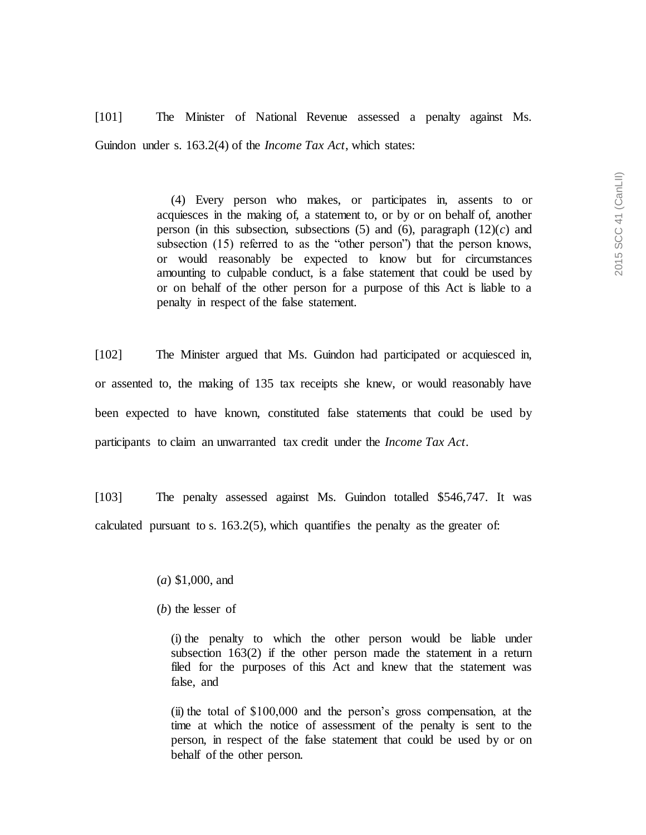[101] The Minister of National Revenue assessed a penalty against Ms. Guindon under s. 163.2(4) of the *Income Tax Act*, which states:

> (4) Every person who makes, or participates in, assents to or acquiesces in the making of, a statement to, or by or on behalf of, another person (in this subsection, subsections  $(5)$  and  $(6)$ , paragraph  $(12)(c)$  and subsection (15) referred to as the "other person") that the person knows, or would reasonably be expected to know but for circumstances amounting to culpable conduct, is a false statement that could be used by or on behalf of the other person for a purpose of this Act is liable to a penalty in respect of the false statement.

[102] The Minister argued that Ms. Guindon had participated or acquiesced in, or assented to, the making of 135 tax receipts she knew, or would reasonably have been expected to have known, constituted false statements that could be used by participants to claim an unwarranted tax credit under the *Income Tax Act*.

[103] The penalty assessed against Ms. Guindon totalled \$546,747. It was calculated pursuant to s.  $163.2(5)$ , which quantifies the penalty as the greater of:

- (*a*) \$1,000, and
- (*b*) the lesser of

(i) the penalty to which the other person would be liable under subsection 163(2) if the other person made the statement in a return filed for the purposes of this Act and knew that the statement was false, and

(ii) the total of \$100,000 and the person's gross compensation, at the time at which the notice of assessment of the penalty is sent to the person, in respect of the false statement that could be used by or on behalf of the other person.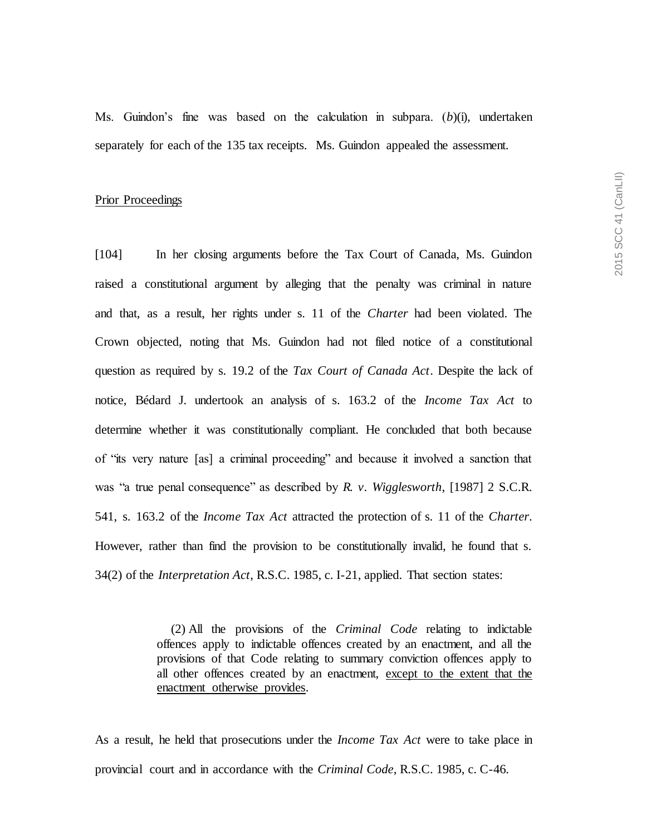Ms. Guindon's fine was based on the calculation in subpara. (*b*)(i), undertaken separately for each of the 135 tax receipts. Ms. Guindon appealed the assessment.

# Prior Proceedings

[104] In her closing arguments before the Tax Court of Canada, Ms. Guindon raised a constitutional argument by alleging that the penalty was criminal in nature and that, as a result, her rights under s. 11 of the *Charter* had been violated. The Crown objected, noting that Ms. Guindon had not filed notice of a constitutional question as required by s. 19.2 of the *Tax Court of Canada Act*. Despite the lack of notice, Bédard J. undertook an analysis of s. 163.2 of the *Income Tax Act* to determine whether it was constitutionally compliant. He concluded that both because of "its very nature [as] a criminal proceeding" and because it involved a sanction that was "a true penal consequence" as described by *R. v. Wigglesworth*, [1987] 2 S.C.R. 541, s. 163.2 of the *Income Tax Act* attracted the protection of s. 11 of the *Charter*. However, rather than find the provision to be constitutionally invalid, he found that s. 34(2) of the *Interpretation Act*, R.S.C. 1985, c. I-21, applied. That section states:

> (2) All the provisions of the *Criminal Code* relating to indictable offences apply to indictable offences created by an enactment, and all the provisions of that Code relating to summary conviction offences apply to all other offences created by an enactment, except to the extent that the enactment otherwise provides.

As a result, he held that prosecutions under the *Income Tax Act* were to take place in provincial court and in accordance with the *Criminal Code*, R.S.C. 1985, c. C-46*.*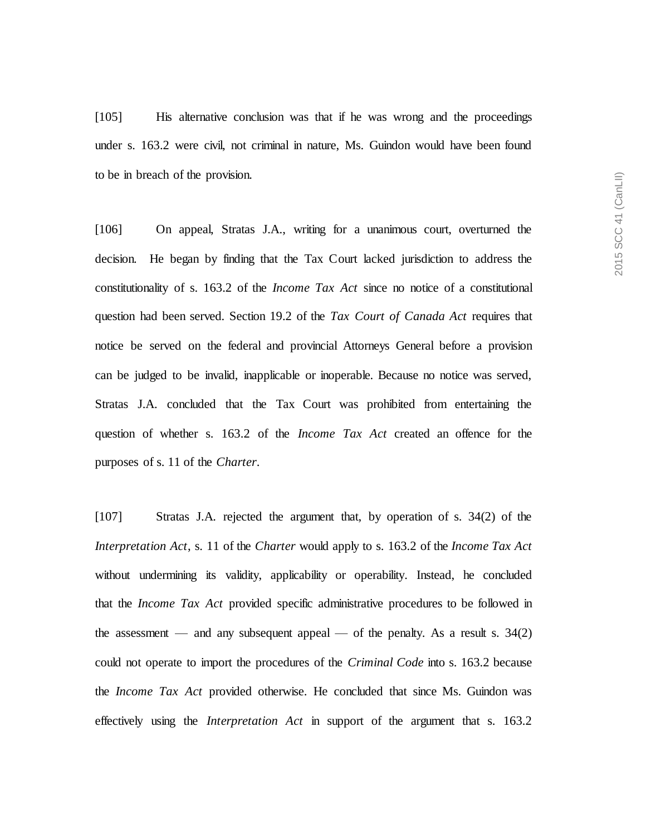[105] His alternative conclusion was that if he was wrong and the proceedings under s. 163.2 were civil, not criminal in nature, Ms. Guindon would have been found to be in breach of the provision.

[106] On appeal, Stratas J.A., writing for a unanimous court, overturned the decision. He began by finding that the Tax Court lacked jurisdiction to address the constitutionality of s. 163.2 of the *Income Tax Act* since no notice of a constitutional question had been served. Section 19.2 of the *Tax Court of Canada Act* requires that notice be served on the federal and provincial Attorneys General before a provision can be judged to be invalid, inapplicable or inoperable. Because no notice was served, Stratas J.A. concluded that the Tax Court was prohibited from entertaining the question of whether s. 163.2 of the *Income Tax Act* created an offence for the purposes of s. 11 of the *Charter*.

[107] Stratas J.A. rejected the argument that, by operation of s. 34(2) of the *Interpretation Act*, s. 11 of the *Charter* would apply to s. 163.2 of the *Income Tax Act* without undermining its validity, applicability or operability*.* Instead, he concluded that the *Income Tax Act* provided specific administrative procedures to be followed in the assessment — and any subsequent appeal — of the penalty. As a result s.  $34(2)$ could not operate to import the procedures of the *Criminal Code* into s. 163.2 because the *Income Tax Act* provided otherwise. He concluded that since Ms. Guindon was effectively using the *Interpretation Act* in support of the argument that s. 163.2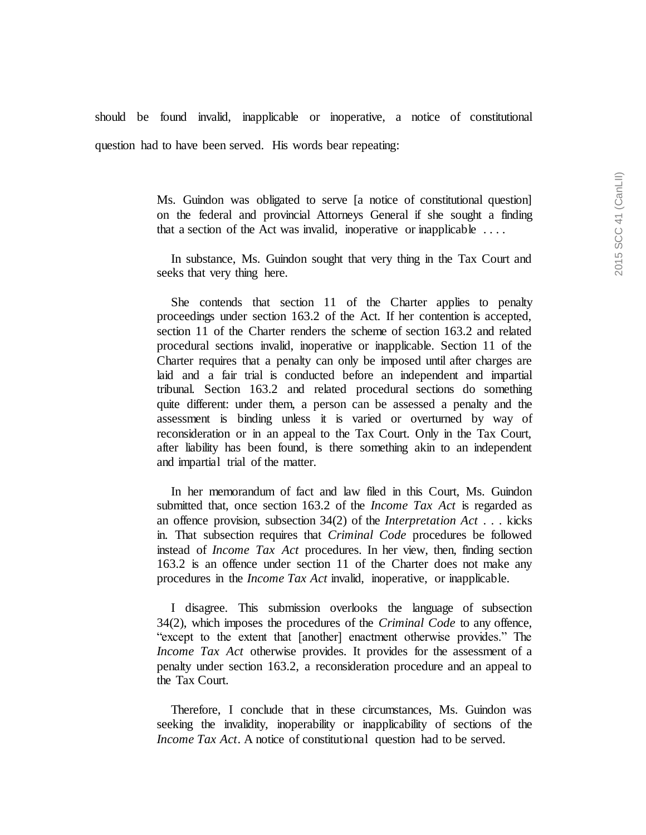should be found invalid, inapplicable or inoperative, a notice of constitutional question had to have been served. His words bear repeating:

> Ms. Guindon was obligated to serve [a notice of constitutional question] on the federal and provincial Attorneys General if she sought a finding that a section of the Act was invalid, inoperative or inapplicable  $\dots$

> In substance, Ms. Guindon sought that very thing in the Tax Court and seeks that very thing here.

> She contends that section 11 of the Charter applies to penalty proceedings under section 163.2 of the Act. If her contention is accepted, section 11 of the Charter renders the scheme of section 163.2 and related procedural sections invalid, inoperative or inapplicable. Section 11 of the Charter requires that a penalty can only be imposed until after charges are laid and a fair trial is conducted before an independent and impartial tribunal. Section 163.2 and related procedural sections do something quite different: under them, a person can be assessed a penalty and the assessment is binding unless it is varied or overturned by way of reconsideration or in an appeal to the Tax Court. Only in the Tax Court, after liability has been found, is there something akin to an independent and impartial trial of the matter.

> In her memorandum of fact and law filed in this Court, Ms. Guindon submitted that, once section 163.2 of the *Income Tax Act* is regarded as an offence provision, subsection 34(2) of the *Interpretation Act* . . . kicks in. That subsection requires that *Criminal Code* procedures be followed instead of *Income Tax Act* procedures. In her view, then, finding section 163.2 is an offence under section 11 of the Charter does not make any procedures in the *Income Tax Act* invalid, inoperative, or inapplicable.

> I disagree. This submission overlooks the language of subsection 34(2), which imposes the procedures of the *Criminal Code* to any offence, "except to the extent that [another] enactment otherwise provides." The *Income Tax Act* otherwise provides. It provides for the assessment of a penalty under section 163.2, a reconsideration procedure and an appeal to the Tax Court.

> Therefore, I conclude that in these circumstances, Ms. Guindon was seeking the invalidity, inoperability or inapplicability of sections of the *Income Tax Act*. A notice of constitutional question had to be served.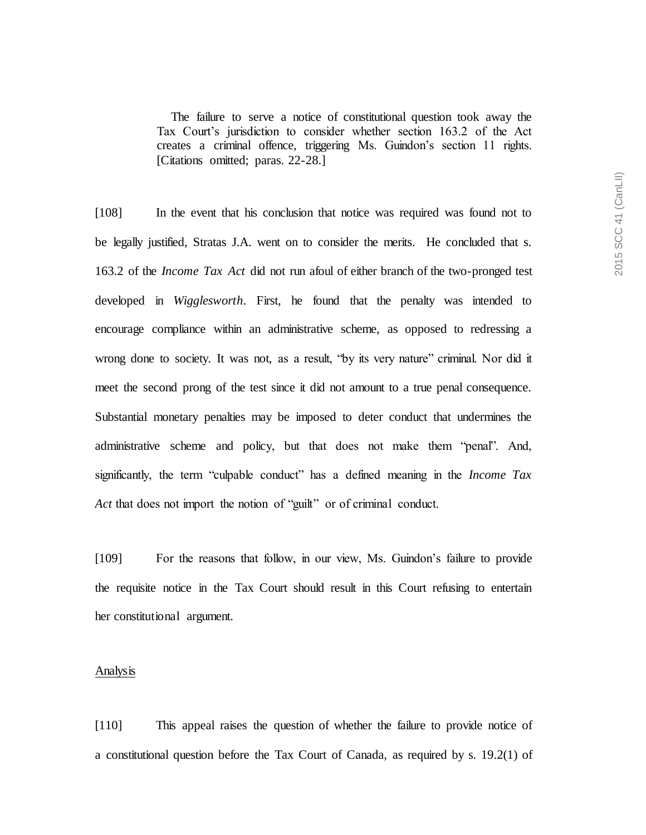The failure to serve a notice of constitutional question took away the Tax Court's jurisdiction to consider whether section 163.2 of the Act creates a criminal offence, triggering Ms. Guindon's section 11 rights. [Citations omitted; paras. 22-28.]

[108] In the event that his conclusion that notice was required was found not to be legally justified, Stratas J.A. went on to consider the merits. He concluded that s. 163.2 of the *Income Tax Act* did not run afoul of either branch of the two-pronged test developed in *Wigglesworth*. First, he found that the penalty was intended to encourage compliance within an administrative scheme, as opposed to redressing a wrong done to society. It was not, as a result, "by its very nature" criminal. Nor did it meet the second prong of the test since it did not amount to a true penal consequence. Substantial monetary penalties may be imposed to deter conduct that undermines the administrative scheme and policy, but that does not make them "penal". And, significantly, the term "culpable conduct" has a defined meaning in the *Income Tax Act* that does not import the notion of "guilt" or of criminal conduct.

[109] For the reasons that follow, in our view, Ms. Guindon's failure to provide the requisite notice in the Tax Court should result in this Court refusing to entertain her constitutional argument.

#### Analysis

[110] This appeal raises the question of whether the failure to provide notice of a constitutional question before the Tax Court of Canada, as required by s. 19.2(1) of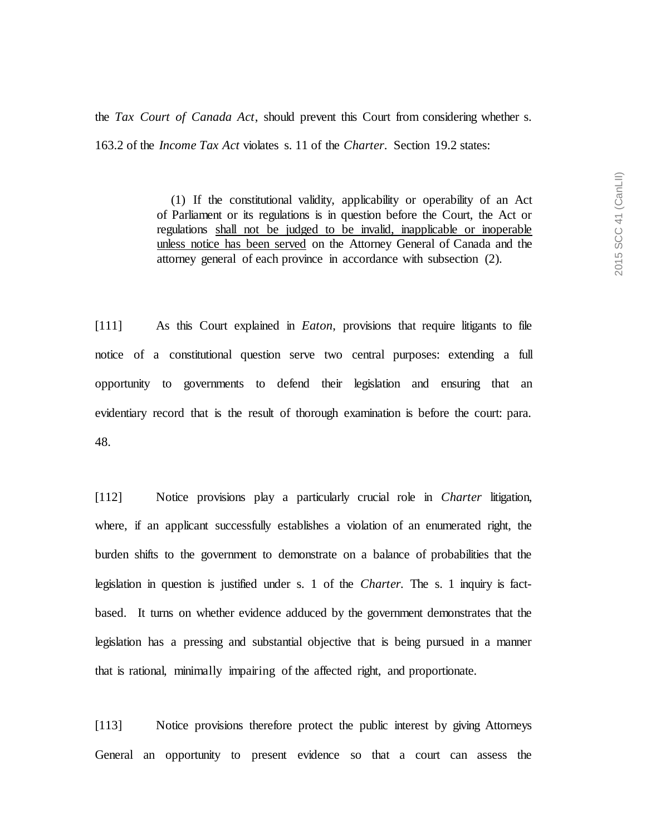the *Tax Court of Canada Act*, should prevent this Court from considering whether s. 163.2 of the *Income Tax Act* violates s. 11 of the *Charter*. Section 19.2 states:

> (1) If the constitutional validity, applicability or operability of an Act of Parliament or its regulations is in question before the Court, the Act or regulations shall not be judged to be invalid, inapplicable or inoperable unless notice has been served on the Attorney General of Canada and the attorney general of each province in accordance with subsection (2).

[111] As this Court explained in *Eaton*, provisions that require litigants to file notice of a constitutional question serve two central purposes: extending a full opportunity to governments to defend their legislation and ensuring that an evidentiary record that is the result of thorough examination is before the court: para. 48.

[112] Notice provisions play a particularly crucial role in *Charter* litigation, where, if an applicant successfully establishes a violation of an enumerated right, the burden shifts to the government to demonstrate on a balance of probabilities that the legislation in question is justified under s. 1 of the *Charter.* The s. 1 inquiry is factbased. It turns on whether evidence adduced by the government demonstrates that the legislation has a pressing and substantial objective that is being pursued in a manner that is rational, minimally impairing of the affected right, and proportionate.

[113] Notice provisions therefore protect the public interest by giving Attorneys General an opportunity to present evidence so that a court can assess the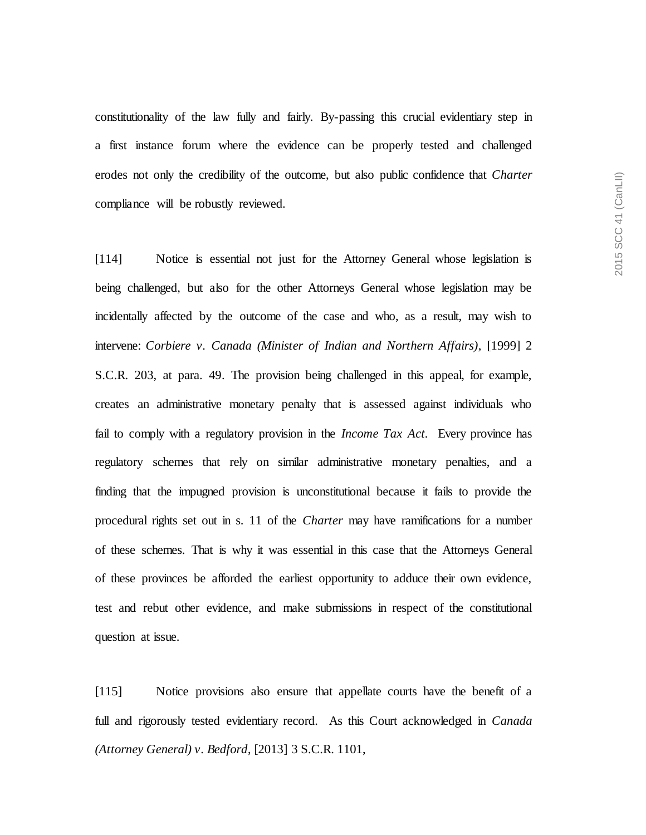constitutionality of the law fully and fairly. By-passing this crucial evidentiary step in a first instance forum where the evidence can be properly tested and challenged erodes not only the credibility of the outcome, but also public confidence that *Charter* compliance will be robustly reviewed.

[114] Notice is essential not just for the Attorney General whose legislation is being challenged, but also for the other Attorneys General whose legislation may be incidentally affected by the outcome of the case and who, as a result, may wish to intervene: *Corbiere v. Canada (Minister of Indian and Northern Affairs)*, [1999] 2 S.C.R. 203, at para. 49. The provision being challenged in this appeal, for example, creates an administrative monetary penalty that is assessed against individuals who fail to comply with a regulatory provision in the *Income Tax Act.* Every province has regulatory schemes that rely on similar administrative monetary penalties, and a finding that the impugned provision is unconstitutional because it fails to provide the procedural rights set out in s. 11 of the *Charter* may have ramifications for a number of these schemes. That is why it was essential in this case that the Attorneys General of these provinces be afforded the earliest opportunity to adduce their own evidence, test and rebut other evidence, and make submissions in respect of the constitutional question at issue.

[115] Notice provisions also ensure that appellate courts have the benefit of a full and rigorously tested evidentiary record. As this Court acknowledged in *Canada (Attorney General) v. Bedford*, [2013] 3 S.C.R. 1101,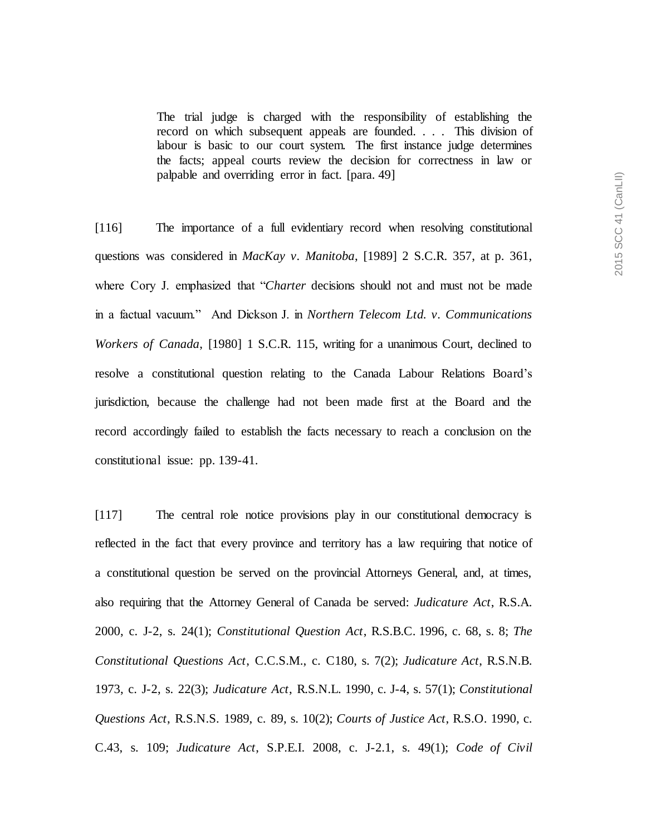The trial judge is charged with the responsibility of establishing the record on which subsequent appeals are founded. . . . This division of labour is basic to our court system. The first instance judge determines the facts; appeal courts review the decision for correctness in law or palpable and overriding error in fact. [para. 49]

[116] The importance of a full evidentiary record when resolving constitutional questions was considered in *MacKay v. Manitoba*, [1989] 2 S.C.R. 357, at p. 361, where Cory J. emphasized that "*Charter* decisions should not and must not be made in a factual vacuum." And Dickson J. in *Northern Telecom Ltd. v. Communications Workers of Canada*, [1980] 1 S.C.R. 115, writing for a unanimous Court, declined to resolve a constitutional question relating to the Canada Labour Relations Board's jurisdiction, because the challenge had not been made first at the Board and the record accordingly failed to establish the facts necessary to reach a conclusion on the constitutional issue: pp. 139-41.

[117] The central role notice provisions play in our constitutional democracy is reflected in the fact that every province and territory has a law requiring that notice of a constitutional question be served on the provincial Attorneys General, and, at times, also requiring that the Attorney General of Canada be served: *Judicature Act*, R.S.A. 2000, c. J-2, s. 24(1); *Constitutional Question Act*, R.S.B.C. 1996, c. 68, s. 8; *The Constitutional Questions Act*, C.C.S.M., c. C180, s. 7(2); *Judicature Act*, R.S.N.B. 1973, c. J-2, s. 22(3); *Judicature Act*, R.S.N.L. 1990, c. J-4, s. 57(1); *Constitutional Questions Act*, R.S.N.S. 1989, c. 89, s. 10(2); *Courts of Justice Act*, R.S.O. 1990, c. C.43, s. 109; *Judicature Act*, S.P.E.I. 2008, c. J-2.1, s. 49(1); *Code of Civil*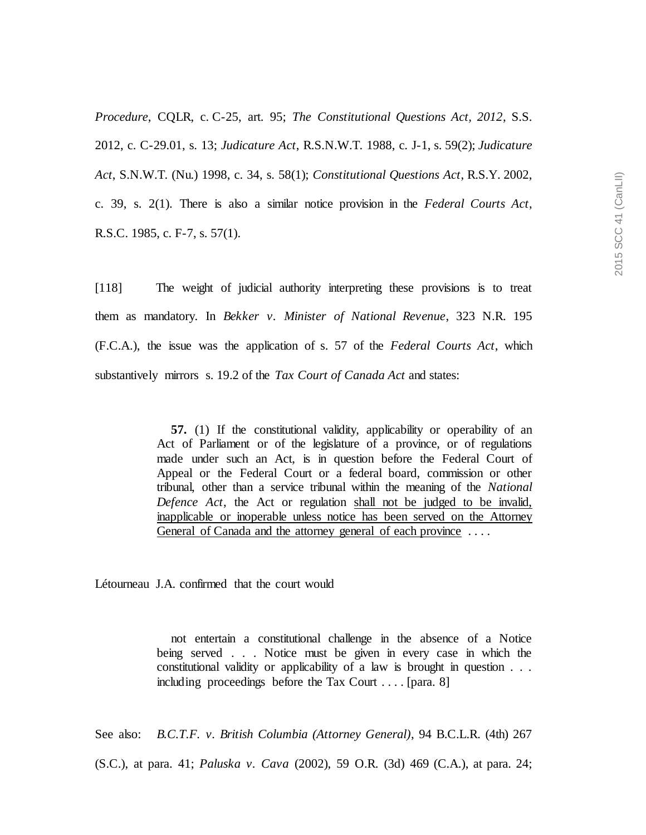*Procedure*, CQLR, c. C-25, art. 95; *The Constitutional Questions Act, 2012*, S.S. 2012, c. C-29.01, s. 13; *Judicature Act*, R.S.N.W.T. 1988, c. J-1, s. 59(2); *Judicature Act*, S.N.W.T. (Nu.) 1998, c. 34, s. 58(1); *Constitutional Questions Act*, R.S.Y. 2002, c. 39, s. 2(1). There is also a similar notice provision in the *Federal Courts Act*, R.S.C. 1985, c. F-7, s. 57(1).

[118] The weight of judicial authority interpreting these provisions is to treat them as mandatory. In *Bekker v. Minister of National Revenue*, 323 N.R. 195 (F.C.A.), the issue was the application of s. 57 of the *Federal Courts Act*, which substantively mirrors s. 19.2 of the *Tax Court of Canada Act* and states:

> **57.** (1) If the constitutional validity, applicability or operability of an Act of Parliament or of the legislature of a province, or of regulations made under such an Act, is in question before the Federal Court of Appeal or the Federal Court or a federal board, commission or other tribunal, other than a service tribunal within the meaning of the *National Defence Act*, the Act or regulation shall not be judged to be invalid, inapplicable or inoperable unless notice has been served on the Attorney General of Canada and the attorney general of each province ....

Létourneau J.A. confirmed that the court would

not entertain a constitutional challenge in the absence of a Notice being served . . . Notice must be given in every case in which the constitutional validity or applicability of a law is brought in question . . . including proceedings before the Tax Court . . . . [para. 8]

See also: *B.C.T.F. v. British Columbia (Attorney General)*, 94 B.C.L.R. (4th) 267

(S.C.), at para. 41; *Paluska v. Cava* (2002), 59 O.R. (3d) 469 (C.A.), at para. 24;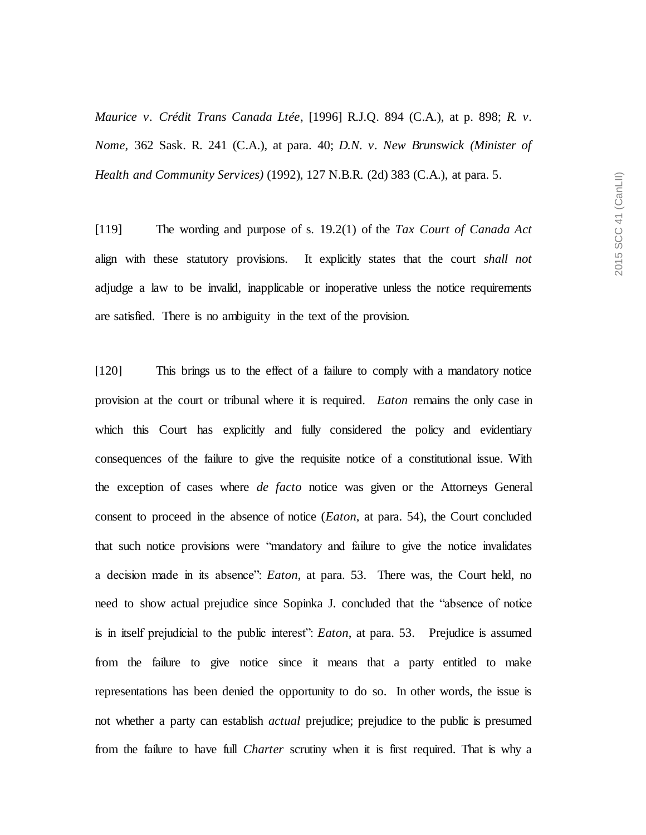*Maurice v. Crédit Trans Canada Ltée*, [1996] R.J.Q. 894 (C.A.), at p. 898; *R. v. Nome*, 362 Sask. R. 241 (C.A.), at para. 40; *D.N. v. New Brunswick (Minister of Health and Community Services)* (1992), 127 N.B.R. (2d) 383 (C.A.), at para. 5.

[119] The wording and purpose of s. 19.2(1) of the *Tax Court of Canada Act*  align with these statutory provisions. It explicitly states that the court *shall not* adjudge a law to be invalid, inapplicable or inoperative unless the notice requirements are satisfied. There is no ambiguity in the text of the provision.

[120] This brings us to the effect of a failure to comply with a mandatory notice provision at the court or tribunal where it is required. *Eaton* remains the only case in which this Court has explicitly and fully considered the policy and evidentiary consequences of the failure to give the requisite notice of a constitutional issue. With the exception of cases where *de facto* notice was given or the Attorneys General consent to proceed in the absence of notice (*Eaton*, at para. 54), the Court concluded that such notice provisions were "mandatory and failure to give the notice invalidates a decision made in its absence": *Eaton*, at para. 53. There was, the Court held, no need to show actual prejudice since Sopinka J. concluded that the "absence of notice is in itself prejudicial to the public interest": *Eaton*, at para. 53. Prejudice is assumed from the failure to give notice since it means that a party entitled to make representations has been denied the opportunity to do so. In other words, the issue is not whether a party can establish *actual* prejudice; prejudice to the public is presumed from the failure to have full *Charter* scrutiny when it is first required. That is why a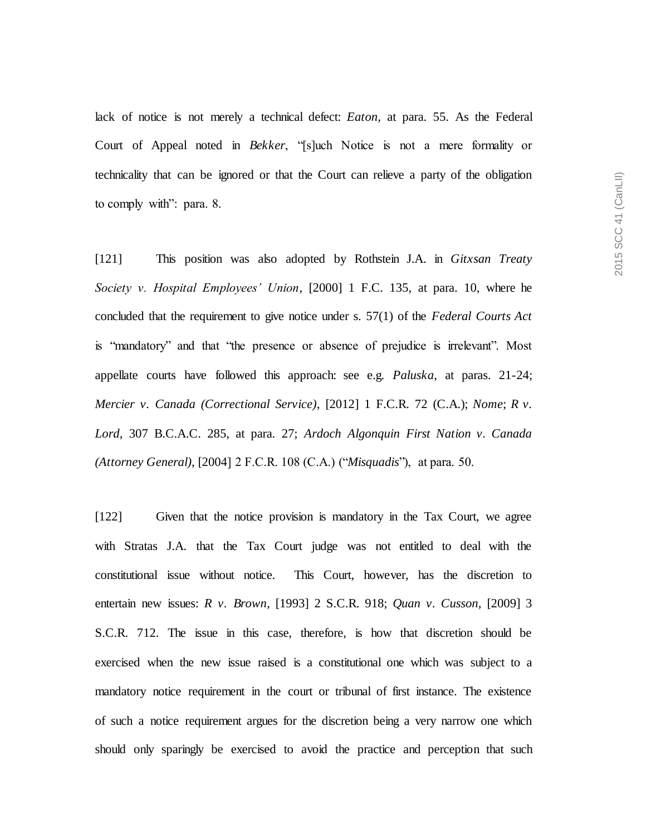lack of notice is not merely a technical defect: *Eaton*, at para. 55. As the Federal Court of Appeal noted in *Bekker*, "[s]uch Notice is not a mere formality or technicality that can be ignored or that the Court can relieve a party of the obligation to comply with": para. 8.

[121] This position was also adopted by Rothstein J.A. in *Gitxsan Treaty Society v. Hospital Employees' Union*, [2000] 1 F.C. 135, at para. 10, where he concluded that the requirement to give notice under s. 57(1) of the *Federal Courts Act*  is "mandatory" and that "the presence or absence of prejudice is irrelevant". Most appellate courts have followed this approach: see e.g. *Paluska*, at paras. 21-24; *Mercier v. Canada (Correctional Service)*, [2012] 1 F.C.R. 72 (C.A.); *Nome*; *R v. Lord*, 307 B.C.A.C. 285, at para. 27; *Ardoch Algonquin First Nation v. Canada (Attorney General)*, [2004] 2 F.C.R. 108 (C.A.) ("*Misquadis*"), at para. 50.

[122] Given that the notice provision is mandatory in the Tax Court, we agree with Stratas J.A. that the Tax Court judge was not entitled to deal with the constitutional issue without notice. This Court, however, has the discretion to entertain new issues: *R v. Brown*, [1993] 2 S.C.R. 918; *Quan v. Cusson*, [2009] 3 S.C.R. 712. The issue in this case, therefore, is how that discretion should be exercised when the new issue raised is a constitutional one which was subject to a mandatory notice requirement in the court or tribunal of first instance. The existence of such a notice requirement argues for the discretion being a very narrow one which should only sparingly be exercised to avoid the practice and perception that such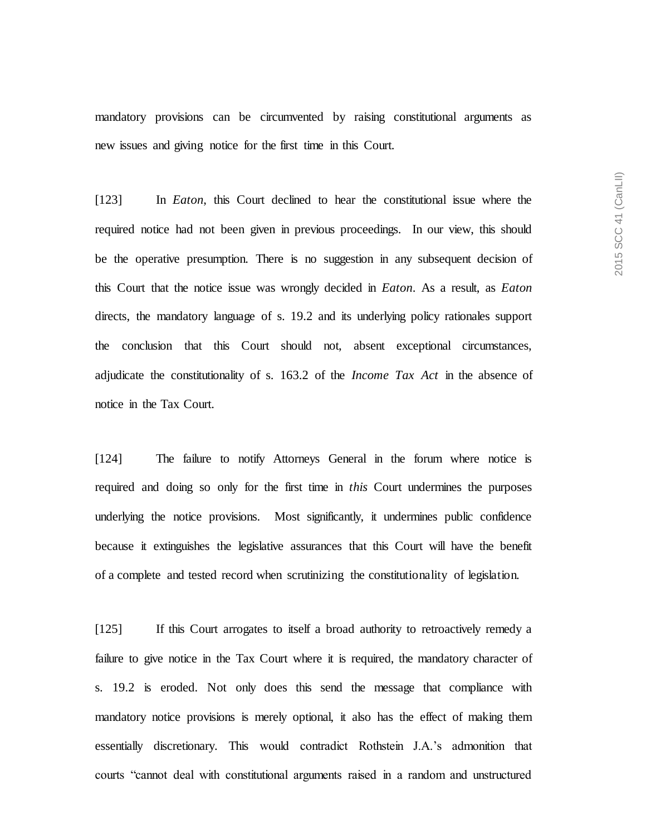mandatory provisions can be circumvented by raising constitutional arguments as new issues and giving notice for the first time in this Court.

[123] In *Eaton*, this Court declined to hear the constitutional issue where the required notice had not been given in previous proceedings. In our view, this should be the operative presumption. There is no suggestion in any subsequent decision of this Court that the notice issue was wrongly decided in *Eaton*. As a result, as *Eaton*  directs, the mandatory language of s. 19.2 and its underlying policy rationales support the conclusion that this Court should not, absent exceptional circumstances, adjudicate the constitutionality of s. 163.2 of the *Income Tax Act* in the absence of notice in the Tax Court.

[124] The failure to notify Attorneys General in the forum where notice is required and doing so only for the first time in *this* Court undermines the purposes underlying the notice provisions. Most significantly, it undermines public confidence because it extinguishes the legislative assurances that this Court will have the benefit of a complete and tested record when scrutinizing the constitutionality of legislation.

[125] If this Court arrogates to itself a broad authority to retroactively remedy a failure to give notice in the Tax Court where it is required, the mandatory character of s. 19.2 is eroded. Not only does this send the message that compliance with mandatory notice provisions is merely optional, it also has the effect of making them essentially discretionary. This would contradict Rothstein J.A.'s admonition that courts "cannot deal with constitutional arguments raised in a random and unstructured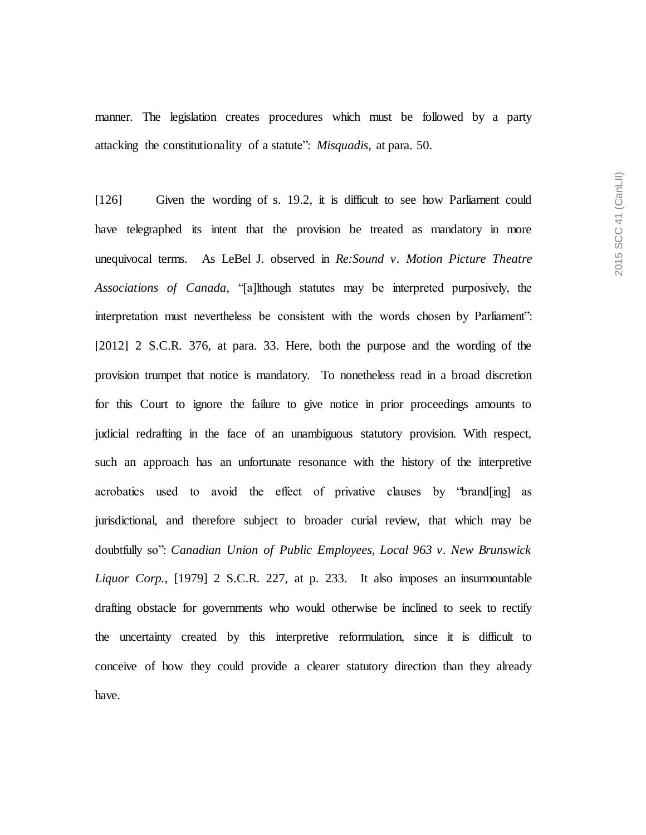manner. The legislation creates procedures which must be followed by a party attacking the constitutionality of a statute": *Misquadis*, at para. 50.

[126] Given the wording of s. 19.2, it is difficult to see how Parliament could have telegraphed its intent that the provision be treated as mandatory in more unequivocal terms. As LeBel J. observed in *Re:Sound v. Motion Picture Theatre Associations of Canada*, "[a]lthough statutes may be interpreted purposively, the interpretation must nevertheless be consistent with the words chosen by Parliament": [2012] 2 S.C.R. 376, at para. 33. Here, both the purpose and the wording of the provision trumpet that notice is mandatory. To nonetheless read in a broad discretion for this Court to ignore the failure to give notice in prior proceedings amounts to judicial redrafting in the face of an unambiguous statutory provision. With respect, such an approach has an unfortunate resonance with the history of the interpretive acrobatics used to avoid the effect of privative clauses by "brand[ing] as jurisdictional, and therefore subject to broader curial review, that which may be doubtfully so": *Canadian Union of Public Employees, Local 963 v. New Brunswick Liquor Corp.*, [1979] 2 S.C.R. 227, at p. 233. It also imposes an insurmountable drafting obstacle for governments who would otherwise be inclined to seek to rectify the uncertainty created by this interpretive reformulation, since it is difficult to conceive of how they could provide a clearer statutory direction than they already have.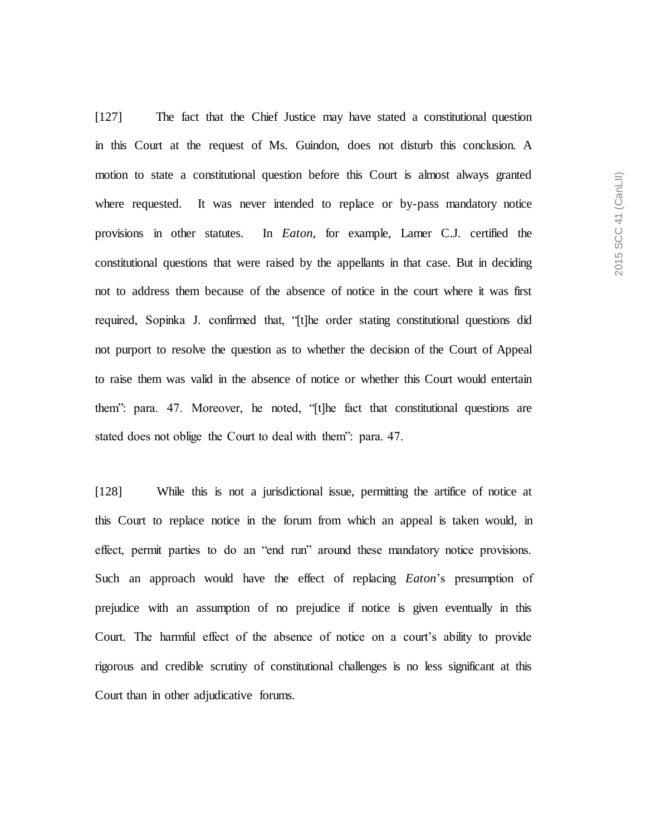[127] The fact that the Chief Justice may have stated a constitutional question in this Court at the request of Ms. Guindon, does not disturb this conclusion. A motion to state a constitutional question before this Court is almost always granted where requested. It was never intended to replace or by-pass mandatory notice provisions in other statutes. In *Eaton*, for example, Lamer C.J. certified the constitutional questions that were raised by the appellants in that case. But in deciding not to address them because of the absence of notice in the court where it was first required, Sopinka J. confirmed that, "[t]he order stating constitutional questions did not purport to resolve the question as to whether the decision of the Court of Appeal to raise them was valid in the absence of notice or whether this Court would entertain them": para. 47. Moreover, he noted, "[t]he fact that constitutional questions are stated does not oblige the Court to deal with them": para. 47.

[128] While this is not a jurisdictional issue, permitting the artifice of notice at this Court to replace notice in the forum from which an appeal is taken would, in effect, permit parties to do an "end run" around these mandatory notice provisions. Such an approach would have the effect of replacing *Eaton*'s presumption of prejudice with an assumption of no prejudice if notice is given eventually in this Court. The harmful effect of the absence of notice on a court's ability to provide rigorous and credible scrutiny of constitutional challenges is no less significant at this Court than in other adjudicative forums.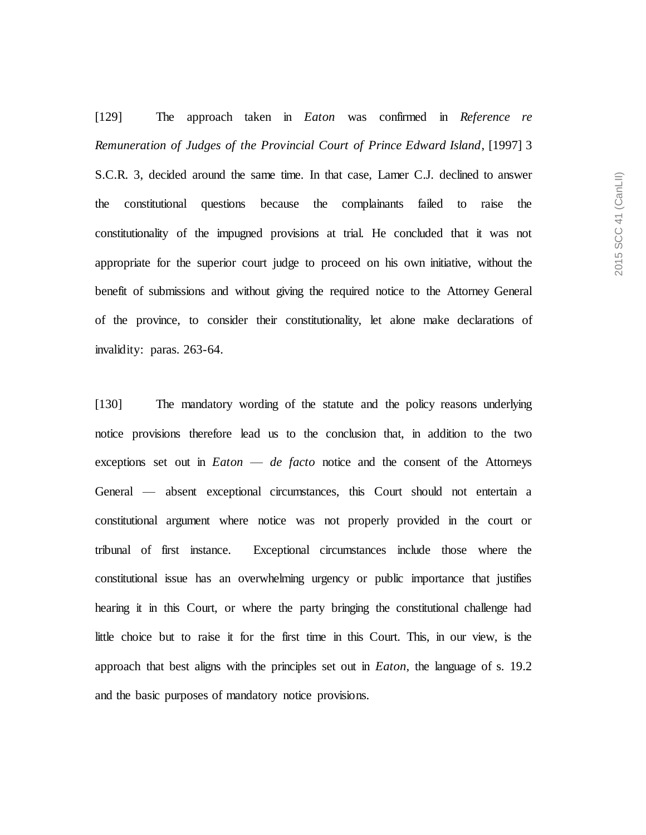[129] The approach taken in *Eaton* was confirmed in *Reference re Remuneration of Judges of the Provincial Court of Prince Edward Island*, [1997] 3 S.C.R. 3, decided around the same time*.* In that case, Lamer C.J. declined to answer the constitutional questions because the complainants failed to raise the constitutionality of the impugned provisions at trial. He concluded that it was not appropriate for the superior court judge to proceed on his own initiative, without the benefit of submissions and without giving the required notice to the Attorney General of the province, to consider their constitutionality, let alone make declarations of invalidity: paras. 263-64.

[130] The mandatory wording of the statute and the policy reasons underlying notice provisions therefore lead us to the conclusion that, in addition to the two exceptions set out in *Eaton* — *de facto* notice and the consent of the Attorneys General — absent exceptional circumstances, this Court should not entertain a constitutional argument where notice was not properly provided in the court or tribunal of first instance. Exceptional circumstances include those where the constitutional issue has an overwhelming urgency or public importance that justifies hearing it in this Court, or where the party bringing the constitutional challenge had little choice but to raise it for the first time in this Court. This, in our view, is the approach that best aligns with the principles set out in *Eaton*, the language of s. 19.2 and the basic purposes of mandatory notice provisions.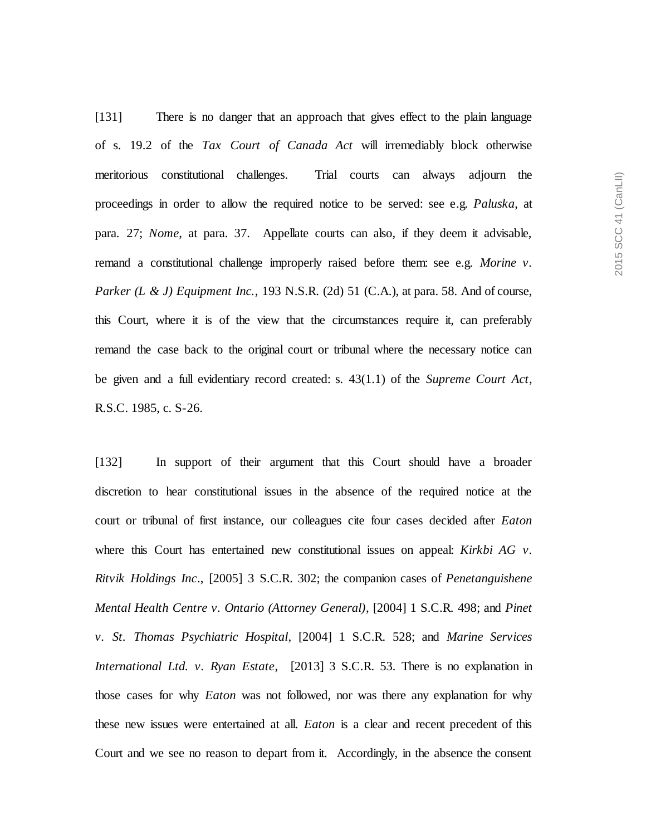[131] There is no danger that an approach that gives effect to the plain language of s. 19.2 of the *Tax Court of Canada Act* will irremediably block otherwise meritorious constitutional challenges. Trial courts can always adjourn the proceedings in order to allow the required notice to be served: see e.g. *Paluska*, at para. 27; *Nome*, at para. 37. Appellate courts can also, if they deem it advisable, remand a constitutional challenge improperly raised before them: see e.g. *Morine v. Parker (L & J) Equipment Inc.*, 193 N.S.R. (2d) 51 (C.A.), at para. 58. And of course, this Court, where it is of the view that the circumstances require it, can preferably remand the case back to the original court or tribunal where the necessary notice can be given and a full evidentiary record created: s. 43(1.1) of the *Supreme Court Act*, R.S.C. 1985, c. S-26.

[132] In support of their argument that this Court should have a broader discretion to hear constitutional issues in the absence of the required notice at the court or tribunal of first instance, our colleagues cite four cases decided after *Eaton* where this Court has entertained new constitutional issues on appeal: *Kirkbi AG v. Ritvik Holdings Inc*., [2005] 3 S.C.R. 302; the companion cases of *Penetanguishene Mental Health Centre v. Ontario (Attorney General)*, [2004] 1 S.C.R. 498; and *Pinet v. St. Thomas Psychiatric Hospital*, [2004] 1 S.C.R. 528; and *Marine Services International Ltd. v. Ryan Estate*, [2013] 3 S.C.R. 53*.* There is no explanation in those cases for why *Eaton* was not followed, nor was there any explanation for why these new issues were entertained at all. *Eaton* is a clear and recent precedent of this Court and we see no reason to depart from it. Accordingly, in the absence the consent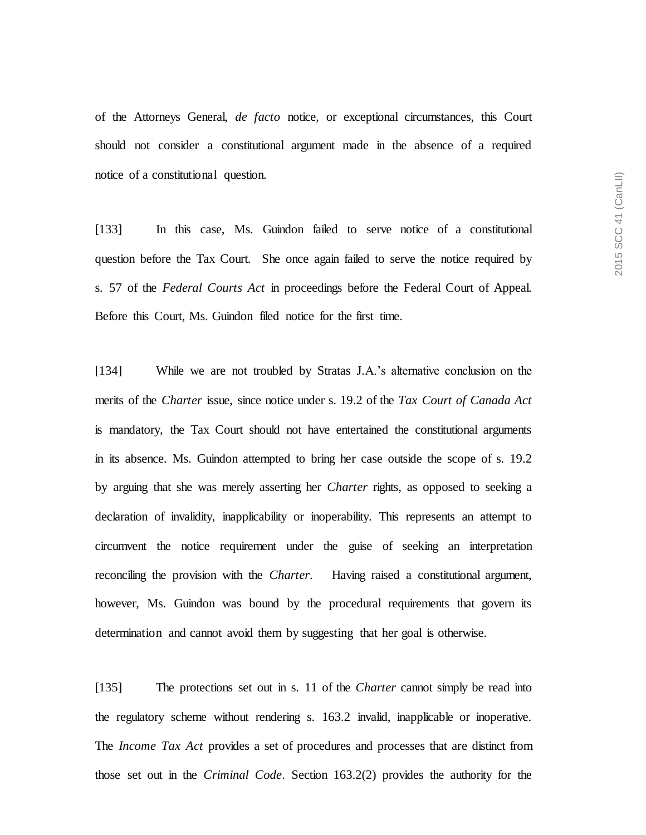of the Attorneys General, *de facto* notice, or exceptional circumstances, this Court should not consider a constitutional argument made in the absence of a required notice of a constitutional question.

[133] In this case, Ms. Guindon failed to serve notice of a constitutional question before the Tax Court. She once again failed to serve the notice required by s. 57 of the *Federal Courts Act* in proceedings before the Federal Court of Appeal. Before this Court, Ms. Guindon filed notice for the first time.

[134] While we are not troubled by Stratas J.A.'s alternative conclusion on the merits of the *Charter* issue, since notice under s. 19.2 of the *Tax Court of Canada Act*  is mandatory, the Tax Court should not have entertained the constitutional arguments in its absence. Ms. Guindon attempted to bring her case outside the scope of s. 19.2 by arguing that she was merely asserting her *Charter* rights, as opposed to seeking a declaration of invalidity, inapplicability or inoperability. This represents an attempt to circumvent the notice requirement under the guise of seeking an interpretation reconciling the provision with the *Charter*. Having raised a constitutional argument, however, Ms. Guindon was bound by the procedural requirements that govern its determination and cannot avoid them by suggesting that her goal is otherwise.

[135] The protections set out in s. 11 of the *Charter* cannot simply be read into the regulatory scheme without rendering s. 163.2 invalid, inapplicable or inoperative. The *Income Tax Act* provides a set of procedures and processes that are distinct from those set out in the *Criminal Code*. Section 163.2(2) provides the authority for the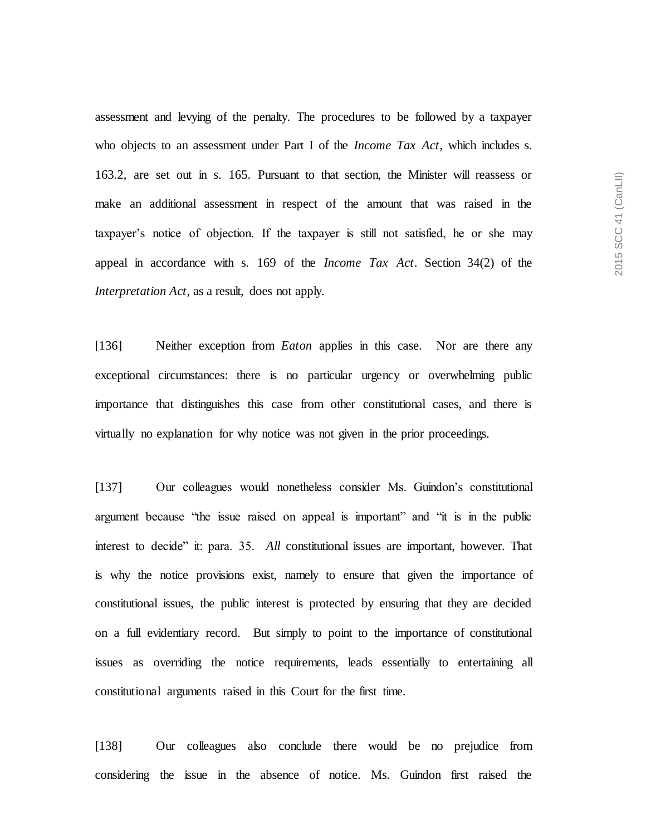assessment and levying of the penalty. The procedures to be followed by a taxpayer who objects to an assessment under Part I of the *Income Tax Act*, which includes s. 163.2, are set out in s. 165. Pursuant to that section, the Minister will reassess or make an additional assessment in respect of the amount that was raised in the taxpayer's notice of objection. If the taxpayer is still not satisfied, he or she may appeal in accordance with s. 169 of the *Income Tax Act*. Section 34(2) of the *Interpretation Act*, as a result, does not apply.

[136] Neither exception from *Eaton* applies in this case. Nor are there any exceptional circumstances: there is no particular urgency or overwhelming public importance that distinguishes this case from other constitutional cases, and there is virtually no explanation for why notice was not given in the prior proceedings.

[137] Our colleagues would nonetheless consider Ms. Guindon's constitutional argument because "the issue raised on appeal is important" and "it is in the public interest to decide" it: para. 35. *All* constitutional issues are important, however. That is why the notice provisions exist, namely to ensure that given the importance of constitutional issues, the public interest is protected by ensuring that they are decided on a full evidentiary record. But simply to point to the importance of constitutional issues as overriding the notice requirements, leads essentially to entertaining all constitutional arguments raised in this Court for the first time.

[138] Our colleagues also conclude there would be no prejudice from considering the issue in the absence of notice. Ms. Guindon first raised the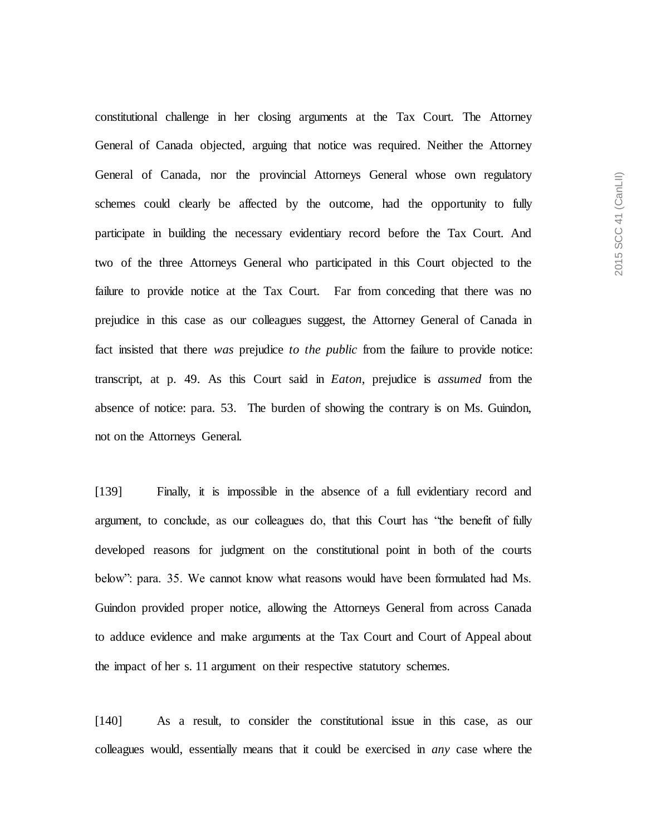constitutional challenge in her closing arguments at the Tax Court. The Attorney General of Canada objected, arguing that notice was required. Neither the Attorney General of Canada, nor the provincial Attorneys General whose own regulatory schemes could clearly be affected by the outcome, had the opportunity to fully participate in building the necessary evidentiary record before the Tax Court. And two of the three Attorneys General who participated in this Court objected to the failure to provide notice at the Tax Court. Far from conceding that there was no prejudice in this case as our colleagues suggest, the Attorney General of Canada in fact insisted that there *was* prejudice *to the public* from the failure to provide notice: transcript, at p. 49. As this Court said in *Eaton*, prejudice is *assumed* from the absence of notice: para. 53. The burden of showing the contrary is on Ms. Guindon, not on the Attorneys General.

[139] Finally, it is impossible in the absence of a full evidentiary record and argument, to conclude, as our colleagues do, that this Court has "the benefit of fully developed reasons for judgment on the constitutional point in both of the courts below": para. 35. We cannot know what reasons would have been formulated had Ms. Guindon provided proper notice, allowing the Attorneys General from across Canada to adduce evidence and make arguments at the Tax Court and Court of Appeal about the impact of her s. 11 argument on their respective statutory schemes.

[140] As a result, to consider the constitutional issue in this case, as our colleagues would, essentially means that it could be exercised in *any* case where the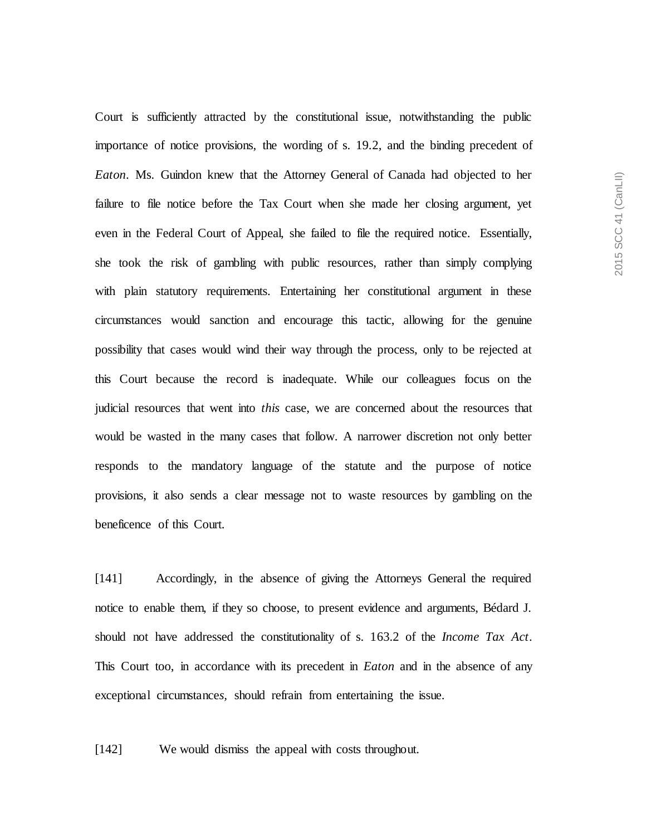Court is sufficiently attracted by the constitutional issue, notwithstanding the public importance of notice provisions, the wording of s. 19.2, and the binding precedent of *Eaton*. Ms. Guindon knew that the Attorney General of Canada had objected to her failure to file notice before the Tax Court when she made her closing argument, yet even in the Federal Court of Appeal, she failed to file the required notice. Essentially, she took the risk of gambling with public resources, rather than simply complying with plain statutory requirements. Entertaining her constitutional argument in these circumstances would sanction and encourage this tactic, allowing for the genuine possibility that cases would wind their way through the process, only to be rejected at this Court because the record is inadequate. While our colleagues focus on the judicial resources that went into *this* case, we are concerned about the resources that would be wasted in the many cases that follow. A narrower discretion not only better responds to the mandatory language of the statute and the purpose of notice provisions, it also sends a clear message not to waste resources by gambling on the beneficence of this Court.

[141] Accordingly, in the absence of giving the Attorneys General the required notice to enable them, if they so choose, to present evidence and arguments, Bédard J. should not have addressed the constitutionality of s. 163.2 of the *Income Tax Act*. This Court too, in accordance with its precedent in *Eaton* and in the absence of any exceptional circumstance*s,* should refrain from entertaining the issue.

[142] We would dismiss the appeal with costs throughout.